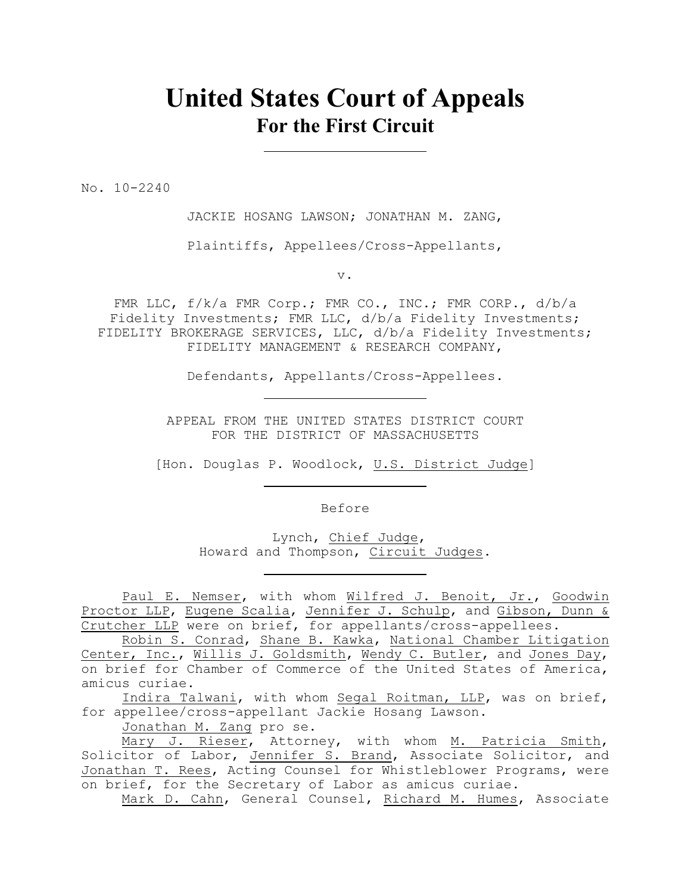# **United States Court of Appeals For the First Circuit**

No. 10-2240

JACKIE HOSANG LAWSON; JONATHAN M. ZANG,

Plaintiffs, Appellees/Cross-Appellants,

v.

FMR LLC,  $f/k/a$  FMR Corp.; FMR CO., INC.; FMR CORP.,  $d/b/a$ Fidelity Investments; FMR LLC, d/b/a Fidelity Investments; FIDELITY BROKERAGE SERVICES, LLC, d/b/a Fidelity Investments; FIDELITY MANAGEMENT & RESEARCH COMPANY,

Defendants, Appellants/Cross-Appellees.

APPEAL FROM THE UNITED STATES DISTRICT COURT FOR THE DISTRICT OF MASSACHUSETTS

[Hon. Douglas P. Woodlock, U.S. District Judge]

Before

 Lynch, Chief Judge, Howard and Thompson, Circuit Judges.

Paul E. Nemser, with whom Wilfred J. Benoit, Jr., Goodwin Proctor LLP, Eugene Scalia, Jennifer J. Schulp, and Gibson, Dunn & Crutcher LLP were on brief, for appellants/cross-appellees.

Robin S. Conrad, Shane B. Kawka, National Chamber Litigation Center, Inc., Willis J. Goldsmith, Wendy C. Butler, and Jones Day, on brief for Chamber of Commerce of the United States of America, amicus curiae.

Indira Talwani, with whom Segal Roitman, LLP, was on brief, for appellee/cross-appellant Jackie Hosang Lawson.

Jonathan M. Zang pro se.

Mary J. Rieser, Attorney, with whom M. Patricia Smith, Solicitor of Labor, Jennifer S. Brand, Associate Solicitor, and Jonathan T. Rees, Acting Counsel for Whistleblower Programs, were on brief, for the Secretary of Labor as amicus curiae.

Mark D. Cahn, General Counsel, Richard M. Humes, Associate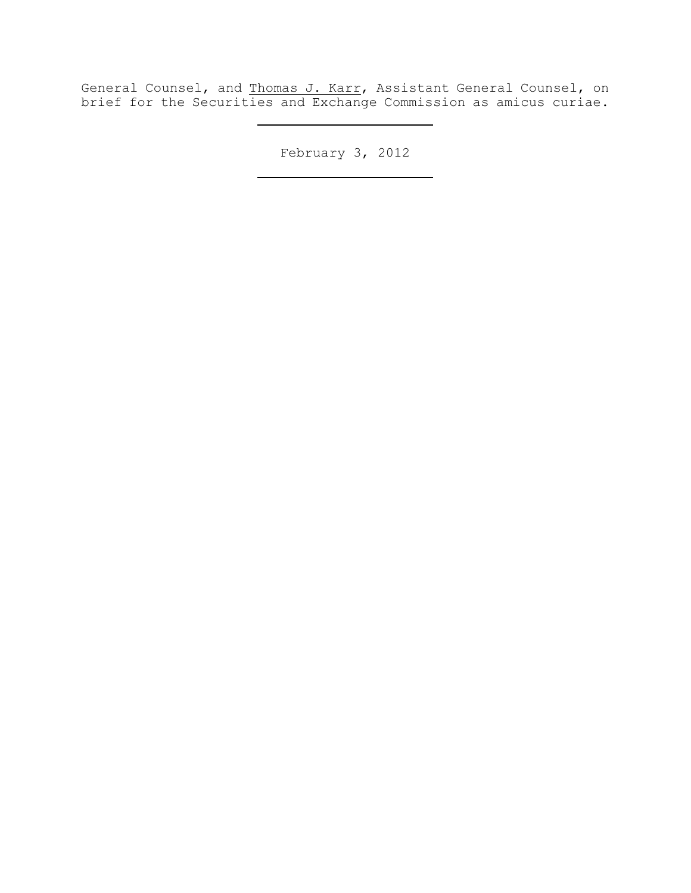General Counsel, and Thomas J. Karr, Assistant General Counsel, on brief for the Securities and Exchange Commission as amicus curiae.

February 3, 2012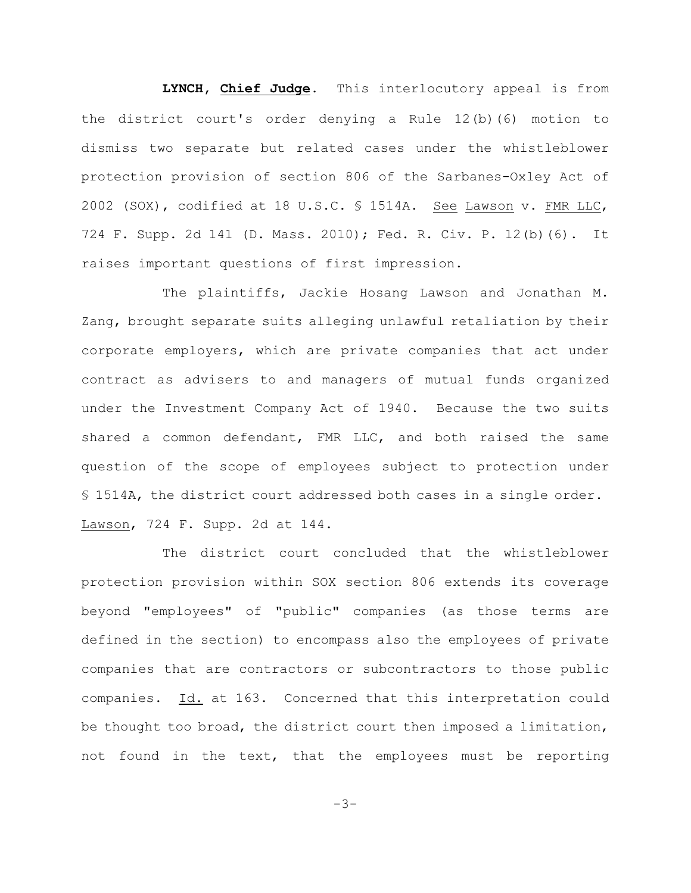**LYNCH, Chief Judge.** This interlocutory appeal is from the district court's order denying a Rule 12(b)(6) motion to dismiss two separate but related cases under the whistleblower protection provision of section 806 of the Sarbanes-Oxley Act of 2002 (SOX), codified at 18 U.S.C. § 1514A. See Lawson v. FMR LLC, 724 F. Supp. 2d 141 (D. Mass. 2010); Fed. R. Civ. P. 12(b)(6). It raises important questions of first impression.

The plaintiffs, Jackie Hosang Lawson and Jonathan M. Zang, brought separate suits alleging unlawful retaliation by their corporate employers, which are private companies that act under contract as advisers to and managers of mutual funds organized under the Investment Company Act of 1940. Because the two suits shared a common defendant, FMR LLC, and both raised the same question of the scope of employees subject to protection under § 1514A, the district court addressed both cases in a single order. Lawson, 724 F. Supp. 2d at 144.

The district court concluded that the whistleblower protection provision within SOX section 806 extends its coverage beyond "employees" of "public" companies (as those terms are defined in the section) to encompass also the employees of private companies that are contractors or subcontractors to those public companies. Id. at 163. Concerned that this interpretation could be thought too broad, the district court then imposed a limitation, not found in the text, that the employees must be reporting

-3-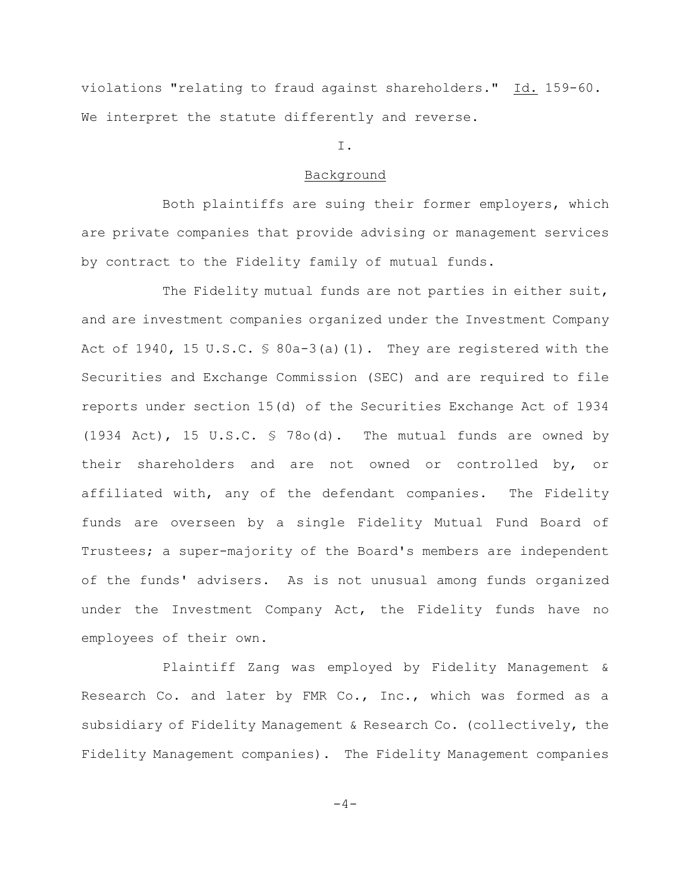violations "relating to fraud against shareholders." Id. 159-60. We interpret the statute differently and reverse.

### I.

### Background

Both plaintiffs are suing their former employers, which are private companies that provide advising or management services by contract to the Fidelity family of mutual funds.

The Fidelity mutual funds are not parties in either suit, and are investment companies organized under the Investment Company Act of  $1940$ ,  $15 \text{ U.S.C. }$  \$  $80a-3(a)(1)$ . They are registered with the Securities and Exchange Commission (SEC) and are required to file reports under section 15(d) of the Securities Exchange Act of 1934 (1934 Act), 15 U.S.C. § 78o(d). The mutual funds are owned by their shareholders and are not owned or controlled by, or affiliated with, any of the defendant companies. The Fidelity funds are overseen by a single Fidelity Mutual Fund Board of Trustees; a super-majority of the Board's members are independent of the funds' advisers. As is not unusual among funds organized under the Investment Company Act, the Fidelity funds have no employees of their own.

Plaintiff Zang was employed by Fidelity Management & Research Co. and later by FMR Co., Inc., which was formed as a subsidiary of Fidelity Management & Research Co. (collectively, the Fidelity Management companies). The Fidelity Management companies

 $-4-$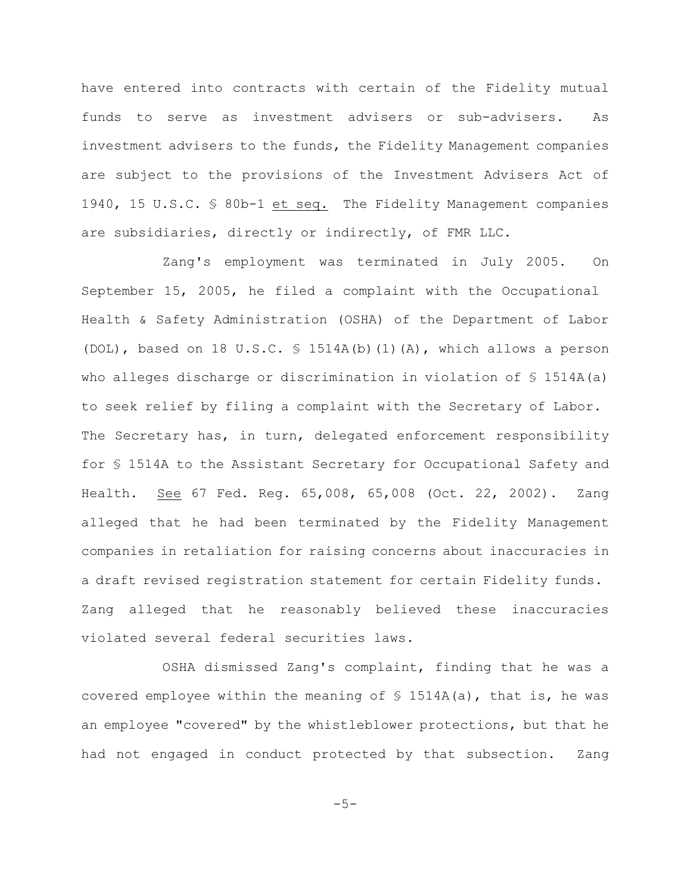have entered into contracts with certain of the Fidelity mutual funds to serve as investment advisers or sub-advisers. As investment advisers to the funds, the Fidelity Management companies are subject to the provisions of the Investment Advisers Act of 1940, 15 U.S.C. § 80b-1 et seq. The Fidelity Management companies are subsidiaries, directly or indirectly, of FMR LLC.

Zang's employment was terminated in July 2005. On September 15, 2005, he filed a complaint with the Occupational Health & Safety Administration (OSHA) of the Department of Labor (DOL), based on 18 U.S.C.  $\frac{1514A(b)}{1}$  (A), which allows a person who alleges discharge or discrimination in violation of  $\frac{1}{2}$  1514A(a) to seek relief by filing a complaint with the Secretary of Labor. The Secretary has, in turn, delegated enforcement responsibility for § 1514A to the Assistant Secretary for Occupational Safety and Health. See 67 Fed. Reg. 65,008, 65,008 (Oct. 22, 2002). Zang alleged that he had been terminated by the Fidelity Management companies in retaliation for raising concerns about inaccuracies in a draft revised registration statement for certain Fidelity funds. Zang alleged that he reasonably believed these inaccuracies violated several federal securities laws.

OSHA dismissed Zang's complaint, finding that he was a covered employee within the meaning of  $\frac{1}{2}$  1514A(a), that is, he was an employee "covered" by the whistleblower protections, but that he had not engaged in conduct protected by that subsection. Zang

 $-5-$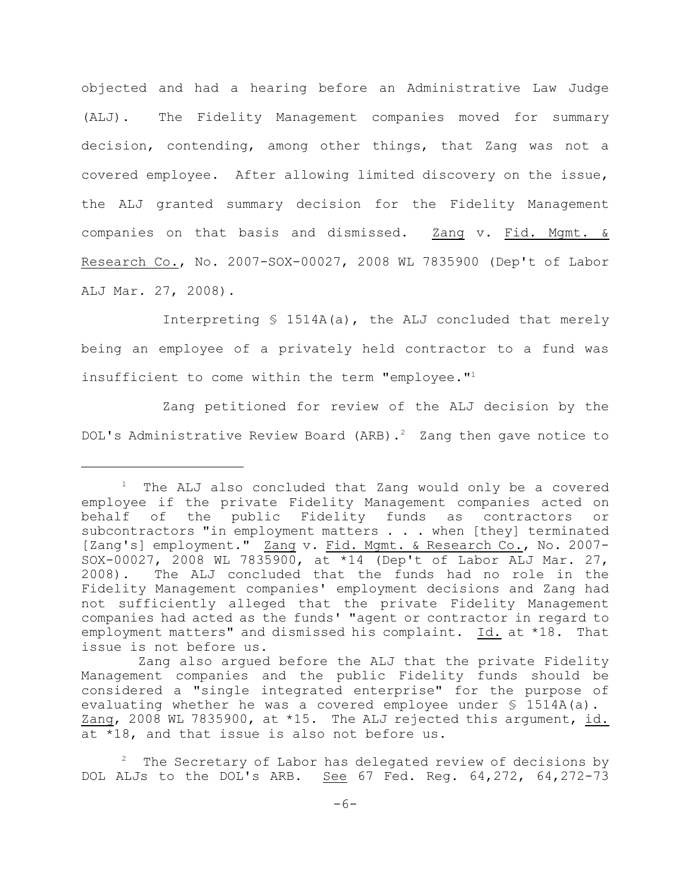objected and had a hearing before an Administrative Law Judge (ALJ). The Fidelity Management companies moved for summary decision, contending, among other things, that Zang was not a covered employee. After allowing limited discovery on the issue, the ALJ granted summary decision for the Fidelity Management companies on that basis and dismissed. Zang v. Fid. Mgmt. & Research Co., No. 2007-SOX-00027, 2008 WL 7835900 (Dep't of Labor ALJ Mar. 27, 2008).

Interpreting § 1514A(a), the ALJ concluded that merely being an employee of a privately held contractor to a fund was insufficient to come within the term "employee."<sup>1</sup>

Zang petitioned for review of the ALJ decision by the DOL's Administrative Review Board (ARB).<sup>2</sup> Zang then gave notice to

 $1$  The ALJ also concluded that Zang would only be a covered employee if the private Fidelity Management companies acted on behalf of the public Fidelity funds as contractors or subcontractors "in employment matters . . . when [they] terminated [Zang's] employment." Zang v. Fid. Mgmt. & Research Co., No. 2007-SOX-00027, 2008 WL 7835900, at \*14 (Dep't of Labor ALJ Mar. 27, 2008). The ALJ concluded that the funds had no role in the Fidelity Management companies' employment decisions and Zang had not sufficiently alleged that the private Fidelity Management companies had acted as the funds' "agent or contractor in regard to employment matters" and dismissed his complaint. Id. at \*18. That issue is not before us.

Zang also argued before the ALJ that the private Fidelity Management companies and the public Fidelity funds should be considered a "single integrated enterprise" for the purpose of evaluating whether he was a covered employee under § 1514A(a). Zang, 2008 WL 7835900, at \*15. The ALJ rejected this argument, id. at \*18, and that issue is also not before us.

The Secretary of Labor has delegated review of decisions by DOL ALJs to the DOL's ARB. See 67 Fed. Reg. 64,272, 64,272-73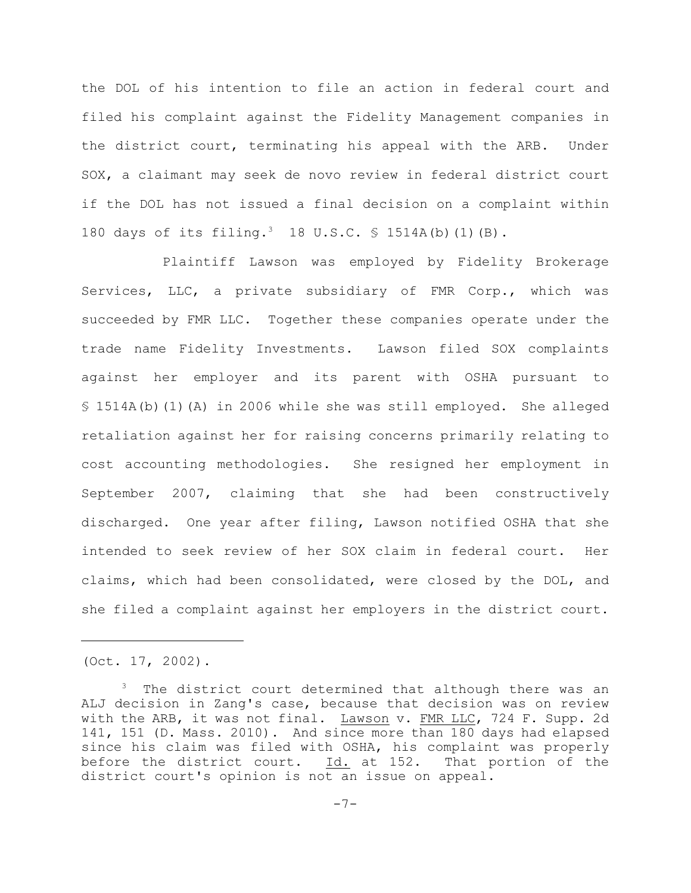the DOL of his intention to file an action in federal court and filed his complaint against the Fidelity Management companies in the district court, terminating his appeal with the ARB. Under SOX, a claimant may seek de novo review in federal district court if the DOL has not issued a final decision on a complaint within 180 days of its filing.<sup>3</sup> 18 U.S.C. § 1514A(b)(1)(B).

Plaintiff Lawson was employed by Fidelity Brokerage Services, LLC, a private subsidiary of FMR Corp., which was succeeded by FMR LLC. Together these companies operate under the trade name Fidelity Investments. Lawson filed SOX complaints against her employer and its parent with OSHA pursuant to § 1514A(b)(1)(A) in 2006 while she was still employed. She alleged retaliation against her for raising concerns primarily relating to cost accounting methodologies. She resigned her employment in September 2007, claiming that she had been constructively discharged. One year after filing, Lawson notified OSHA that she intended to seek review of her SOX claim in federal court. Her claims, which had been consolidated, were closed by the DOL, and she filed a complaint against her employers in the district court.

(Oct. 17, 2002).

The district court determined that although there was an ALJ decision in Zang's case, because that decision was on review with the ARB, it was not final. Lawson v. FMR LLC, 724 F. Supp. 2d 141, 151 (D. Mass. 2010). And since more than 180 days had elapsed since his claim was filed with OSHA, his complaint was properly before the district court. Id. at 152. That portion of the district court's opinion is not an issue on appeal.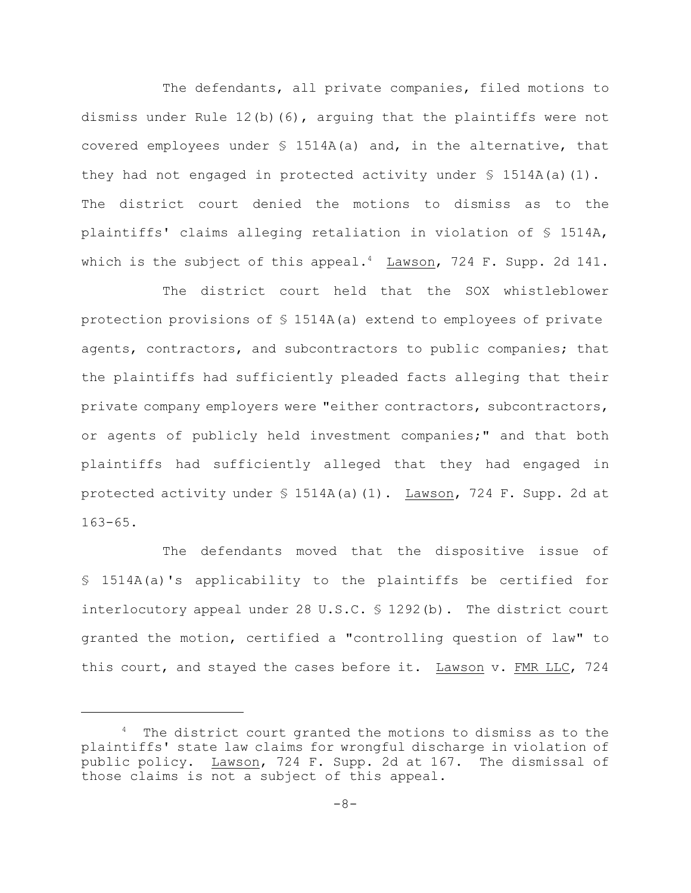The defendants, all private companies, filed motions to dismiss under Rule 12(b)(6), arguing that the plaintiffs were not covered employees under  $\frac{1514A(a)}{a}$  and, in the alternative, that they had not engaged in protected activity under  $\frac{1}{2}$  1514A(a)(1). The district court denied the motions to dismiss as to the plaintiffs' claims alleging retaliation in violation of § 1514A, which is the subject of this appeal.<sup>4</sup> Lawson, 724 F. Supp. 2d 141.

The district court held that the SOX whistleblower protection provisions of § 1514A(a) extend to employees of private agents, contractors, and subcontractors to public companies; that the plaintiffs had sufficiently pleaded facts alleging that their private company employers were "either contractors, subcontractors, or agents of publicly held investment companies;" and that both plaintiffs had sufficiently alleged that they had engaged in protected activity under § 1514A(a)(1). Lawson, 724 F. Supp. 2d at 163-65.

The defendants moved that the dispositive issue of § 1514A(a)'s applicability to the plaintiffs be certified for interlocutory appeal under 28 U.S.C. § 1292(b). The district court granted the motion, certified a "controlling question of law" to this court, and stayed the cases before it. Lawson v. FMR LLC, 724

 $4$  The district court granted the motions to dismiss as to the plaintiffs' state law claims for wrongful discharge in violation of public policy. Lawson, 724 F. Supp. 2d at 167. The dismissal of those claims is not a subject of this appeal.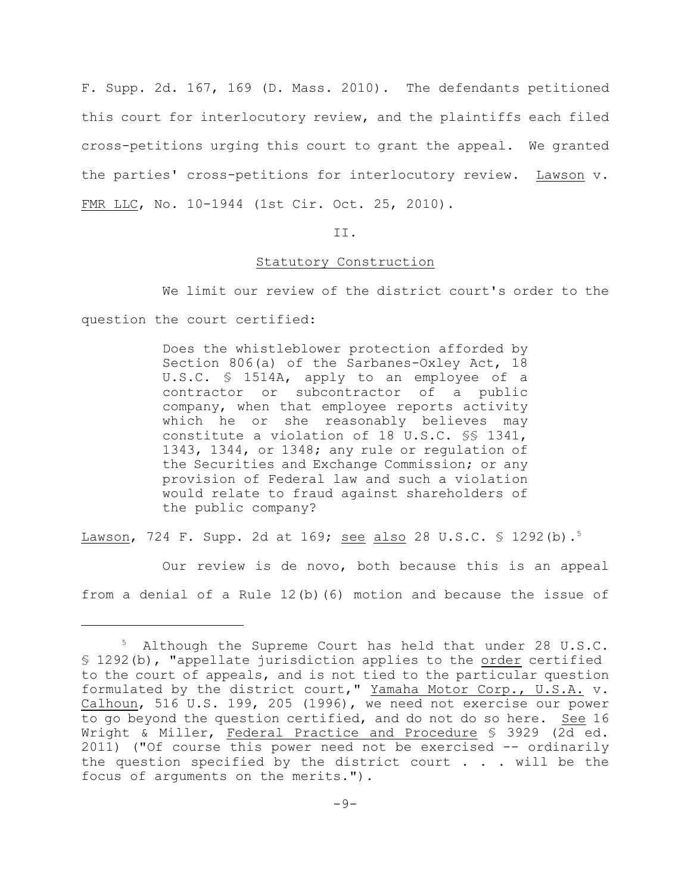F. Supp. 2d. 167, 169 (D. Mass. 2010). The defendants petitioned this court for interlocutory review, and the plaintiffs each filed cross-petitions urging this court to grant the appeal. We granted the parties' cross-petitions for interlocutory review. Lawson v. FMR LLC, No. 10-1944 (1st Cir. Oct. 25, 2010).

#### II.

#### Statutory Construction

We limit our review of the district court's order to the

question the court certified:

Does the whistleblower protection afforded by Section 806(a) of the Sarbanes-Oxley Act, 18 U.S.C. § 1514A, apply to an employee of a contractor or subcontractor of a public company, when that employee reports activity which he or she reasonably believes may constitute a violation of 18 U.S.C. §§ 1341, 1343, 1344, or 1348; any rule or regulation of the Securities and Exchange Commission; or any provision of Federal law and such a violation would relate to fraud against shareholders of the public company?

Lawson, 724 F. Supp. 2d at 169; see also 28 U.S.C. § 1292(b).<sup>5</sup>

Our review is de novo, both because this is an appeal from a denial of a Rule 12(b)(6) motion and because the issue of

 $5$  Although the Supreme Court has held that under 28 U.S.C. § 1292(b), "appellate jurisdiction applies to the order certified to the court of appeals, and is not tied to the particular question formulated by the district court," Yamaha Motor Corp., U.S.A. v. Calhoun, 516 U.S. 199, 205 (1996), we need not exercise our power to go beyond the question certified, and do not do so here. See 16 Wright & Miller, Federal Practice and Procedure § 3929 (2d ed. 2011) ("Of course this power need not be exercised -- ordinarily the question specified by the district court  $\ldots$  will be the focus of arguments on the merits.").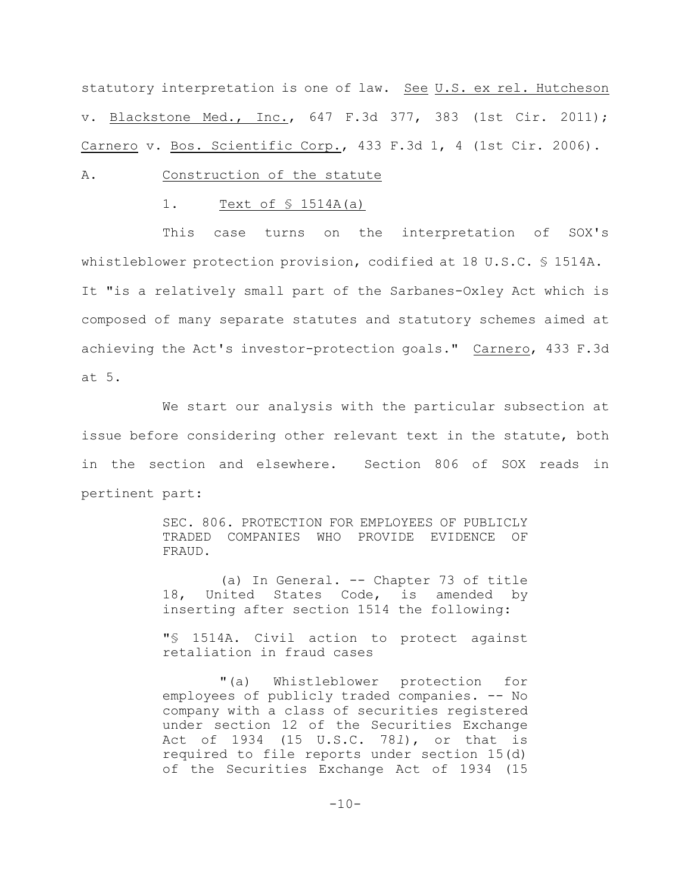statutory interpretation is one of law. See U.S. ex rel. Hutcheson v. Blackstone Med., Inc., 647 F.3d 377, 383 (1st Cir. 2011); Carnero v. Bos. Scientific Corp., 433 F.3d 1, 4 (1st Cir. 2006).

### A. Construction of the statute

### 1. Text of § 1514A(a)

This case turns on the interpretation of SOX's whistleblower protection provision, codified at 18 U.S.C. § 1514A. It "is a relatively small part of the Sarbanes-Oxley Act which is composed of many separate statutes and statutory schemes aimed at achieving the Act's investor-protection goals." Carnero, 433 F.3d at 5.

We start our analysis with the particular subsection at issue before considering other relevant text in the statute, both in the section and elsewhere. Section 806 of SOX reads in pertinent part:

> SEC. 806. PROTECTION FOR EMPLOYEES OF PUBLICLY TRADED COMPANIES WHO PROVIDE EVIDENCE OF FRAUD.

> (a) In General. -- Chapter 73 of title 18, United States Code, is amended by inserting after section 1514 the following:

> "§ 1514A. Civil action to protect against retaliation in fraud cases

> "(a) Whistleblower protection for employees of publicly traded companies. -- No company with a class of securities registered under section 12 of the Securities Exchange Act of 1934 (15 U.S.C. 78*l*), or that is required to file reports under section 15(d) of the Securities Exchange Act of 1934 (15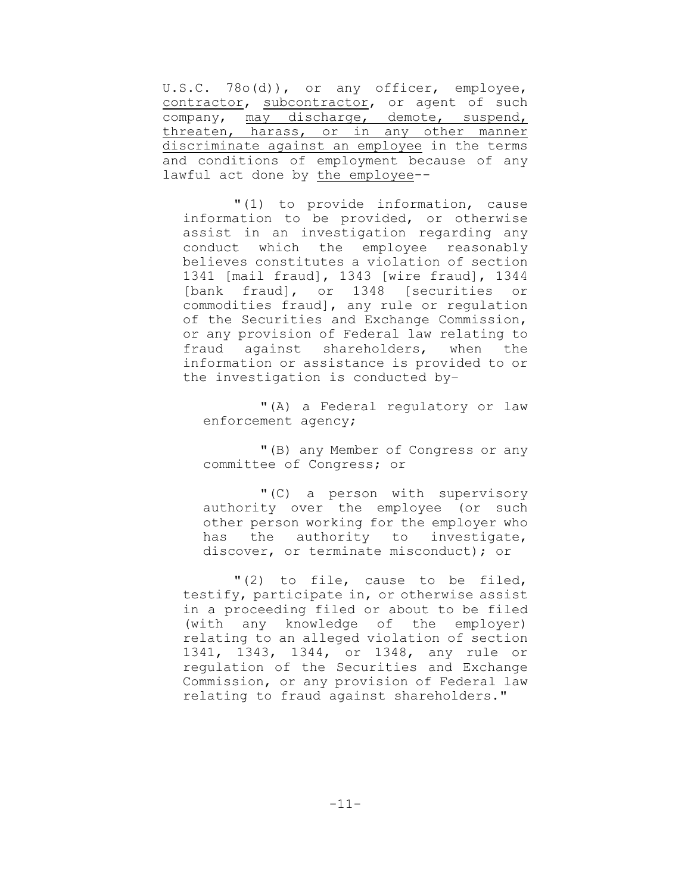U.S.C. 78o(d)), or any officer, employee, contractor, subcontractor, or agent of such company, may discharge, demote, suspend, threaten, harass, or in any other manner discriminate against an employee in the terms and conditions of employment because of any lawful act done by the employee--

"(1) to provide information, cause information to be provided, or otherwise assist in an investigation regarding any conduct which the employee reasonably believes constitutes a violation of section 1341 [mail fraud], 1343 [wire fraud], 1344 [bank fraud], or 1348 [securities or commodities fraud], any rule or regulation of the Securities and Exchange Commission, or any provision of Federal law relating to fraud against shareholders, when the information or assistance is provided to or the investigation is conducted by–

"(A) a Federal regulatory or law enforcement agency;

"(B) any Member of Congress or any committee of Congress; or

"(C) a person with supervisory authority over the employee (or such other person working for the employer who has the authority to investigate, discover, or terminate misconduct); or

"(2) to file, cause to be filed, testify, participate in, or otherwise assist in a proceeding filed or about to be filed (with any knowledge of the employer) relating to an alleged violation of section 1341, 1343, 1344, or 1348, any rule or regulation of the Securities and Exchange Commission, or any provision of Federal law relating to fraud against shareholders."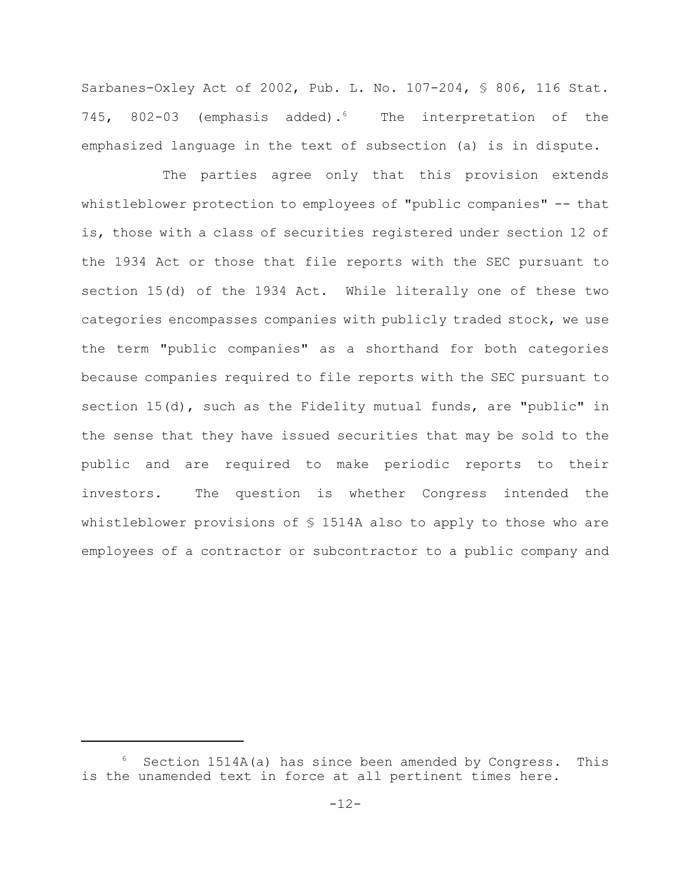Sarbanes-Oxley Act of 2002, Pub. L. No. 107-204, § 806, 116 Stat. 745, 802-03 (emphasis added). The interpretation of the emphasized language in the text of subsection (a) is in dispute.

The parties agree only that this provision extends whistleblower protection to employees of "public companies" -- that is, those with a class of securities registered under section 12 of the 1934 Act or those that file reports with the SEC pursuant to section 15(d) of the 1934 Act. While literally one of these two categories encompasses companies with publicly traded stock, we use the term "public companies" as a shorthand for both categories because companies required to file reports with the SEC pursuant to section 15(d), such as the Fidelity mutual funds, are "public" in the sense that they have issued securities that may be sold to the public and are required to make periodic reports to their investors. The question is whether Congress intended the whistleblower provisions of § 1514A also to apply to those who are employees of a contractor or subcontractor to a public company and

Section 1514A(a) has since been amended by Congress. This is the unamended text in force at all pertinent times here.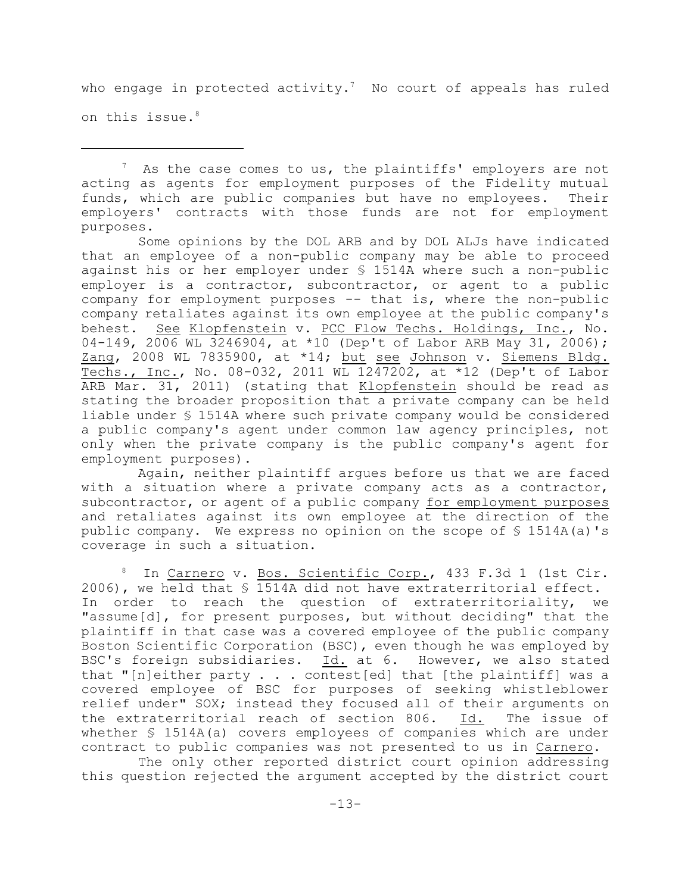who engage in protected activity.<sup>7</sup> No court of appeals has ruled on this issue. 8

 $\frac{7}{1}$  As the case comes to us, the plaintiffs' employers are not acting as agents for employment purposes of the Fidelity mutual funds, which are public companies but have no employees. Their employers' contracts with those funds are not for employment purposes.

Some opinions by the DOL ARB and by DOL ALJs have indicated that an employee of a non-public company may be able to proceed against his or her employer under § 1514A where such a non-public employer is a contractor, subcontractor, or agent to a public company for employment purposes -- that is, where the non-public company retaliates against its own employee at the public company's behest. See Klopfenstein v. PCC Flow Techs. Holdings, Inc., No. 04-149, 2006 WL 3246904, at \*10 (Dep't of Labor ARB May 31, 2006); Zang, 2008 WL 7835900, at \*14; but see Johnson v. Siemens Bldg. Techs., Inc., No. 08-032, 2011 WL 1247202, at \*12 (Dep't of Labor ARB Mar. 31, 2011) (stating that Klopfenstein should be read as stating the broader proposition that a private company can be held liable under § 1514A where such private company would be considered a public company's agent under common law agency principles, not only when the private company is the public company's agent for employment purposes).

Again, neither plaintiff argues before us that we are faced with a situation where a private company acts as a contractor, subcontractor, or agent of a public company for employment purposes and retaliates against its own employee at the direction of the public company. We express no opinion on the scope of § 1514A(a)'s coverage in such a situation.

 $8$  In Carnero v. Bos. Scientific Corp., 433 F.3d 1 (1st Cir. 2006), we held that § 1514A did not have extraterritorial effect. In order to reach the question of extraterritoriality, we "assume[d], for present purposes, but without deciding" that the plaintiff in that case was a covered employee of the public company Boston Scientific Corporation (BSC), even though he was employed by BSC's foreign subsidiaries. Id. at 6. However, we also stated that "[n]either party . . . contest[ed] that [the plaintiff] was a covered employee of BSC for purposes of seeking whistleblower relief under" SOX; instead they focused all of their arguments on the extraterritorial reach of section 806. Id. The issue of whether § 1514A(a) covers employees of companies which are under contract to public companies was not presented to us in Carnero.

The only other reported district court opinion addressing this question rejected the argument accepted by the district court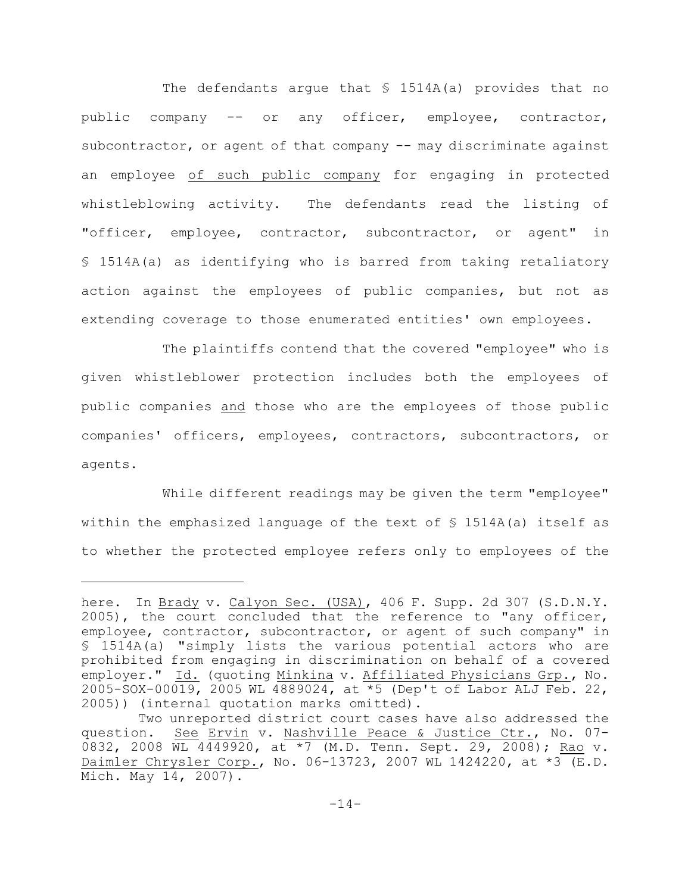The defendants argue that  $$ 1514A(a)$  provides that no public company -- or any officer, employee, contractor,  $subcontractor, or agent of that company  $--$  may discriminate against$ an employee of such public company for engaging in protected whistleblowing activity. The defendants read the listing of "officer, employee, contractor, subcontractor, or agent" in § 1514A(a) as identifying who is barred from taking retaliatory action against the employees of public companies, but not as extending coverage to those enumerated entities' own employees.

The plaintiffs contend that the covered "employee" who is given whistleblower protection includes both the employees of public companies and those who are the employees of those public companies' officers, employees, contractors, subcontractors, or agents.

While different readings may be given the term "employee" within the emphasized language of the text of  $\frac{1}{2}$  1514A(a) itself as to whether the protected employee refers only to employees of the

here. In Brady v. Calyon Sec. (USA), 406 F. Supp. 2d 307 (S.D.N.Y. 2005), the court concluded that the reference to "any officer, employee, contractor, subcontractor, or agent of such company" in § 1514A(a) "simply lists the various potential actors who are prohibited from engaging in discrimination on behalf of a covered employer." Id. (quoting Minkina v. Affiliated Physicians Grp., No. 2005-SOX-00019, 2005 WL 4889024, at \*5 (Dep't of Labor ALJ Feb. 22, 2005)) (internal quotation marks omitted).

Two unreported district court cases have also addressed the question. See Ervin v. Nashville Peace & Justice Ctr., No. 07- 0832, 2008 WL 4449920, at \*7 (M.D. Tenn. Sept. 29, 2008); Rao v. Daimler Chrysler Corp., No. 06-13723, 2007 WL 1424220, at \*3 (E.D. Mich. May 14, 2007).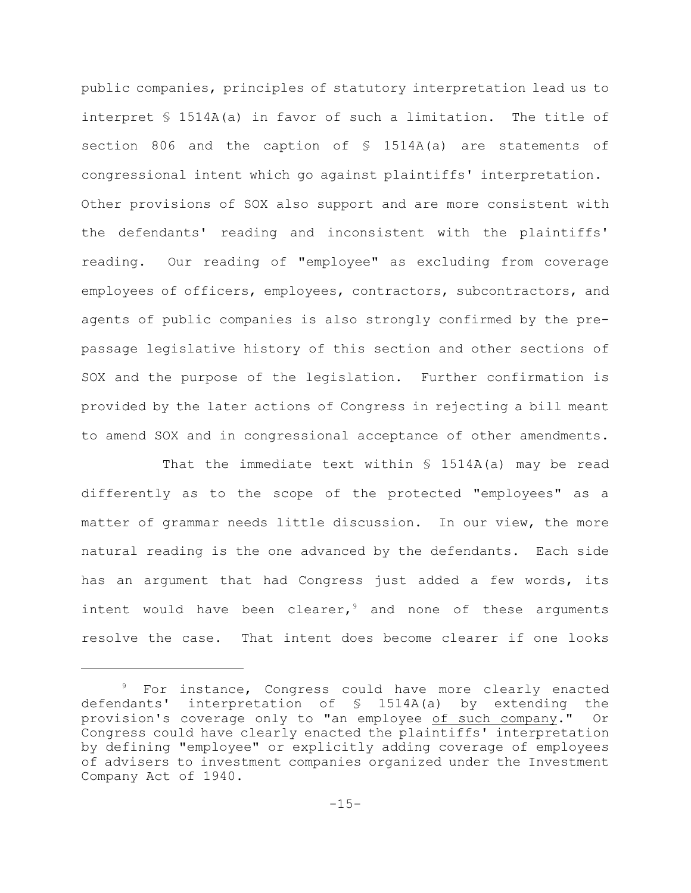public companies, principles of statutory interpretation lead us to interpret § 1514A(a) in favor of such a limitation. The title of section 806 and the caption of § 1514A(a) are statements of congressional intent which go against plaintiffs' interpretation. Other provisions of SOX also support and are more consistent with the defendants' reading and inconsistent with the plaintiffs' reading. Our reading of "employee" as excluding from coverage employees of officers, employees, contractors, subcontractors, and agents of public companies is also strongly confirmed by the prepassage legislative history of this section and other sections of SOX and the purpose of the legislation. Further confirmation is provided by the later actions of Congress in rejecting a bill meant to amend SOX and in congressional acceptance of other amendments.

That the immediate text within  $S$  1514A(a) may be read differently as to the scope of the protected "employees" as a matter of grammar needs little discussion. In our view, the more natural reading is the one advanced by the defendants. Each side has an argument that had Congress just added a few words, its intent would have been clearer,  $9$  and none of these arguments resolve the case. That intent does become clearer if one looks

 $9$  For instance, Congress could have more clearly enacted defendants' interpretation of § 1514A(a) by extending the provision's coverage only to "an employee of such company." Or Congress could have clearly enacted the plaintiffs' interpretation by defining "employee" or explicitly adding coverage of employees of advisers to investment companies organized under the Investment Company Act of 1940.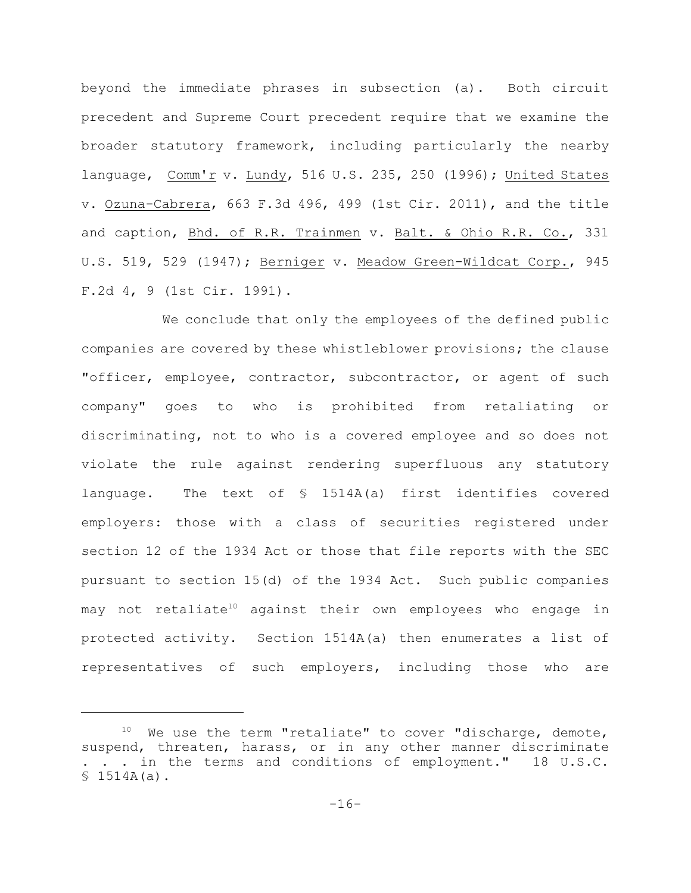beyond the immediate phrases in subsection (a). Both circuit precedent and Supreme Court precedent require that we examine the broader statutory framework, including particularly the nearby language, Comm'r v. Lundy, 516 U.S. 235, 250 (1996); United States v. Ozuna-Cabrera, 663 F.3d 496, 499 (1st Cir. 2011), and the title and caption, Bhd. of R.R. Trainmen v. Balt. & Ohio R.R. Co., 331 U.S. 519, 529 (1947); Berniger v. Meadow Green-Wildcat Corp., 945 F.2d 4, 9 (1st Cir. 1991).

We conclude that only the employees of the defined public companies are covered by these whistleblower provisions; the clause "officer, employee, contractor, subcontractor, or agent of such company" goes to who is prohibited from retaliating or discriminating, not to who is a covered employee and so does not violate the rule against rendering superfluous any statutory language. The text of § 1514A(a) first identifies covered employers: those with a class of securities registered under section 12 of the 1934 Act or those that file reports with the SEC pursuant to section 15(d) of the 1934 Act. Such public companies may not retaliate<sup>10</sup> against their own employees who engage in protected activity. Section 1514A(a) then enumerates a list of representatives of such employers, including those who are

 $10$  We use the term "retaliate" to cover "discharge, demote, suspend, threaten, harass, or in any other manner discriminate . . . in the terms and conditions of employment." 18 U.S.C.  $$ 1514A(a)$ .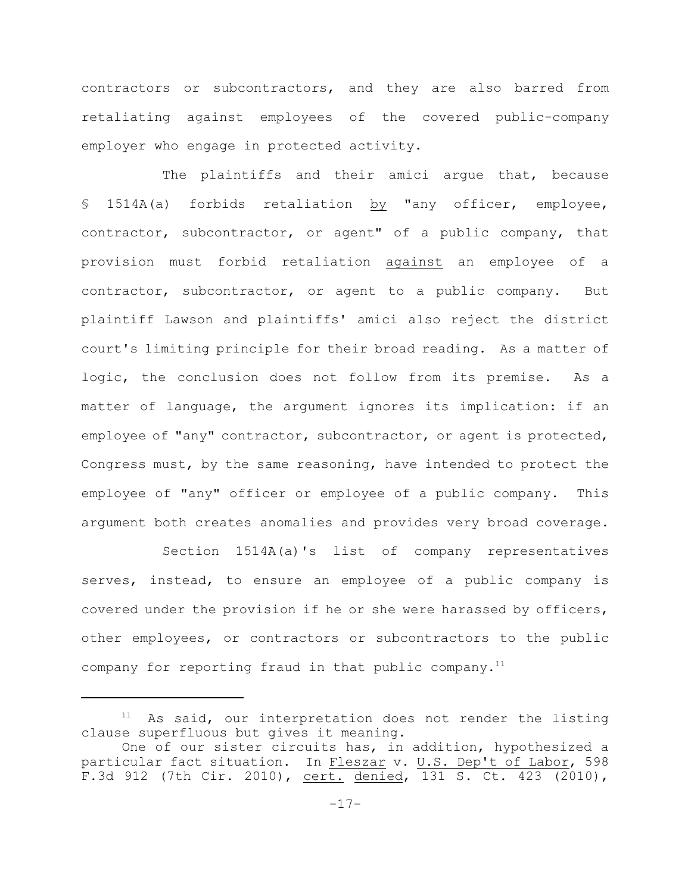contractors or subcontractors, and they are also barred from retaliating against employees of the covered public-company employer who engage in protected activity.

The plaintiffs and their amici argue that, because § 1514A(a) forbids retaliation by "any officer, employee, contractor, subcontractor, or agent" of a public company, that provision must forbid retaliation against an employee of a contractor, subcontractor, or agent to a public company. But plaintiff Lawson and plaintiffs' amici also reject the district court's limiting principle for their broad reading. As a matter of logic, the conclusion does not follow from its premise. As a matter of language, the argument ignores its implication: if an employee of "any" contractor, subcontractor, or agent is protected, Congress must, by the same reasoning, have intended to protect the employee of "any" officer or employee of a public company. This argument both creates anomalies and provides very broad coverage.

Section 1514A(a)'s list of company representatives serves, instead, to ensure an employee of a public company is covered under the provision if he or she were harassed by officers, other employees, or contractors or subcontractors to the public company for reporting fraud in that public company.<sup>11</sup>

 $11$  As said, our interpretation does not render the listing clause superfluous but gives it meaning.

One of our sister circuits has, in addition, hypothesized a particular fact situation. In Fleszar v. U.S. Dep't of Labor, 598 F.3d 912 (7th Cir. 2010), cert. denied, 131 S. Ct. 423 (2010),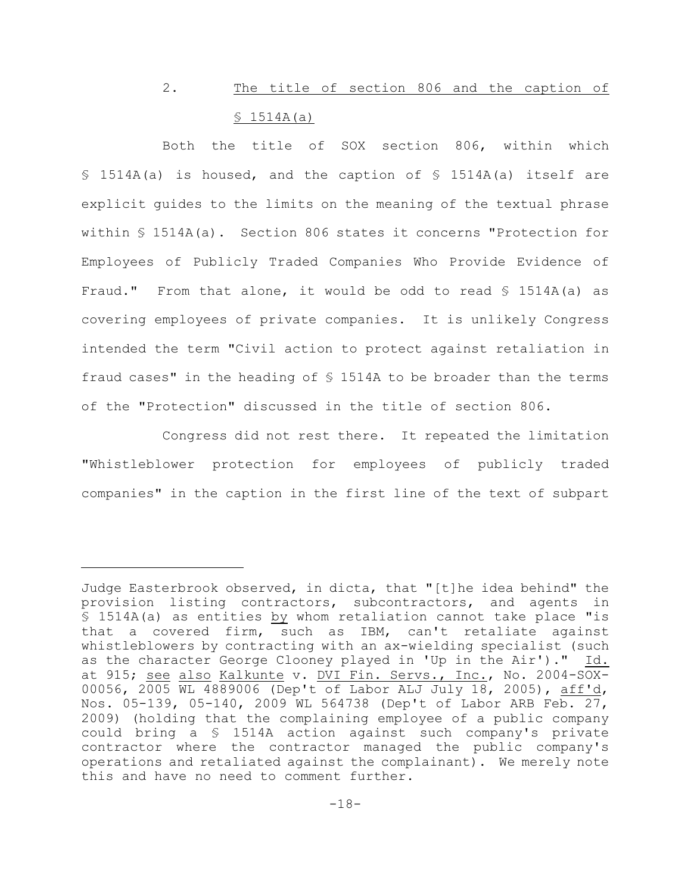# 2. The title of section 806 and the caption of § 1514A(a)

Both the title of SOX section 806, within which § 1514A(a) is housed, and the caption of § 1514A(a) itself are explicit guides to the limits on the meaning of the textual phrase within § 1514A(a). Section 806 states it concerns "Protection for Employees of Publicly Traded Companies Who Provide Evidence of Fraud." From that alone, it would be odd to read § 1514A(a) as covering employees of private companies. It is unlikely Congress intended the term "Civil action to protect against retaliation in fraud cases" in the heading of § 1514A to be broader than the terms of the "Protection" discussed in the title of section 806.

Congress did not rest there. It repeated the limitation "Whistleblower protection for employees of publicly traded companies" in the caption in the first line of the text of subpart

Judge Easterbrook observed, in dicta, that "[t]he idea behind" the provision listing contractors, subcontractors, and agents in § 1514A(a) as entities by whom retaliation cannot take place "is that a covered firm, such as IBM, can't retaliate against whistleblowers by contracting with an ax-wielding specialist (such as the character George Clooney played in 'Up in the Air')." Id. at 915; see also Kalkunte v. DVI Fin. Servs., Inc., No. 2004-SOX-00056, 2005 WL 4889006 (Dep't of Labor ALJ July 18, 2005), aff'd, Nos. 05-139, 05-140, 2009 WL 564738 (Dep't of Labor ARB Feb. 27, 2009) (holding that the complaining employee of a public company could bring a § 1514A action against such company's private contractor where the contractor managed the public company's operations and retaliated against the complainant). We merely note this and have no need to comment further.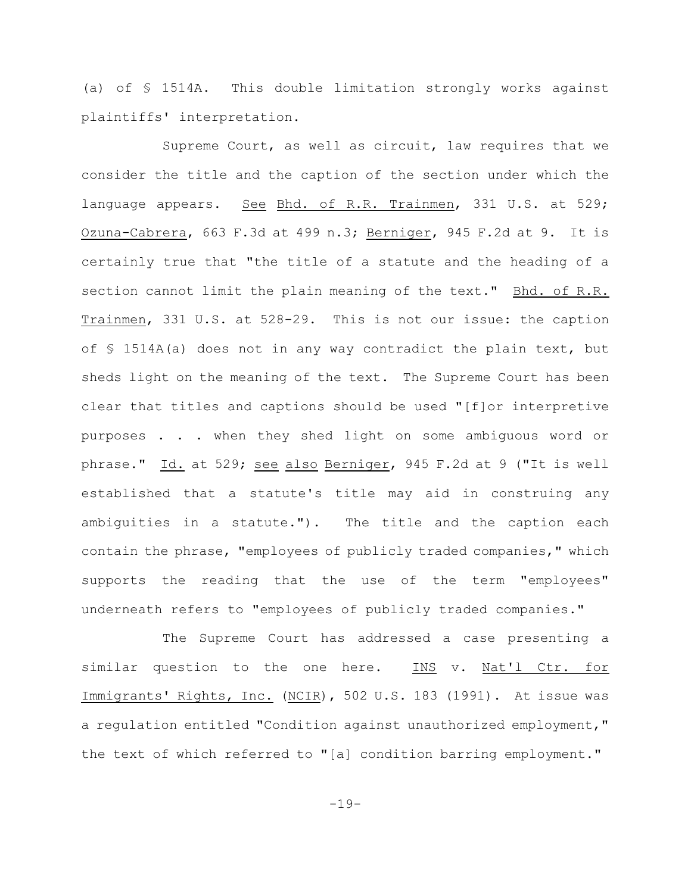(a) of § 1514A. This double limitation strongly works against plaintiffs' interpretation.

Supreme Court, as well as circuit, law requires that we consider the title and the caption of the section under which the language appears. See Bhd. of R.R. Trainmen, 331 U.S. at 529; Ozuna-Cabrera, 663 F.3d at 499 n.3; Berniger, 945 F.2d at 9. It is certainly true that "the title of a statute and the heading of a section cannot limit the plain meaning of the text." Bhd. of R.R. Trainmen, 331 U.S. at 528-29. This is not our issue: the caption of § 1514A(a) does not in any way contradict the plain text, but sheds light on the meaning of the text. The Supreme Court has been clear that titles and captions should be used "[f]or interpretive purposes . . . when they shed light on some ambiguous word or phrase." Id. at 529; see also Berniger, 945 F.2d at 9 ("It is well established that a statute's title may aid in construing any ambiguities in a statute."). The title and the caption each contain the phrase, "employees of publicly traded companies," which supports the reading that the use of the term "employees" underneath refers to "employees of publicly traded companies."

The Supreme Court has addressed a case presenting a similar question to the one here. INS v. Nat'l Ctr. for Immigrants' Rights, Inc. (NCIR), 502 U.S. 183 (1991). At issue was a regulation entitled "Condition against unauthorized employment," the text of which referred to "[a] condition barring employment."

-19-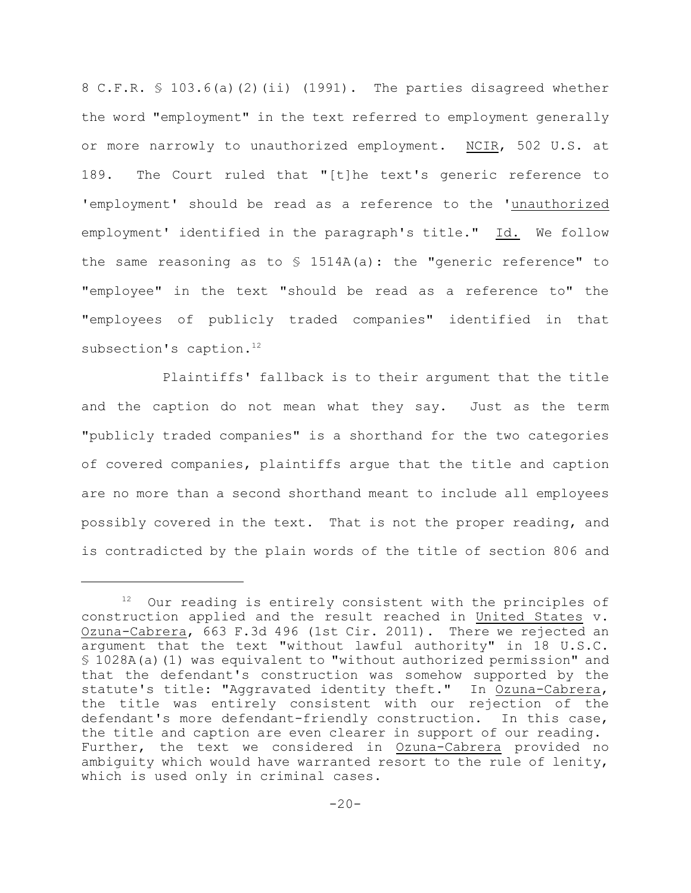8 C.F.R. § 103.6(a)(2)(ii) (1991). The parties disagreed whether the word "employment" in the text referred to employment generally or more narrowly to unauthorized employment. NCIR, 502 U.S. at 189. The Court ruled that "[t]he text's generic reference to 'employment' should be read as a reference to the 'unauthorized employment' identified in the paragraph's title." Id. We follow the same reasoning as to  $\frac{1514A(a)}{a}$ : the "generic reference" to "employee" in the text "should be read as a reference to" the "employees of publicly traded companies" identified in that subsection's caption.<sup>12</sup>

Plaintiffs' fallback is to their argument that the title and the caption do not mean what they say. Just as the term "publicly traded companies" is a shorthand for the two categories of covered companies, plaintiffs argue that the title and caption are no more than a second shorthand meant to include all employees possibly covered in the text. That is not the proper reading, and is contradicted by the plain words of the title of section 806 and

Our reading is entirely consistent with the principles of construction applied and the result reached in United States v. Ozuna-Cabrera, 663 F.3d 496 (1st Cir. 2011). There we rejected an argument that the text "without lawful authority" in 18 U.S.C. § 1028A(a)(1) was equivalent to "without authorized permission" and that the defendant's construction was somehow supported by the statute's title: "Aggravated identity theft." In Ozuna-Cabrera, the title was entirely consistent with our rejection of the defendant's more defendant-friendly construction. In this case, the title and caption are even clearer in support of our reading. Further, the text we considered in Ozuna-Cabrera provided no ambiguity which would have warranted resort to the rule of lenity, which is used only in criminal cases.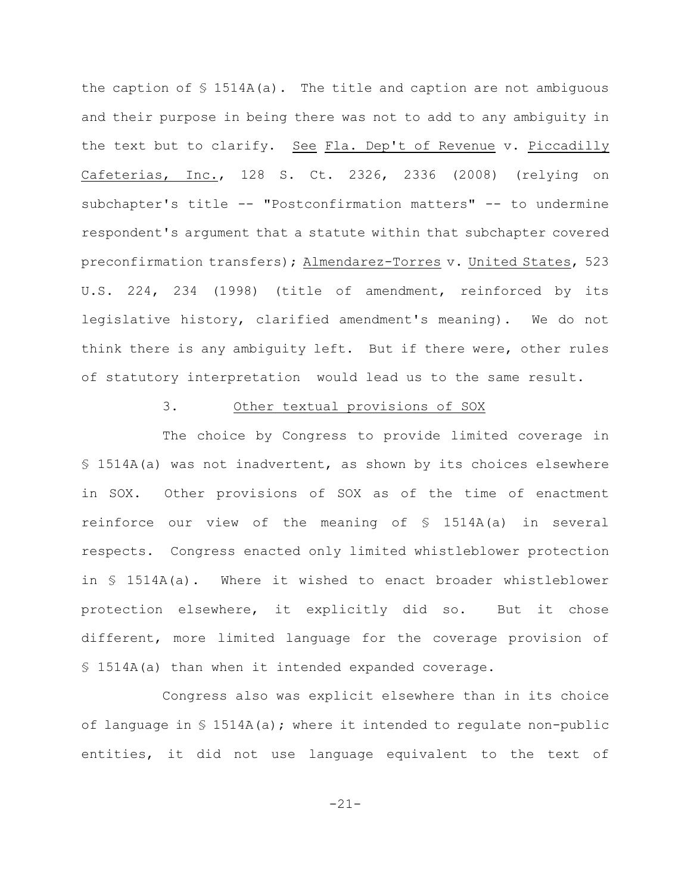the caption of  $\frac{1}{2}$  1514A(a). The title and caption are not ambiguous and their purpose in being there was not to add to any ambiguity in the text but to clarify. See Fla. Dep't of Revenue v. Piccadilly Cafeterias, Inc., 128 S. Ct. 2326, 2336 (2008) (relying on subchapter's title -- "Postconfirmation matters" -- to undermine respondent's argument that a statute within that subchapter covered preconfirmation transfers); Almendarez-Torres v. United States, 523 U.S. 224, 234 (1998) (title of amendment, reinforced by its legislative history, clarified amendment's meaning). We do not think there is any ambiguity left. But if there were, other rules of statutory interpretation would lead us to the same result.

### 3. Other textual provisions of SOX

The choice by Congress to provide limited coverage in § 1514A(a) was not inadvertent, as shown by its choices elsewhere in SOX. Other provisions of SOX as of the time of enactment reinforce our view of the meaning of § 1514A(a) in several respects. Congress enacted only limited whistleblower protection in § 1514A(a). Where it wished to enact broader whistleblower protection elsewhere, it explicitly did so. But it chose different, more limited language for the coverage provision of § 1514A(a) than when it intended expanded coverage.

Congress also was explicit elsewhere than in its choice of language in  $S$  1514A(a); where it intended to regulate non-public entities, it did not use language equivalent to the text of

-21-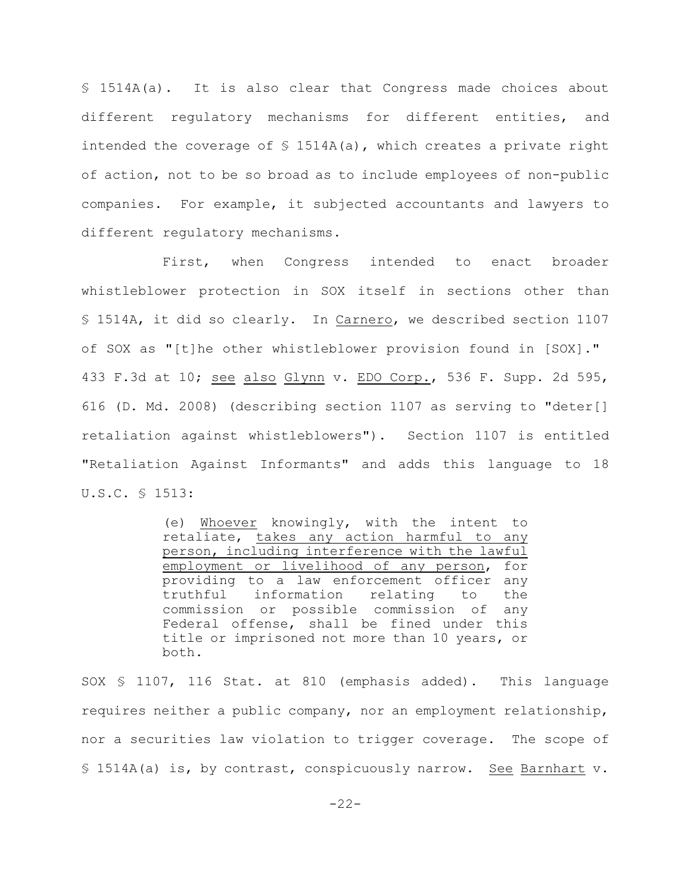§ 1514A(a). It is also clear that Congress made choices about different regulatory mechanisms for different entities, and intended the coverage of  $\frac{1}{2}$  1514A(a), which creates a private right of action, not to be so broad as to include employees of non-public companies. For example, it subjected accountants and lawyers to different regulatory mechanisms.

First, when Congress intended to enact broader whistleblower protection in SOX itself in sections other than § 1514A, it did so clearly. In Carnero, we described section 1107 of SOX as "[t]he other whistleblower provision found in [SOX]." 433 F.3d at 10; see also Glynn v. EDO Corp., 536 F. Supp. 2d 595, 616 (D. Md. 2008) (describing section 1107 as serving to "deter[] retaliation against whistleblowers"). Section 1107 is entitled "Retaliation Against Informants" and adds this language to 18 U.S.C. § 1513:

> (e) Whoever knowingly, with the intent to retaliate, takes any action harmful to any person, including interference with the lawful employment or livelihood of any person, for providing to a law enforcement officer any truthful information relating to the commission or possible commission of any Federal offense, shall be fined under this title or imprisoned not more than 10 years, or both.

SOX § 1107, 116 Stat. at 810 (emphasis added). This language requires neither a public company, nor an employment relationship, nor a securities law violation to trigger coverage. The scope of § 1514A(a) is, by contrast, conspicuously narrow. See Barnhart v.

 $-22-$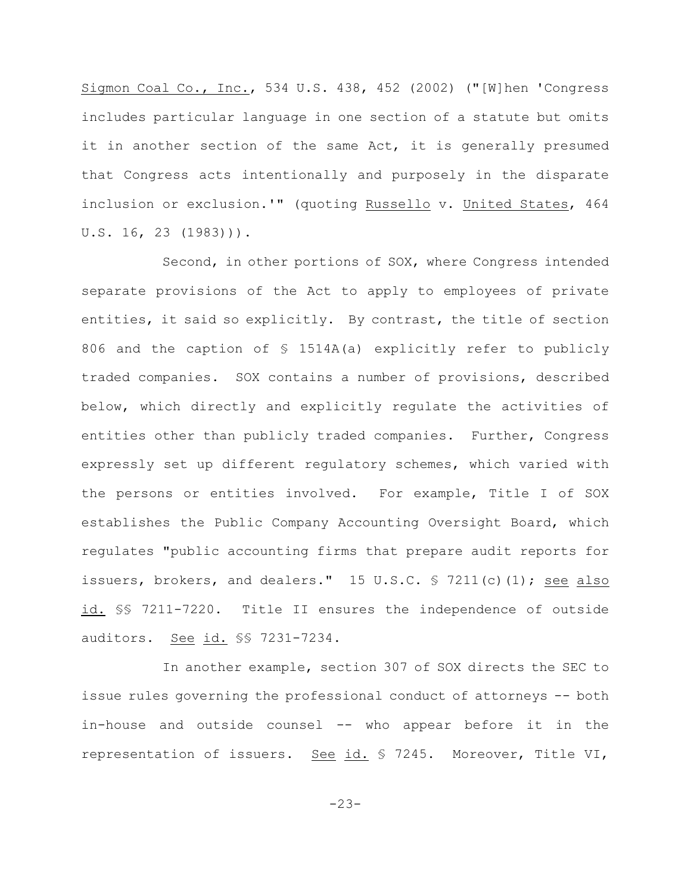Sigmon Coal Co., Inc., 534 U.S. 438, 452 (2002) ("[W]hen 'Congress includes particular language in one section of a statute but omits it in another section of the same Act, it is generally presumed that Congress acts intentionally and purposely in the disparate inclusion or exclusion.'" (quoting Russello v. United States, 464 U.S. 16, 23 (1983))).

Second, in other portions of SOX, where Congress intended separate provisions of the Act to apply to employees of private entities, it said so explicitly. By contrast, the title of section 806 and the caption of § 1514A(a) explicitly refer to publicly traded companies. SOX contains a number of provisions, described below, which directly and explicitly regulate the activities of entities other than publicly traded companies. Further, Congress expressly set up different regulatory schemes, which varied with the persons or entities involved. For example, Title I of SOX establishes the Public Company Accounting Oversight Board, which regulates "public accounting firms that prepare audit reports for issuers, brokers, and dealers." 15 U.S.C.  $\frac{1}{2}$  7211(c)(1); see also id. §§ 7211-7220. Title II ensures the independence of outside auditors. See id. §§ 7231-7234.

In another example, section 307 of SOX directs the SEC to issue rules governing the professional conduct of attorneys -- both in-house and outside counsel -- who appear before it in the representation of issuers. See id. § 7245. Moreover, Title VI,

 $-23-$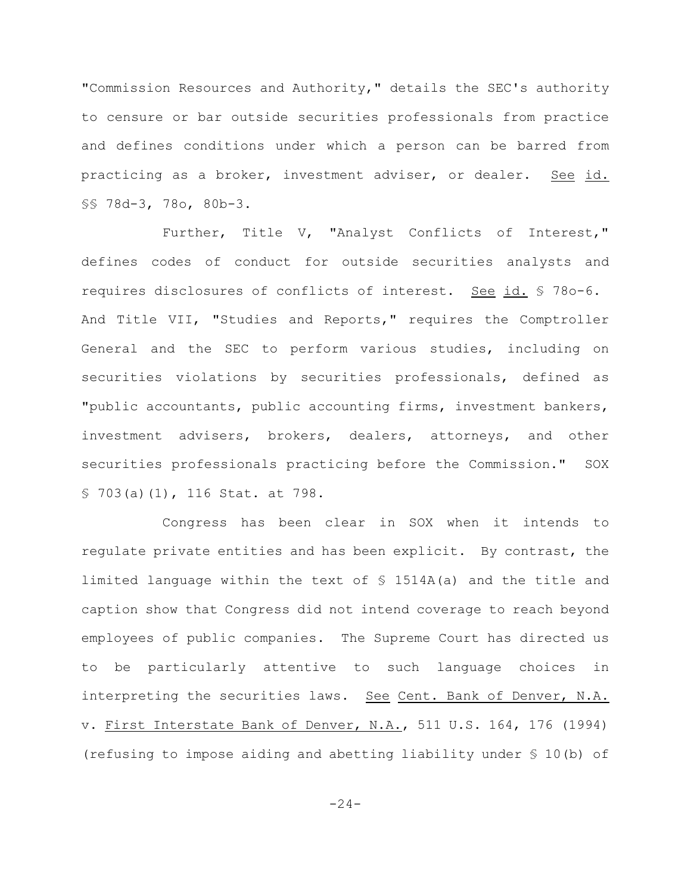"Commission Resources and Authority," details the SEC's authority to censure or bar outside securities professionals from practice and defines conditions under which a person can be barred from practicing as a broker, investment adviser, or dealer. See id. §§ 78d-3, 78o, 80b-3.

Further, Title V, "Analyst Conflicts of Interest," defines codes of conduct for outside securities analysts and requires disclosures of conflicts of interest. See id. § 78o-6. And Title VII, "Studies and Reports," requires the Comptroller General and the SEC to perform various studies, including on securities violations by securities professionals, defined as "public accountants, public accounting firms, investment bankers, investment advisers, brokers, dealers, attorneys, and other securities professionals practicing before the Commission." SOX § 703(a)(1), 116 Stat. at 798.

Congress has been clear in SOX when it intends to regulate private entities and has been explicit. By contrast, the limited language within the text of § 1514A(a) and the title and caption show that Congress did not intend coverage to reach beyond employees of public companies. The Supreme Court has directed us to be particularly attentive to such language choices in interpreting the securities laws. See Cent. Bank of Denver, N.A. v. First Interstate Bank of Denver, N.A., 511 U.S. 164, 176 (1994) (refusing to impose aiding and abetting liability under § 10(b) of

 $-24-$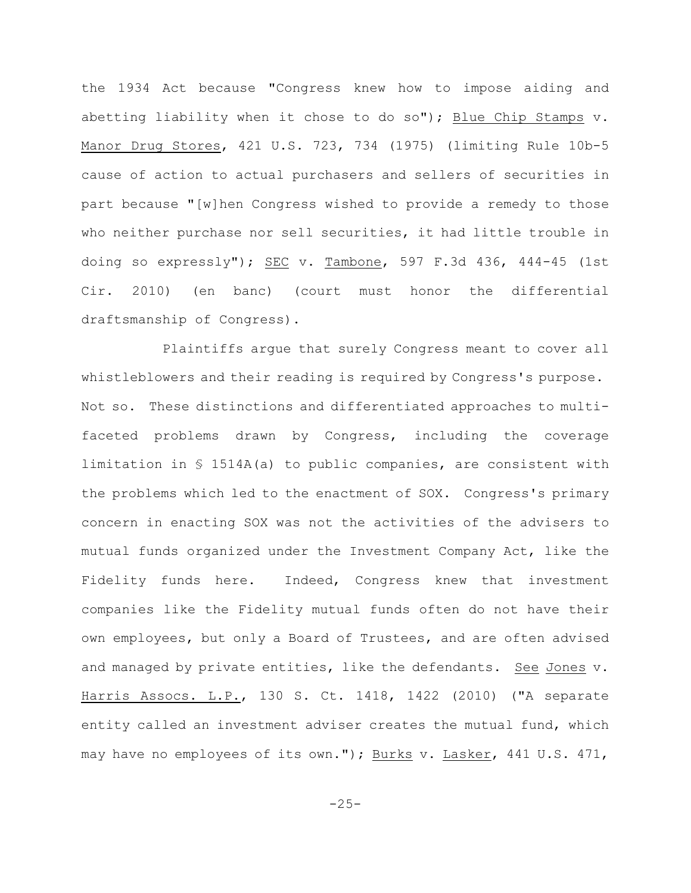the 1934 Act because "Congress knew how to impose aiding and abetting liability when it chose to do so"); Blue Chip Stamps v. Manor Drug Stores, 421 U.S. 723, 734 (1975) (limiting Rule 10b-5 cause of action to actual purchasers and sellers of securities in part because "[w]hen Congress wished to provide a remedy to those who neither purchase nor sell securities, it had little trouble in doing so expressly");  $SEC$  v. Tambone, 597 F.3d 436, 444-45 (1st Cir. 2010) (en banc) (court must honor the differential draftsmanship of Congress).

Plaintiffs argue that surely Congress meant to cover all whistleblowers and their reading is required by Congress's purpose. Not so. These distinctions and differentiated approaches to multifaceted problems drawn by Congress, including the coverage limitation in § 1514A(a) to public companies, are consistent with the problems which led to the enactment of SOX. Congress's primary concern in enacting SOX was not the activities of the advisers to mutual funds organized under the Investment Company Act, like the Fidelity funds here. Indeed, Congress knew that investment companies like the Fidelity mutual funds often do not have their own employees, but only a Board of Trustees, and are often advised and managed by private entities, like the defendants. See Jones v. Harris Assocs. L.P., 130 S. Ct. 1418, 1422 (2010) ("A separate entity called an investment adviser creates the mutual fund, which may have no employees of its own."); Burks v. Lasker, 441 U.S. 471,

 $-25-$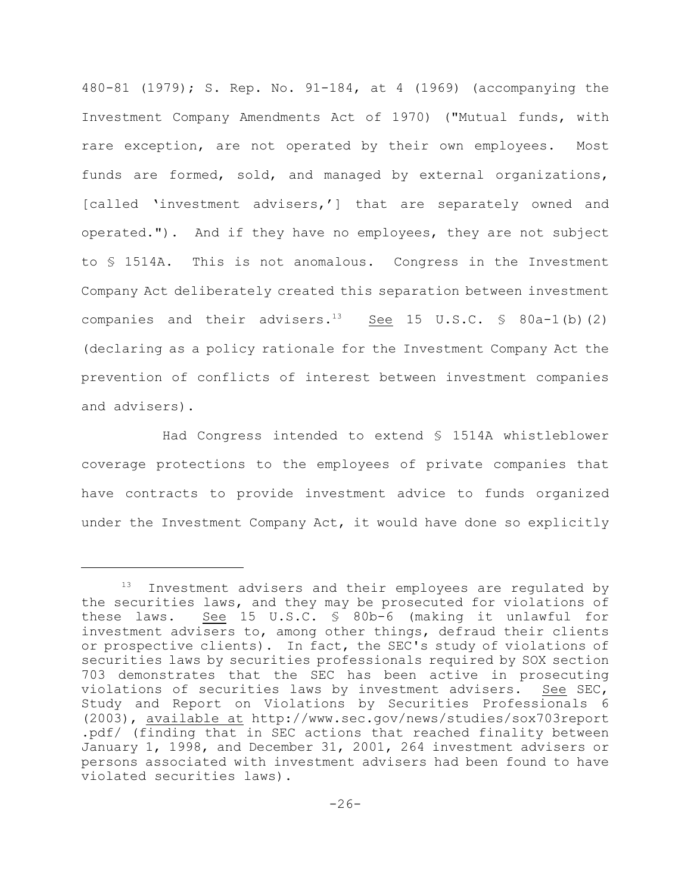480-81 (1979); S. Rep. No. 91-184, at 4 (1969) (accompanying the Investment Company Amendments Act of 1970) ("Mutual funds, with rare exception, are not operated by their own employees. Most funds are formed, sold, and managed by external organizations, [called 'investment advisers,'] that are separately owned and operated."). And if they have no employees, they are not subject to § 1514A. This is not anomalous. Congress in the Investment Company Act deliberately created this separation between investment companies and their advisers.<sup>13</sup> See 15 U.S.C.  $\frac{1}{5}$  80a-1(b)(2) (declaring as a policy rationale for the Investment Company Act the prevention of conflicts of interest between investment companies and advisers).

Had Congress intended to extend § 1514A whistleblower coverage protections to the employees of private companies that have contracts to provide investment advice to funds organized under the Investment Company Act, it would have done so explicitly

 $13$  Investment advisers and their employees are regulated by the securities laws, and they may be prosecuted for violations of these laws. See 15 U.S.C. § 80b-6 (making it unlawful for investment advisers to, among other things, defraud their clients or prospective clients). In fact, the SEC's study of violations of securities laws by securities professionals required by SOX section 703 demonstrates that the SEC has been active in prosecuting violations of securities laws by investment advisers. See SEC, Study and Report on Violations by Securities Professionals 6 (2003), available at http://www.sec.gov/news/studies/sox703report .pdf/ (finding that in SEC actions that reached finality between January 1, 1998, and December 31, 2001, 264 investment advisers or persons associated with investment advisers had been found to have violated securities laws).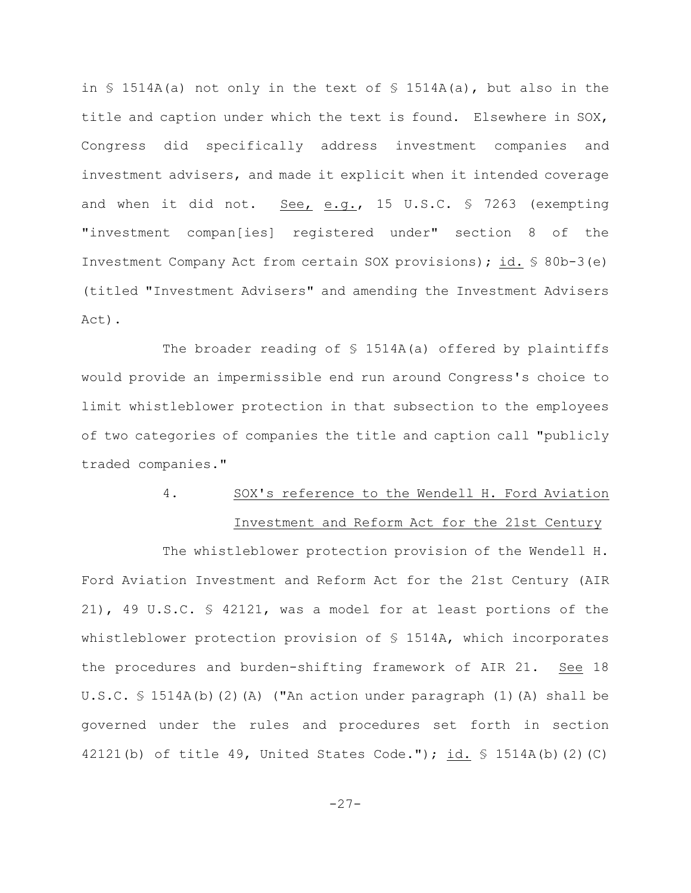in  $\frac{1514A(a)}{a}$  not only in the text of  $\frac{1514A(a)}{a}$ , but also in the title and caption under which the text is found. Elsewhere in SOX, Congress did specifically address investment companies and investment advisers, and made it explicit when it intended coverage and when it did not. See, e.g., 15 U.S.C. § 7263 (exempting "investment compan[ies] registered under" section 8 of the Investment Company Act from certain SOX provisions); id. § 80b-3(e) (titled "Investment Advisers" and amending the Investment Advisers Act).

The broader reading of  $\frac{1514A(a)}{a}$  offered by plaintiffs would provide an impermissible end run around Congress's choice to limit whistleblower protection in that subsection to the employees of two categories of companies the title and caption call "publicly traded companies."

## 4. SOX's reference to the Wendell H. Ford Aviation Investment and Reform Act for the 21st Century

The whistleblower protection provision of the Wendell H. Ford Aviation Investment and Reform Act for the 21st Century (AIR 21), 49 U.S.C. § 42121, was a model for at least portions of the whistleblower protection provision of § 1514A, which incorporates the procedures and burden-shifting framework of AIR 21. See 18 U.S.C.  $\frac{1514A(b)}{2}$  (A) ("An action under paragraph (1)(A) shall be governed under the rules and procedures set forth in section 42121(b) of title 49, United States Code."); id.  $\frac{1}{3}$  1514A(b)(2)(C)

 $-27-$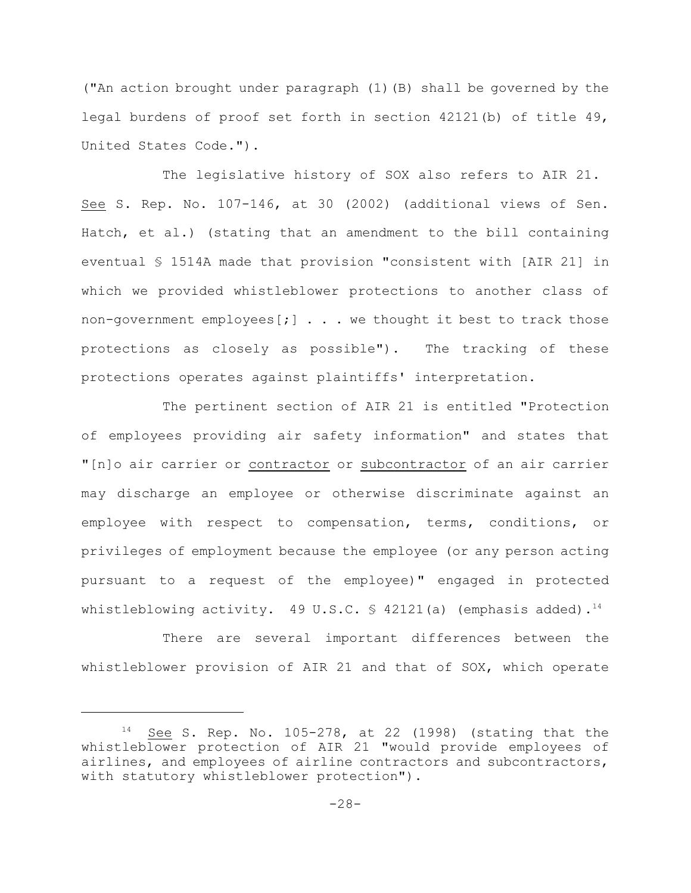("An action brought under paragraph (1)(B) shall be governed by the legal burdens of proof set forth in section 42121(b) of title 49, United States Code.").

The legislative history of SOX also refers to AIR 21. See S. Rep. No. 107-146, at 30 (2002) (additional views of Sen. Hatch, et al.) (stating that an amendment to the bill containing eventual § 1514A made that provision "consistent with [AIR 21] in which we provided whistleblower protections to another class of non-government employees[;]  $\ldots$  we thought it best to track those protections as closely as possible"). The tracking of these protections operates against plaintiffs' interpretation.

The pertinent section of AIR 21 is entitled "Protection of employees providing air safety information" and states that "[n]o air carrier or contractor or subcontractor of an air carrier may discharge an employee or otherwise discriminate against an employee with respect to compensation, terms, conditions, or privileges of employment because the employee (or any person acting pursuant to a request of the employee)" engaged in protected whistleblowing activity. 49 U.S.C.  $\frac{6}{5}$  42121(a) (emphasis added).<sup>14</sup>

There are several important differences between the whistleblower provision of AIR 21 and that of SOX, which operate

 $14$  See S. Rep. No. 105-278, at 22 (1998) (stating that the whistleblower protection of AIR 21 "would provide employees of airlines, and employees of airline contractors and subcontractors, with statutory whistleblower protection").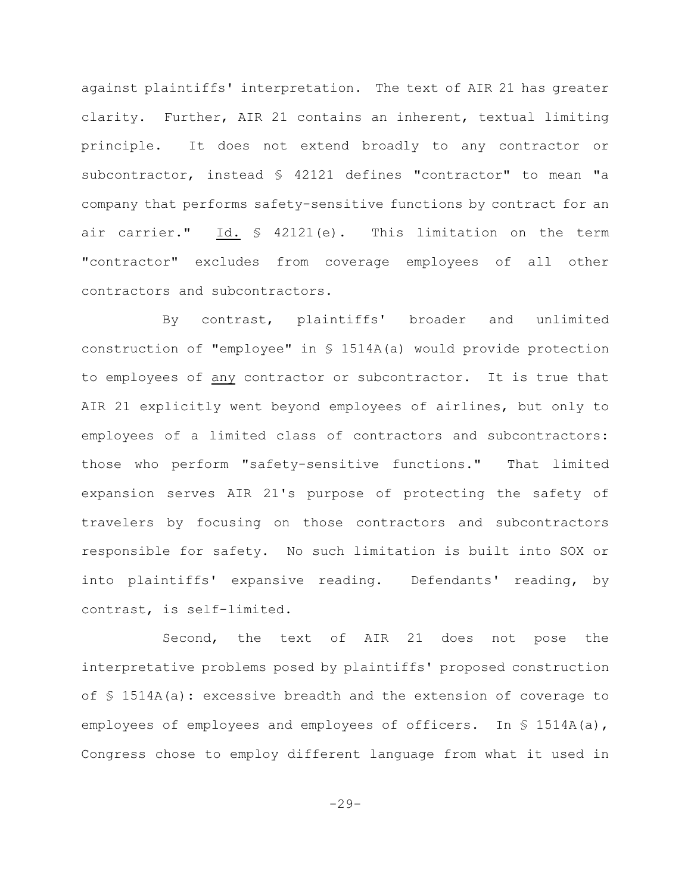against plaintiffs' interpretation. The text of AIR 21 has greater clarity. Further, AIR 21 contains an inherent, textual limiting principle. It does not extend broadly to any contractor or subcontractor, instead § 42121 defines "contractor" to mean "a company that performs safety-sensitive functions by contract for an air carrier." Id. § 42121(e). This limitation on the term "contractor" excludes from coverage employees of all other contractors and subcontractors.

By contrast, plaintiffs' broader and unlimited construction of "employee" in § 1514A(a) would provide protection to employees of any contractor or subcontractor. It is true that AIR 21 explicitly went beyond employees of airlines, but only to employees of a limited class of contractors and subcontractors: those who perform "safety-sensitive functions." That limited expansion serves AIR 21's purpose of protecting the safety of travelers by focusing on those contractors and subcontractors responsible for safety. No such limitation is built into SOX or into plaintiffs' expansive reading. Defendants' reading, by contrast, is self-limited.

Second, the text of AIR 21 does not pose the interpretative problems posed by plaintiffs' proposed construction of § 1514A(a): excessive breadth and the extension of coverage to employees of employees and employees of officers. In § 1514A(a), Congress chose to employ different language from what it used in

 $-29-$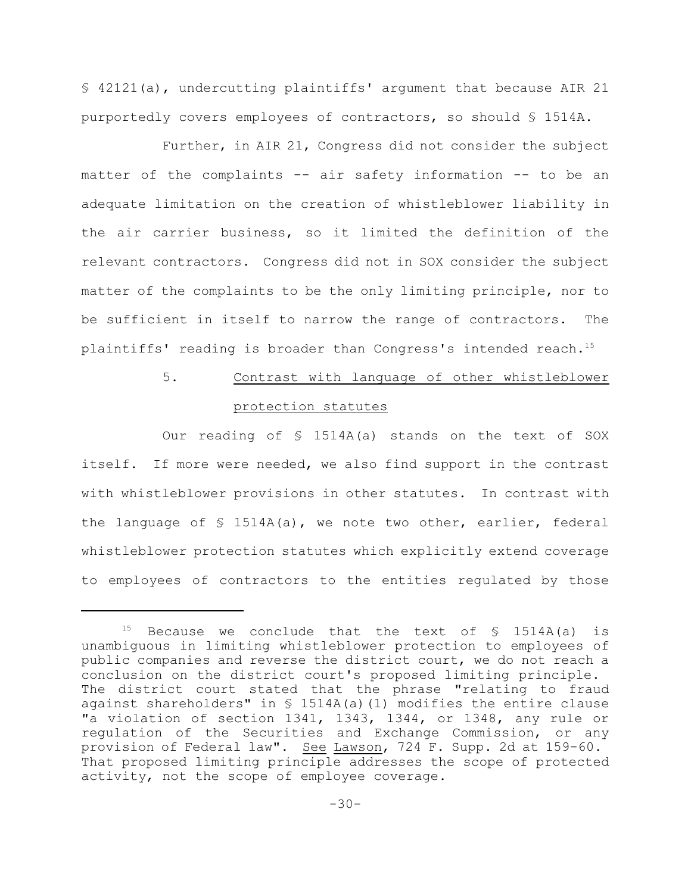§ 42121(a), undercutting plaintiffs' argument that because AIR 21 purportedly covers employees of contractors, so should § 1514A.

Further, in AIR 21, Congress did not consider the subject matter of the complaints -- air safety information -- to be an adequate limitation on the creation of whistleblower liability in the air carrier business, so it limited the definition of the relevant contractors. Congress did not in SOX consider the subject matter of the complaints to be the only limiting principle, nor to be sufficient in itself to narrow the range of contractors. The plaintiffs' reading is broader than Congress's intended reach.<sup>15</sup>

# 5. Contrast with language of other whistleblower protection statutes

Our reading of § 1514A(a) stands on the text of SOX itself. If more were needed, we also find support in the contrast with whistleblower provisions in other statutes. In contrast with the language of § 1514A(a), we note two other, earlier, federal whistleblower protection statutes which explicitly extend coverage to employees of contractors to the entities regulated by those

<sup>&</sup>lt;sup>15</sup> Because we conclude that the text of  $\frac{15}{14A(a)}$  is unambiguous in limiting whistleblower protection to employees of public companies and reverse the district court, we do not reach a conclusion on the district court's proposed limiting principle. The district court stated that the phrase "relating to fraud against shareholders" in  $\frac{1514A(a)}{1}$  modifies the entire clause "a violation of section 1341, 1343, 1344, or 1348, any rule or regulation of the Securities and Exchange Commission, or any provision of Federal law". See Lawson, 724 F. Supp. 2d at 159-60. That proposed limiting principle addresses the scope of protected activity, not the scope of employee coverage.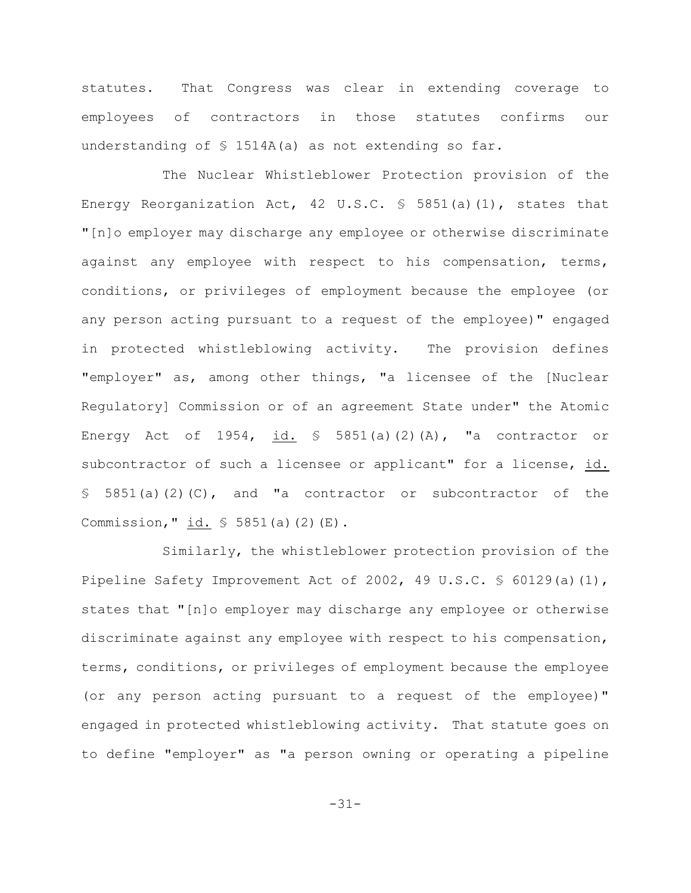statutes. That Congress was clear in extending coverage to employees of contractors in those statutes confirms our understanding of § 1514A(a) as not extending so far.

The Nuclear Whistleblower Protection provision of the Energy Reorganization Act, 42 U.S.C. § 5851(a)(1), states that "[n]o employer may discharge any employee or otherwise discriminate against any employee with respect to his compensation, terms, conditions, or privileges of employment because the employee (or any person acting pursuant to a request of the employee)" engaged in protected whistleblowing activity. The provision defines "employer" as, among other things, "a licensee of the [Nuclear Regulatory] Commission or of an agreement State under" the Atomic Energy Act of 1954, id.  $\frac{1}{5}$  5851(a)(2)(A), "a contractor or subcontractor of such a licensee or applicant" for a license, id.  $$5851(a)(2)(C)$ , and "a contractor or subcontractor of the Commission," id. § 5851(a)(2)(E).

Similarly, the whistleblower protection provision of the Pipeline Safety Improvement Act of 2002, 49 U.S.C.  $\frac{1}{5}$  60129(a)(1), states that "[n]o employer may discharge any employee or otherwise discriminate against any employee with respect to his compensation, terms, conditions, or privileges of employment because the employee (or any person acting pursuant to a request of the employee)" engaged in protected whistleblowing activity. That statute goes on to define "employer" as "a person owning or operating a pipeline

-31-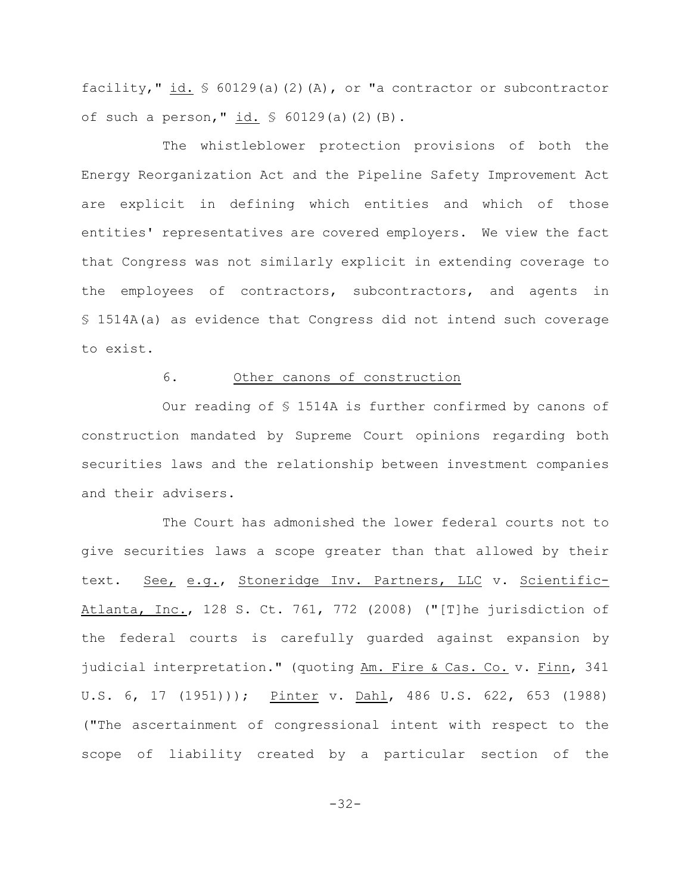facility," id.  $\frac{1}{2}$  60129(a)(2)(A), or "a contractor or subcontractor of such a person," id. § 60129(a)(2)(B).

The whistleblower protection provisions of both the Energy Reorganization Act and the Pipeline Safety Improvement Act are explicit in defining which entities and which of those entities' representatives are covered employers. We view the fact that Congress was not similarly explicit in extending coverage to the employees of contractors, subcontractors, and agents in § 1514A(a) as evidence that Congress did not intend such coverage to exist.

### 6. Other canons of construction

Our reading of § 1514A is further confirmed by canons of construction mandated by Supreme Court opinions regarding both securities laws and the relationship between investment companies and their advisers.

The Court has admonished the lower federal courts not to give securities laws a scope greater than that allowed by their text. See, e.g., Stoneridge Inv. Partners, LLC v. Scientific-Atlanta, Inc., 128 S. Ct. 761, 772 (2008) ("[T]he jurisdiction of the federal courts is carefully guarded against expansion by judicial interpretation." (quoting Am. Fire & Cas. Co. v. Finn, 341 U.S. 6, 17 (1951))); Pinter v. Dahl, 486 U.S. 622, 653 (1988) ("The ascertainment of congressional intent with respect to the scope of liability created by a particular section of the

-32-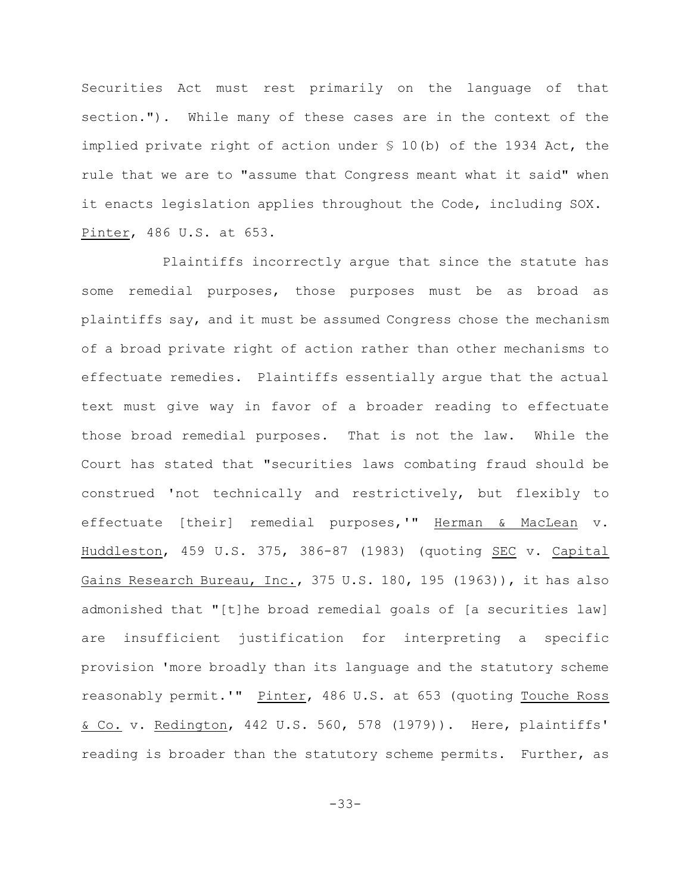Securities Act must rest primarily on the language of that section."). While many of these cases are in the context of the implied private right of action under § 10(b) of the 1934 Act, the rule that we are to "assume that Congress meant what it said" when it enacts legislation applies throughout the Code, including SOX. Pinter, 486 U.S. at 653.

Plaintiffs incorrectly argue that since the statute has some remedial purposes, those purposes must be as broad as plaintiffs say, and it must be assumed Congress chose the mechanism of a broad private right of action rather than other mechanisms to effectuate remedies. Plaintiffs essentially argue that the actual text must give way in favor of a broader reading to effectuate those broad remedial purposes. That is not the law. While the Court has stated that "securities laws combating fraud should be construed 'not technically and restrictively, but flexibly to effectuate [their] remedial purposes,'" Herman & MacLean v. Huddleston, 459 U.S. 375, 386-87 (1983) (quoting SEC v. Capital Gains Research Bureau, Inc., 375 U.S. 180, 195 (1963)), it has also admonished that "[t]he broad remedial goals of [a securities law] are insufficient justification for interpreting a specific provision 'more broadly than its language and the statutory scheme reasonably permit.'" Pinter, 486 U.S. at 653 (quoting Touche Ross & Co. v. Redington, 442 U.S. 560, 578 (1979)). Here, plaintiffs' reading is broader than the statutory scheme permits. Further, as

-33-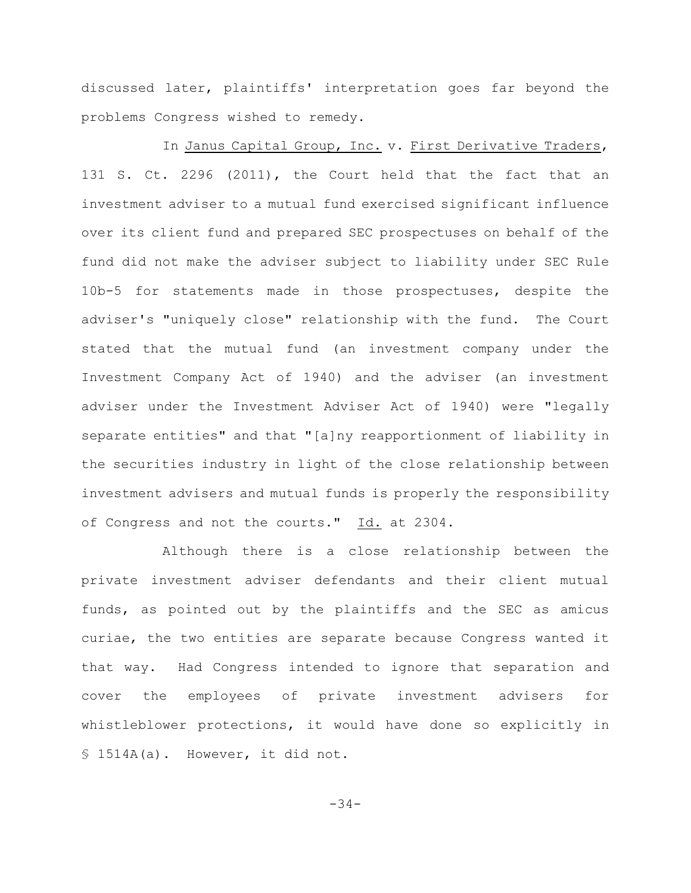discussed later, plaintiffs' interpretation goes far beyond the problems Congress wished to remedy.

In Janus Capital Group, Inc. v. First Derivative Traders, 131 S. Ct. 2296 (2011), the Court held that the fact that an investment adviser to a mutual fund exercised significant influence over its client fund and prepared SEC prospectuses on behalf of the fund did not make the adviser subject to liability under SEC Rule 10b-5 for statements made in those prospectuses, despite the adviser's "uniquely close" relationship with the fund. The Court stated that the mutual fund (an investment company under the Investment Company Act of 1940) and the adviser (an investment adviser under the Investment Adviser Act of 1940) were "legally separate entities" and that "[a]ny reapportionment of liability in the securities industry in light of the close relationship between investment advisers and mutual funds is properly the responsibility of Congress and not the courts." Id. at 2304.

Although there is a close relationship between the private investment adviser defendants and their client mutual funds, as pointed out by the plaintiffs and the SEC as amicus curiae, the two entities are separate because Congress wanted it that way. Had Congress intended to ignore that separation and cover the employees of private investment advisers for whistleblower protections, it would have done so explicitly in § 1514A(a). However, it did not.

-34-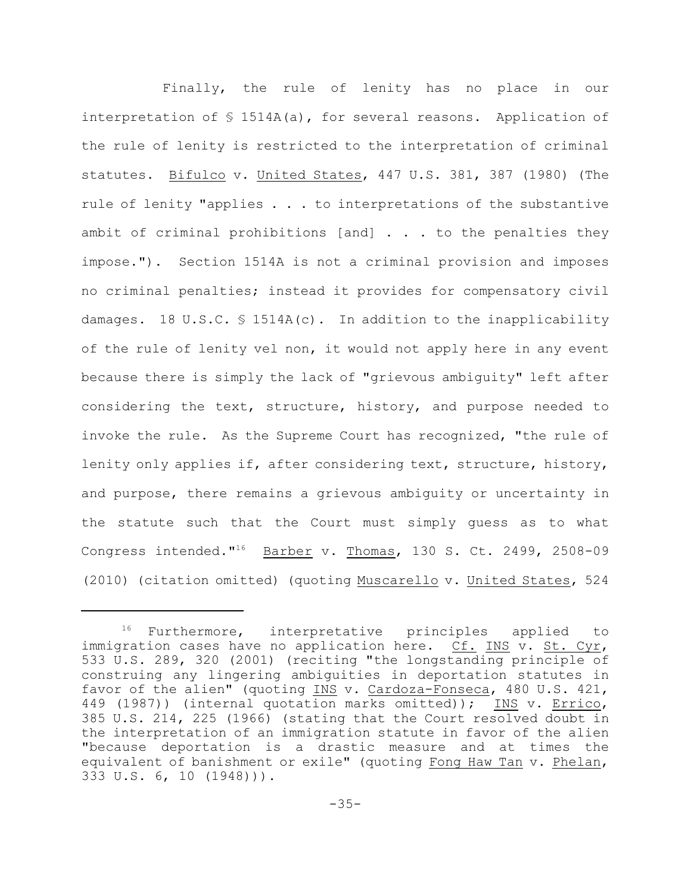Finally, the rule of lenity has no place in our interpretation of § 1514A(a), for several reasons. Application of the rule of lenity is restricted to the interpretation of criminal statutes. Bifulco v. United States, 447 U.S. 381, 387 (1980) (The rule of lenity "applies . . . to interpretations of the substantive ambit of criminal prohibitions [and] . . . to the penalties they impose."). Section 1514A is not a criminal provision and imposes no criminal penalties; instead it provides for compensatory civil damages. 18 U.S.C. § 1514A(c). In addition to the inapplicability of the rule of lenity vel non, it would not apply here in any event because there is simply the lack of "grievous ambiguity" left after considering the text, structure, history, and purpose needed to invoke the rule. As the Supreme Court has recognized, "the rule of lenity only applies if, after considering text, structure, history, and purpose, there remains a grievous ambiguity or uncertainty in the statute such that the Court must simply guess as to what Congress intended."<sup>16</sup> Barber v. Thomas, 130 S. Ct. 2499, 2508-09 (2010) (citation omitted) (quoting Muscarello v. United States, 524

 $16$  Furthermore, interpretative principles applied to immigration cases have no application here. Cf. INS v. St. Cyr, 533 U.S. 289, 320 (2001) (reciting "the longstanding principle of construing any lingering ambiguities in deportation statutes in favor of the alien" (quoting INS v. Cardoza-Fonseca, 480 U.S. 421, 449 (1987)) (internal quotation marks omitted)); INS v. Errico, 385 U.S. 214, 225 (1966) (stating that the Court resolved doubt in the interpretation of an immigration statute in favor of the alien "because deportation is a drastic measure and at times the equivalent of banishment or exile" (quoting Fong Haw Tan v. Phelan, 333 U.S. 6, 10 (1948))).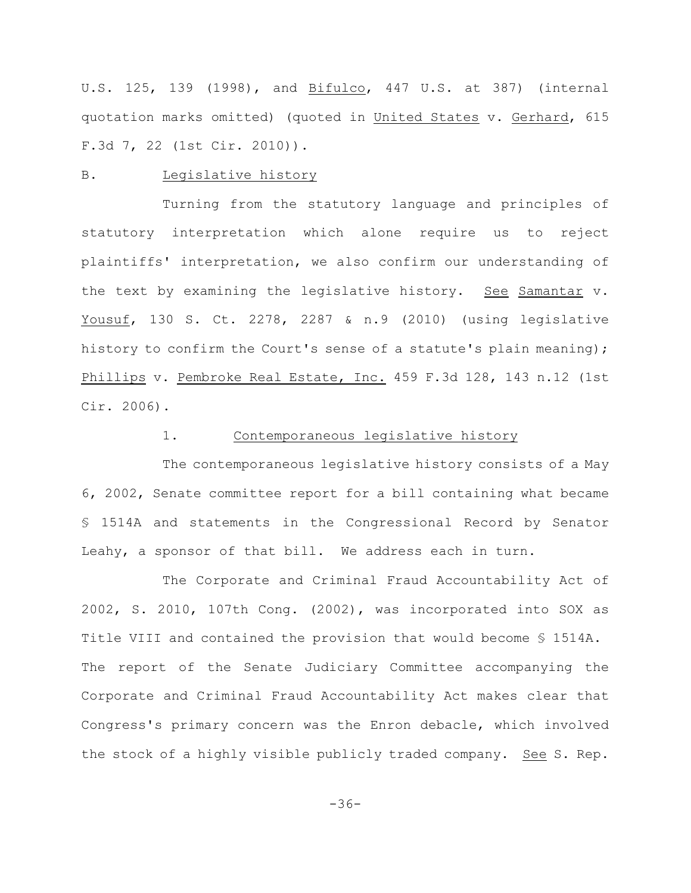U.S. 125, 139 (1998), and Bifulco, 447 U.S. at 387) (internal quotation marks omitted) (quoted in United States v. Gerhard, 615 F.3d 7, 22 (1st Cir. 2010)).

#### B. Legislative history

Turning from the statutory language and principles of statutory interpretation which alone require us to reject plaintiffs' interpretation, we also confirm our understanding of the text by examining the legislative history. See Samantar v. Yousuf, 130 S. Ct. 2278, 2287 & n.9 (2010) (using legislative history to confirm the Court's sense of a statute's plain meaning); Phillips v. Pembroke Real Estate, Inc. 459 F.3d 128, 143 n.12 (1st Cir. 2006).

### 1. Contemporaneous legislative history

The contemporaneous legislative history consists of a May 6, 2002, Senate committee report for a bill containing what became § 1514A and statements in the Congressional Record by Senator Leahy, a sponsor of that bill. We address each in turn.

The Corporate and Criminal Fraud Accountability Act of 2002, S. 2010, 107th Cong. (2002), was incorporated into SOX as Title VIII and contained the provision that would become § 1514A. The report of the Senate Judiciary Committee accompanying the Corporate and Criminal Fraud Accountability Act makes clear that Congress's primary concern was the Enron debacle, which involved the stock of a highly visible publicly traded company. See S. Rep.

-36-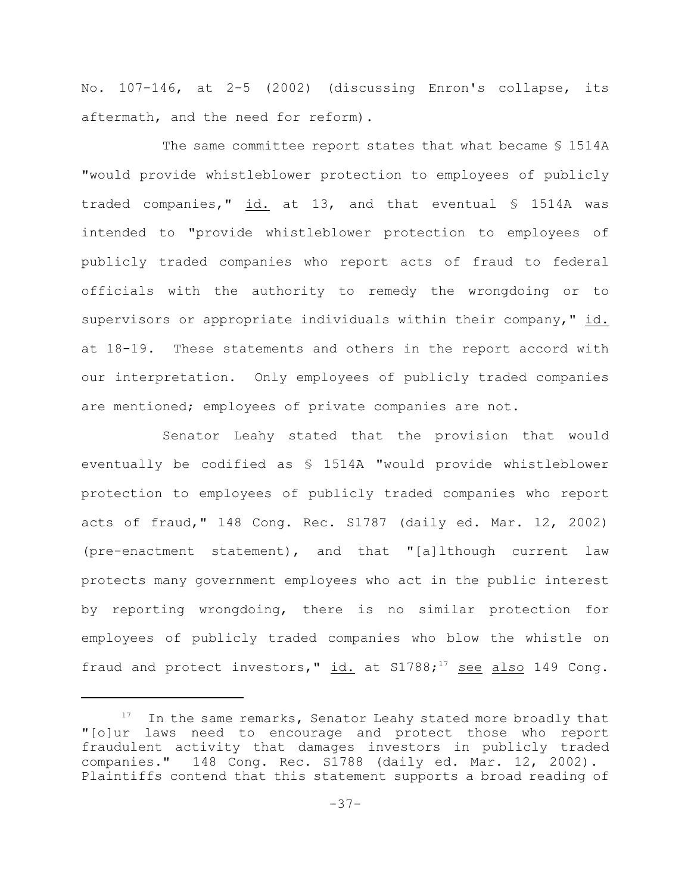No. 107-146, at 2-5 (2002) (discussing Enron's collapse, its aftermath, and the need for reform).

The same committee report states that what became § 1514A "would provide whistleblower protection to employees of publicly traded companies," id. at 13, and that eventual § 1514A was intended to "provide whistleblower protection to employees of publicly traded companies who report acts of fraud to federal officials with the authority to remedy the wrongdoing or to supervisors or appropriate individuals within their company," id. at 18-19. These statements and others in the report accord with our interpretation. Only employees of publicly traded companies are mentioned; employees of private companies are not.

Senator Leahy stated that the provision that would eventually be codified as § 1514A "would provide whistleblower protection to employees of publicly traded companies who report acts of fraud," 148 Cong. Rec. S1787 (daily ed. Mar. 12, 2002) (pre-enactment statement), and that "[a]lthough current law protects many government employees who act in the public interest by reporting wrongdoing, there is no similar protection for employees of publicly traded companies who blow the whistle on fraud and protect investors,"  $id.$  at S1788;<sup>17</sup> see also 149 Cong.

 $17$  In the same remarks, Senator Leahy stated more broadly that "[o]ur laws need to encourage and protect those who report fraudulent activity that damages investors in publicly traded companies." 148 Cong. Rec. S1788 (daily ed. Mar. 12, 2002). Plaintiffs contend that this statement supports a broad reading of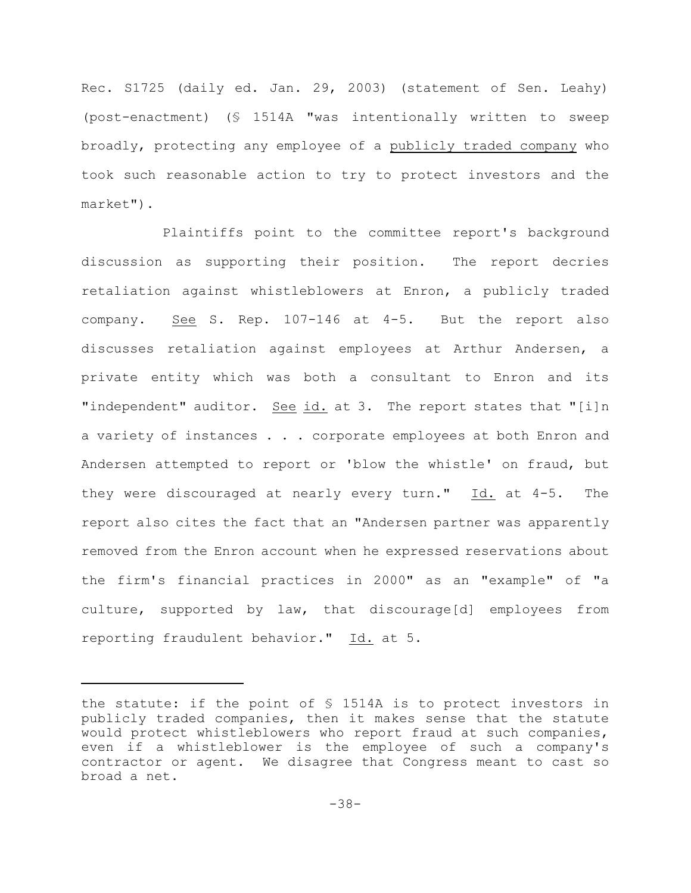Rec. S1725 (daily ed. Jan. 29, 2003) (statement of Sen. Leahy) (post-enactment) (§ 1514A "was intentionally written to sweep broadly, protecting any employee of a publicly traded company who took such reasonable action to try to protect investors and the market").

Plaintiffs point to the committee report's background discussion as supporting their position. The report decries retaliation against whistleblowers at Enron, a publicly traded company. See S. Rep. 107-146 at 4-5. But the report also discusses retaliation against employees at Arthur Andersen, a private entity which was both a consultant to Enron and its "independent" auditor. See id. at 3. The report states that "[i]n a variety of instances . . . corporate employees at both Enron and Andersen attempted to report or 'blow the whistle' on fraud, but they were discouraged at nearly every turn." Id. at 4-5. The report also cites the fact that an "Andersen partner was apparently removed from the Enron account when he expressed reservations about the firm's financial practices in 2000" as an "example" of "a culture, supported by law, that discourage[d] employees from reporting fraudulent behavior." Id. at 5.

the statute: if the point of § 1514A is to protect investors in publicly traded companies, then it makes sense that the statute would protect whistleblowers who report fraud at such companies, even if a whistleblower is the employee of such a company's contractor or agent. We disagree that Congress meant to cast so broad a net.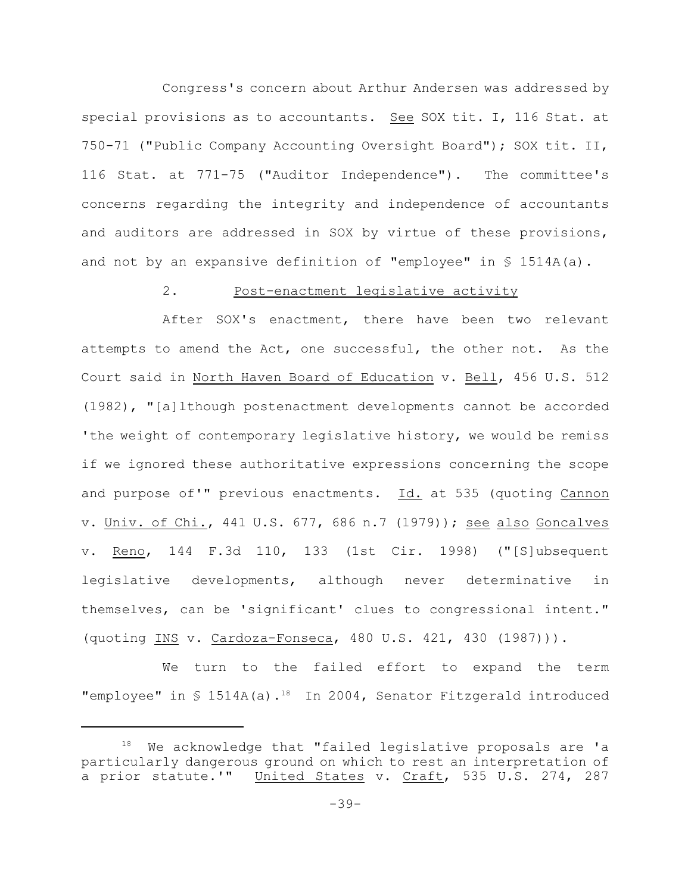Congress's concern about Arthur Andersen was addressed by special provisions as to accountants. See SOX tit. I, 116 Stat. at 750-71 ("Public Company Accounting Oversight Board"); SOX tit. II, 116 Stat. at 771-75 ("Auditor Independence"). The committee's concerns regarding the integrity and independence of accountants and auditors are addressed in SOX by virtue of these provisions, and not by an expansive definition of "employee" in § 1514A(a).

## 2. Post-enactment legislative activity

After SOX's enactment, there have been two relevant attempts to amend the Act, one successful, the other not. As the Court said in North Haven Board of Education v. Bell, 456 U.S. 512 (1982), "[a]lthough postenactment developments cannot be accorded 'the weight of contemporary legislative history, we would be remiss if we ignored these authoritative expressions concerning the scope and purpose of'" previous enactments. Id. at 535 (quoting Cannon v. Univ. of Chi., 441 U.S. 677, 686 n.7 (1979)); see also Goncalves v. Reno, 144 F.3d 110, 133 (1st Cir. 1998) ("[S]ubsequent legislative developments, although never determinative in themselves, can be 'significant' clues to congressional intent." (quoting INS v. Cardoza-Fonseca, 480 U.S. 421, 430 (1987))).

We turn to the failed effort to expand the term "employee" in  $\frac{1514A(a).^{18}}{18}$  In 2004, Senator Fitzgerald introduced

 $18$  We acknowledge that "failed legislative proposals are 'a particularly dangerous ground on which to rest an interpretation of a prior statute.'" United States v. Craft, 535 U.S. 274, 287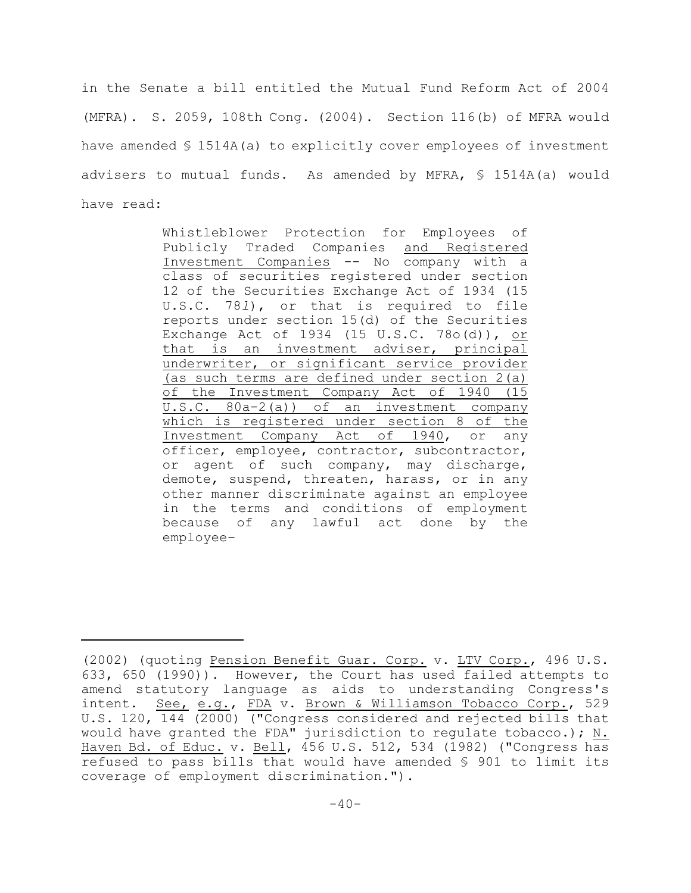in the Senate a bill entitled the Mutual Fund Reform Act of 2004 (MFRA). S. 2059, 108th Cong. (2004). Section 116(b) of MFRA would have amended § 1514A(a) to explicitly cover employees of investment advisers to mutual funds. As amended by MFRA,  $\frac{1514A(a)}{a}$  would have read:

> Whistleblower Protection for Employees of Publicly Traded Companies and Registered Investment Companies -- No company with a class of securities registered under section 12 of the Securities Exchange Act of 1934 (15 U.S.C. 78*l*), or that is required to file reports under section 15(d) of the Securities Exchange Act of 1934 (15 U.S.C. 78o(d)), or that is an investment adviser, principal underwriter, or significant service provider (as such terms are defined under section 2(a) of the Investment Company Act of 1940 (15 U.S.C. 80a-2(a)) of an investment company which is registered under section 8 of the Investment Company Act of 1940, or any officer, employee, contractor, subcontractor, or agent of such company, may discharge, demote, suspend, threaten, harass, or in any other manner discriminate against an employee in the terms and conditions of employment because of any lawful act done by the employee–

<sup>(2002) (</sup>quoting Pension Benefit Guar. Corp. v. LTV Corp., 496 U.S. 633, 650 (1990)). However, the Court has used failed attempts to amend statutory language as aids to understanding Congress's intent. See, e.g., FDA v. Brown & Williamson Tobacco Corp., 529 U.S. 120, 144 (2000) ("Congress considered and rejected bills that would have granted the FDA" jurisdiction to regulate tobacco.);  $N$ . Haven Bd. of Educ. v. Bell, 456 U.S. 512, 534 (1982) ("Congress has refused to pass bills that would have amended § 901 to limit its coverage of employment discrimination.").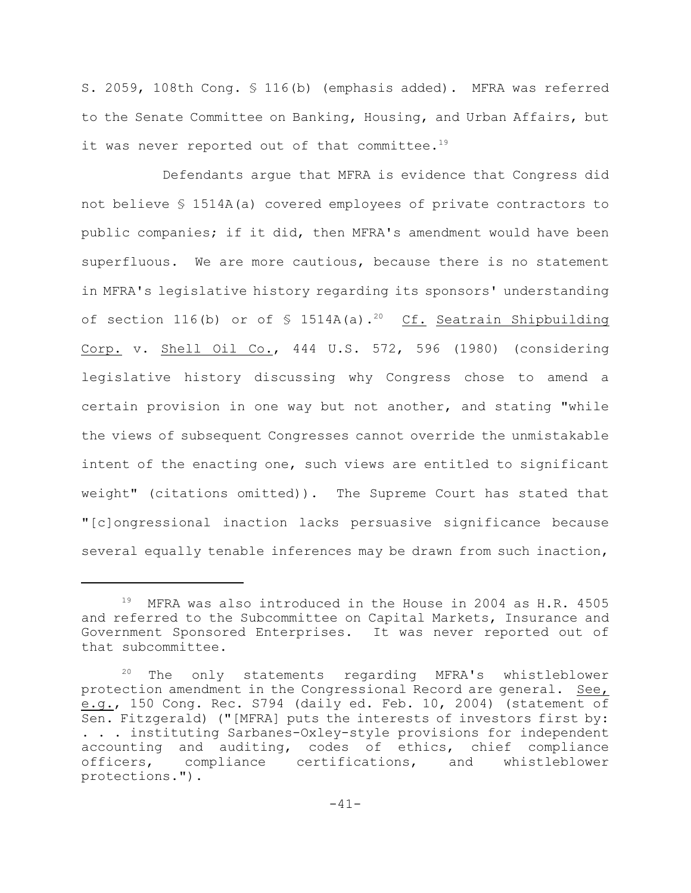S. 2059, 108th Cong. § 116(b) (emphasis added). MFRA was referred to the Senate Committee on Banking, Housing, and Urban Affairs, but it was never reported out of that committee.<sup>19</sup>

Defendants argue that MFRA is evidence that Congress did not believe § 1514A(a) covered employees of private contractors to public companies; if it did, then MFRA's amendment would have been superfluous. We are more cautious, because there is no statement in MFRA's legislative history regarding its sponsors' understanding of section 116(b) or of  $\frac{1514A(a).^{20}}{20}$  Cf. Seatrain Shipbuilding Corp. v. Shell Oil Co., 444 U.S. 572, 596 (1980) (considering legislative history discussing why Congress chose to amend a certain provision in one way but not another, and stating "while the views of subsequent Congresses cannot override the unmistakable intent of the enacting one, such views are entitled to significant weight" (citations omitted)). The Supreme Court has stated that "[c]ongressional inaction lacks persuasive significance because several equally tenable inferences may be drawn from such inaction,

 $19$  MFRA was also introduced in the House in 2004 as H.R. 4505 and referred to the Subcommittee on Capital Markets, Insurance and Government Sponsored Enterprises. It was never reported out of that subcommittee.

 $20$  The only statements regarding MFRA's whistleblower protection amendment in the Congressional Record are general. See, e.g., 150 Cong. Rec. S794 (daily ed. Feb. 10, 2004) (statement of Sen. Fitzgerald) ("[MFRA] puts the interests of investors first by: . . . instituting Sarbanes-Oxley-style provisions for independent accounting and auditing, codes of ethics, chief compliance officers, compliance certifications, and whistleblower protections.").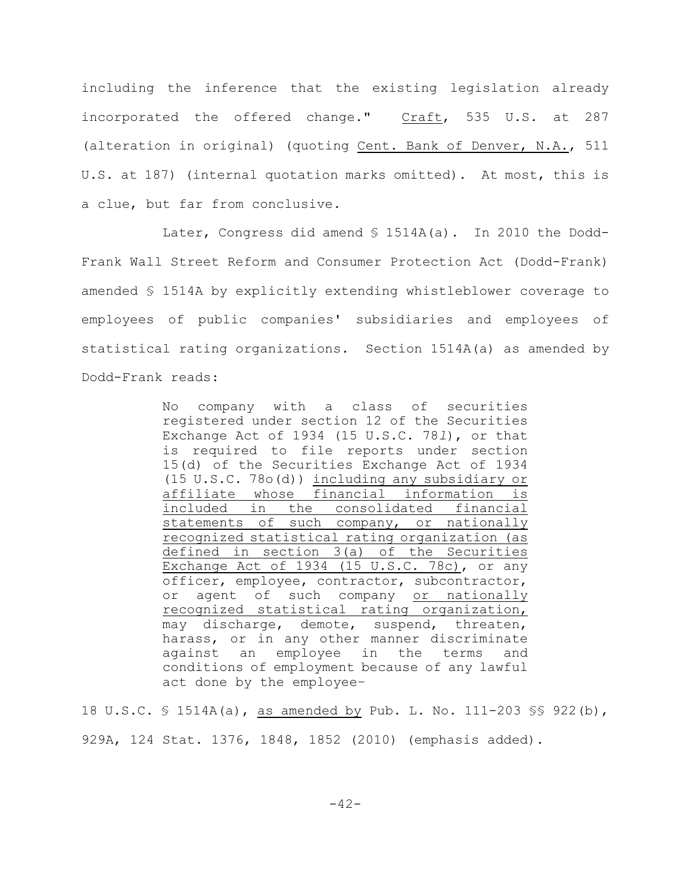including the inference that the existing legislation already incorporated the offered change." Craft, 535 U.S. at 287 (alteration in original) (quoting Cent. Bank of Denver, N.A., 511 U.S. at 187) (internal quotation marks omitted). At most, this is a clue, but far from conclusive.

Later, Congress did amend § 1514A(a). In 2010 the Dodd-Frank Wall Street Reform and Consumer Protection Act (Dodd-Frank) amended § 1514A by explicitly extending whistleblower coverage to employees of public companies' subsidiaries and employees of statistical rating organizations. Section 1514A(a) as amended by Dodd-Frank reads:

> No company with a class of securities registered under section 12 of the Securities Exchange Act of 1934 (15 U.S.C. 78*l*), or that is required to file reports under section 15(d) of the Securities Exchange Act of 1934 (15 U.S.C. 78o(d)) including any subsidiary or affiliate whose financial information is included in the consolidated financial statements of such company, or nationally recognized statistical rating organization (as defined in section 3(a) of the Securities Exchange Act of 1934 (15 U.S.C. 78c), or any officer, employee, contractor, subcontractor, or agent of such company or nationally recognized statistical rating organization, may discharge, demote, suspend, threaten, harass, or in any other manner discriminate against an employee in the terms and conditions of employment because of any lawful act done by the employee–

18 U.S.C. § 1514A(a), as amended by Pub. L. No. 111-203 §§ 922(b), 929A, 124 Stat. 1376, 1848, 1852 (2010) (emphasis added).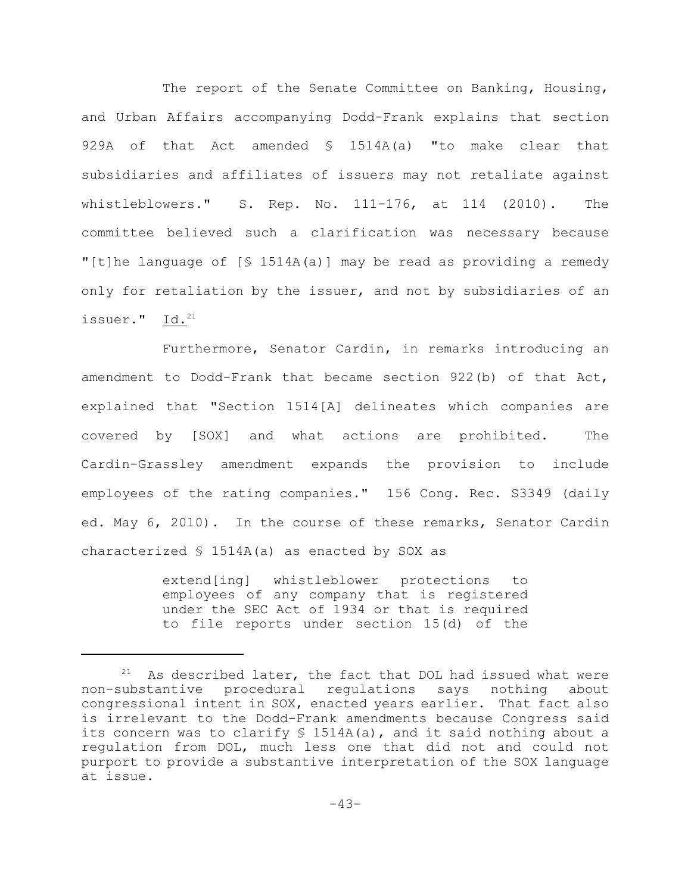The report of the Senate Committee on Banking, Housing, and Urban Affairs accompanying Dodd-Frank explains that section 929A of that Act amended § 1514A(a) "to make clear that subsidiaries and affiliates of issuers may not retaliate against whistleblowers." S. Rep. No. 111-176, at 114 (2010). The committee believed such a clarification was necessary because "[t]he language of [§ 1514A(a)] may be read as providing a remedy only for retaliation by the issuer, and not by subsidiaries of an issuer." Id.<sup>21</sup>

Furthermore, Senator Cardin, in remarks introducing an amendment to Dodd-Frank that became section 922(b) of that Act, explained that "Section 1514[A] delineates which companies are covered by [SOX] and what actions are prohibited. The Cardin-Grassley amendment expands the provision to include employees of the rating companies." 156 Cong. Rec. S3349 (daily ed. May 6, 2010). In the course of these remarks, Senator Cardin characterized § 1514A(a) as enacted by SOX as

> extend[ing] whistleblower protections to employees of any company that is registered under the SEC Act of 1934 or that is required to file reports under section 15(d) of the

As described later, the fact that DOL had issued what were non-substantive procedural regulations says nothing about congressional intent in SOX, enacted years earlier. That fact also is irrelevant to the Dodd-Frank amendments because Congress said its concern was to clarify § 1514A(a), and it said nothing about a regulation from DOL, much less one that did not and could not purport to provide a substantive interpretation of the SOX language at issue.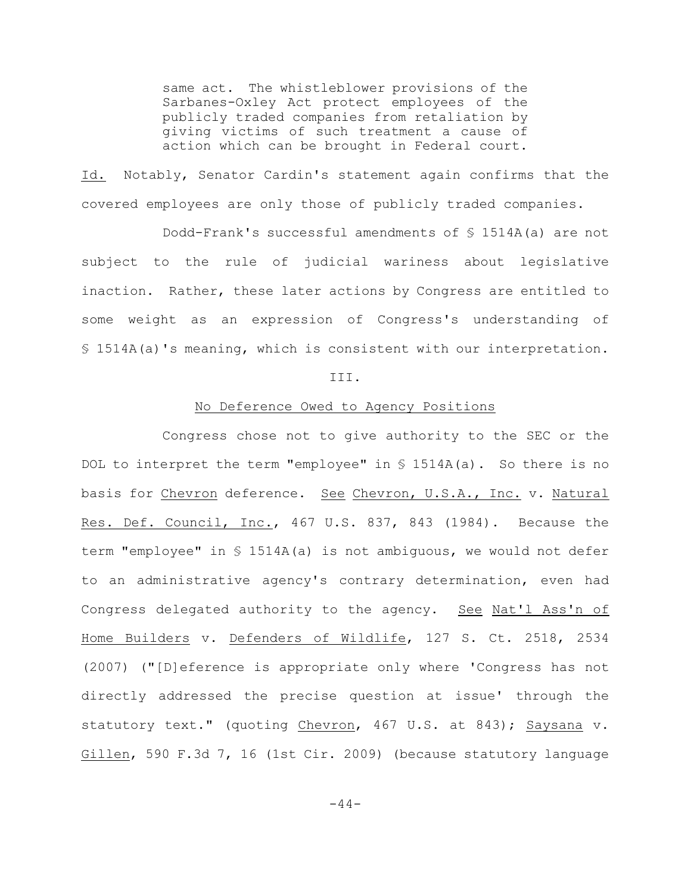same act. The whistleblower provisions of the Sarbanes-Oxley Act protect employees of the publicly traded companies from retaliation by giving victims of such treatment a cause of action which can be brought in Federal court.

Id. Notably, Senator Cardin's statement again confirms that the covered employees are only those of publicly traded companies.

Dodd-Frank's successful amendments of § 1514A(a) are not subject to the rule of judicial wariness about legislative inaction. Rather, these later actions by Congress are entitled to some weight as an expression of Congress's understanding of § 1514A(a)'s meaning, which is consistent with our interpretation.

### III.

#### No Deference Owed to Agency Positions

Congress chose not to give authority to the SEC or the DOL to interpret the term "employee" in § 1514A(a). So there is no basis for Chevron deference. See Chevron, U.S.A., Inc. v. Natural Res. Def. Council, Inc., 467 U.S. 837, 843 (1984). Because the term "employee" in § 1514A(a) is not ambiguous, we would not defer to an administrative agency's contrary determination, even had Congress delegated authority to the agency. See Nat'l Ass'n of Home Builders v. Defenders of Wildlife, 127 S. Ct. 2518, 2534 (2007) ("[D]eference is appropriate only where 'Congress has not directly addressed the precise question at issue' through the statutory text." (quoting Chevron, 467 U.S. at 843); Saysana v. Gillen, 590 F.3d 7, 16 (1st Cir. 2009) (because statutory language

-44-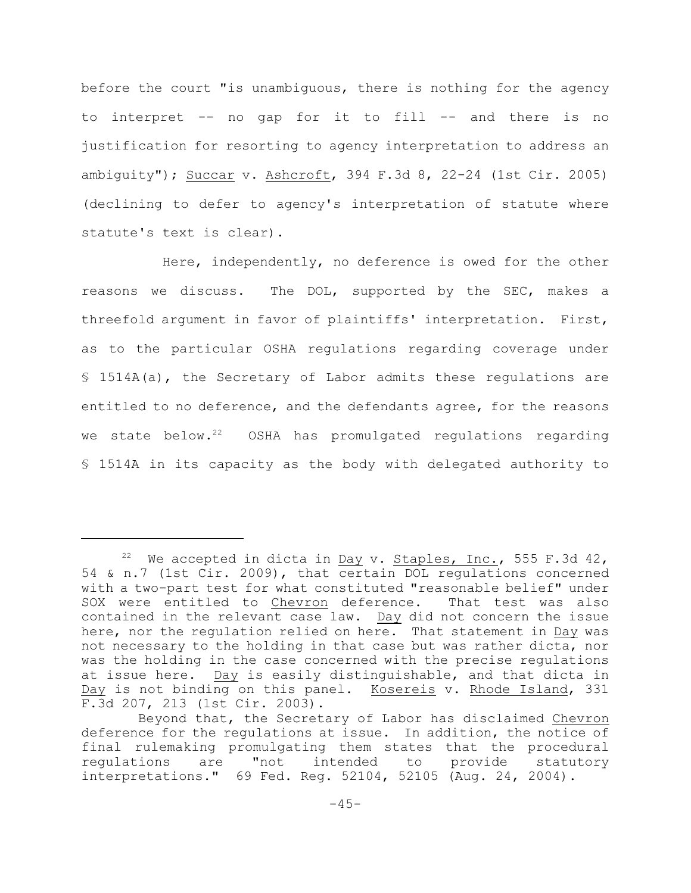before the court "is unambiguous, there is nothing for the agency to interpret -- no gap for it to fill -- and there is no justification for resorting to agency interpretation to address an ambiguity"); Succar v. Ashcroft, 394 F.3d 8, 22-24 (1st Cir. 2005) (declining to defer to agency's interpretation of statute where statute's text is clear).

Here, independently, no deference is owed for the other reasons we discuss. The DOL, supported by the SEC, makes a threefold argument in favor of plaintiffs' interpretation. First, as to the particular OSHA regulations regarding coverage under § 1514A(a), the Secretary of Labor admits these regulations are entitled to no deference, and the defendants agree, for the reasons we state below. $22$  OSHA has promulgated regulations regarding § 1514A in its capacity as the body with delegated authority to

We accepted in dicta in Day v. Staples, Inc., 555 F.3d 42, 54 & n.7 (1st Cir. 2009), that certain DOL regulations concerned with a two-part test for what constituted "reasonable belief" under SOX were entitled to Chevron deference. That test was also contained in the relevant case law. Day did not concern the issue here, nor the regulation relied on here. That statement in Day was not necessary to the holding in that case but was rather dicta, nor was the holding in the case concerned with the precise regulations at issue here. Day is easily distinguishable, and that dicta in Day is not binding on this panel. Kosereis v. Rhode Island, 331 F.3d 207, 213 (1st Cir. 2003).

Beyond that, the Secretary of Labor has disclaimed Chevron deference for the regulations at issue. In addition, the notice of final rulemaking promulgating them states that the procedural<br>requlations are "not intended to provide statutory regulations are "not intended to provide statutory interpretations." 69 Fed. Reg. 52104, 52105 (Aug. 24, 2004).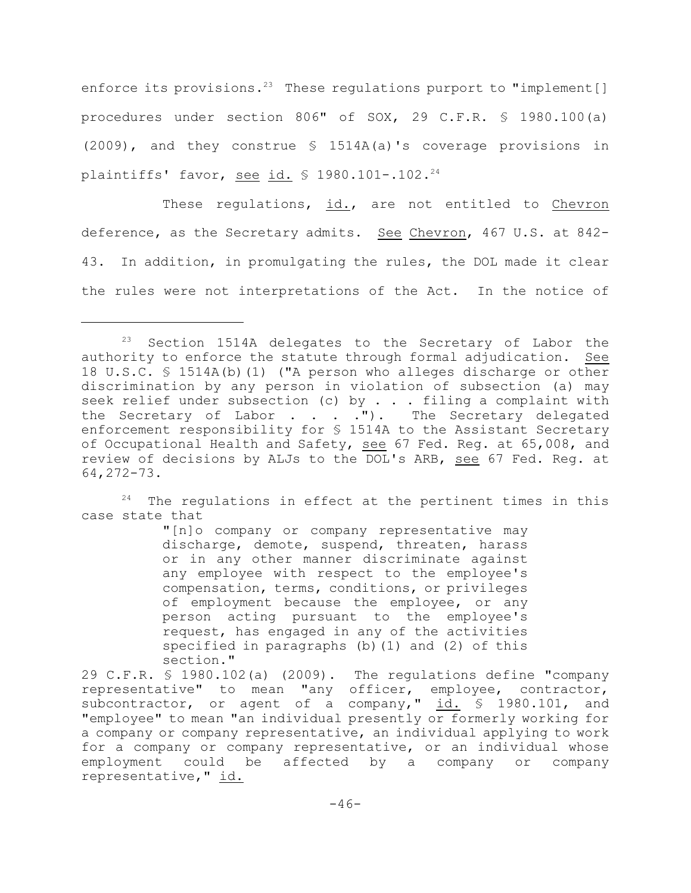enforce its provisions.<sup>23</sup> These regulations purport to "implement[] procedures under section 806" of SOX, 29 C.F.R. § 1980.100(a) (2009), and they construe § 1514A(a)'s coverage provisions in plaintiffs' favor, see id. § 1980.101-.102.<sup>24</sup>

These regulations, id., are not entitled to Chevron deference, as the Secretary admits. See Chevron, 467 U.S. at 842- 43. In addition, in promulgating the rules, the DOL made it clear the rules were not interpretations of the Act. In the notice of

 $24$  The regulations in effect at the pertinent times in this case state that

> "[n]o company or company representative may discharge, demote, suspend, threaten, harass or in any other manner discriminate against any employee with respect to the employee's compensation, terms, conditions, or privileges of employment because the employee, or any person acting pursuant to the employee's request, has engaged in any of the activities specified in paragraphs (b)(1) and (2) of this section."

29 C.F.R. § 1980.102(a) (2009). The regulations define "company representative" to mean "any officer, employee, contractor, subcontractor, or agent of a company," id. § 1980.101, and "employee" to mean "an individual presently or formerly working for a company or company representative, an individual applying to work for a company or company representative, or an individual whose employment could be affected by a company or company representative," id.

 $23$  Section 1514A delegates to the Secretary of Labor the authority to enforce the statute through formal adjudication. See 18 U.S.C. § 1514A(b)(1) ("A person who alleges discharge or other discrimination by any person in violation of subsection (a) may seek relief under subsection (c) by  $\ldots$  . filing a complaint with the Secretary of Labor . . . . "). The Secretary delegated enforcement responsibility for § 1514A to the Assistant Secretary of Occupational Health and Safety, see 67 Fed. Reg. at 65,008, and review of decisions by ALJs to the DOL's ARB, see 67 Fed. Reg. at 64,272-73.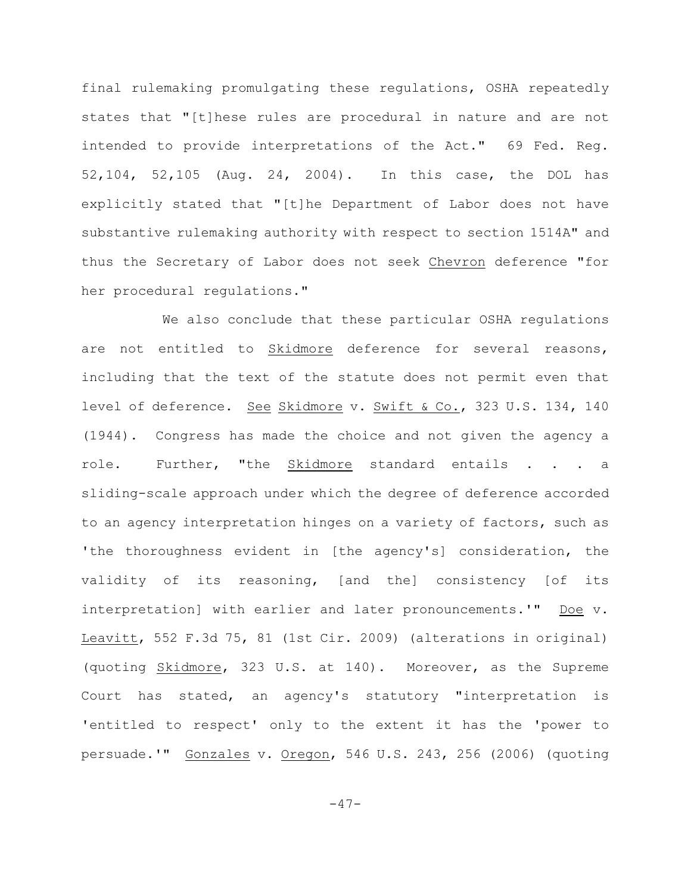final rulemaking promulgating these regulations, OSHA repeatedly states that "[t]hese rules are procedural in nature and are not intended to provide interpretations of the Act." 69 Fed. Reg. 52,104, 52,105 (Aug. 24, 2004). In this case, the DOL has explicitly stated that "[t]he Department of Labor does not have substantive rulemaking authority with respect to section 1514A" and thus the Secretary of Labor does not seek Chevron deference "for her procedural regulations."

We also conclude that these particular OSHA regulations are not entitled to Skidmore deference for several reasons, including that the text of the statute does not permit even that level of deference. See Skidmore v. Swift & Co., 323 U.S. 134, 140 (1944). Congress has made the choice and not given the agency a role. Further, "the Skidmore standard entails . . . a sliding-scale approach under which the degree of deference accorded to an agency interpretation hinges on a variety of factors, such as 'the thoroughness evident in [the agency's] consideration, the validity of its reasoning, [and the] consistency [of its interpretation] with earlier and later pronouncements.'" Doe v. Leavitt, 552 F.3d 75, 81 (1st Cir. 2009) (alterations in original) (quoting Skidmore, 323 U.S. at 140). Moreover, as the Supreme Court has stated, an agency's statutory "interpretation is 'entitled to respect' only to the extent it has the 'power to persuade.'" Gonzales v. Oregon, 546 U.S. 243, 256 (2006) (quoting

 $-47-$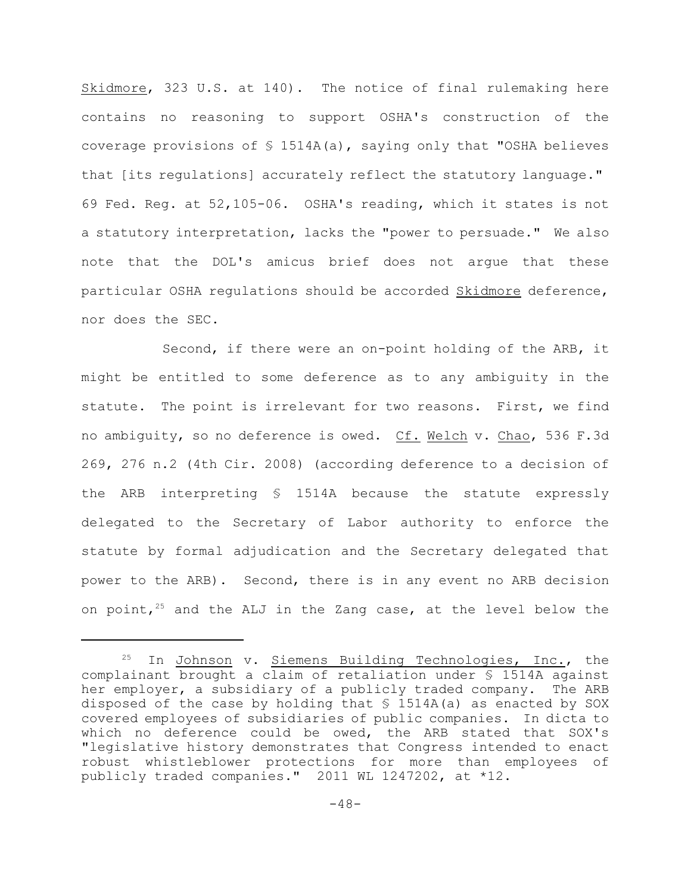Skidmore, 323 U.S. at 140). The notice of final rulemaking here contains no reasoning to support OSHA's construction of the coverage provisions of  $\frac{1514A(a)}{a}$ , saying only that "OSHA believes that [its regulations] accurately reflect the statutory language." 69 Fed. Reg. at 52,105-06. OSHA's reading, which it states is not a statutory interpretation, lacks the "power to persuade." We also note that the DOL's amicus brief does not argue that these particular OSHA regulations should be accorded Skidmore deference, nor does the SEC.

Second, if there were an on-point holding of the ARB, it might be entitled to some deference as to any ambiguity in the statute. The point is irrelevant for two reasons. First, we find no ambiguity, so no deference is owed. Cf. Welch v. Chao, 536 F.3d 269, 276 n.2 (4th Cir. 2008) (according deference to a decision of the ARB interpreting § 1514A because the statute expressly delegated to the Secretary of Labor authority to enforce the statute by formal adjudication and the Secretary delegated that power to the ARB). Second, there is in any event no ARB decision on point,  $25$  and the ALJ in the Zang case, at the level below the

In Johnson v. Siemens Building Technologies, Inc., the complainant brought a claim of retaliation under § 1514A against her employer, a subsidiary of a publicly traded company. The ARB disposed of the case by holding that  $\frac{1514A(a)}{a}$  as enacted by SOX covered employees of subsidiaries of public companies. In dicta to which no deference could be owed, the ARB stated that SOX's "legislative history demonstrates that Congress intended to enact robust whistleblower protections for more than employees of publicly traded companies." 2011 WL 1247202, at \*12.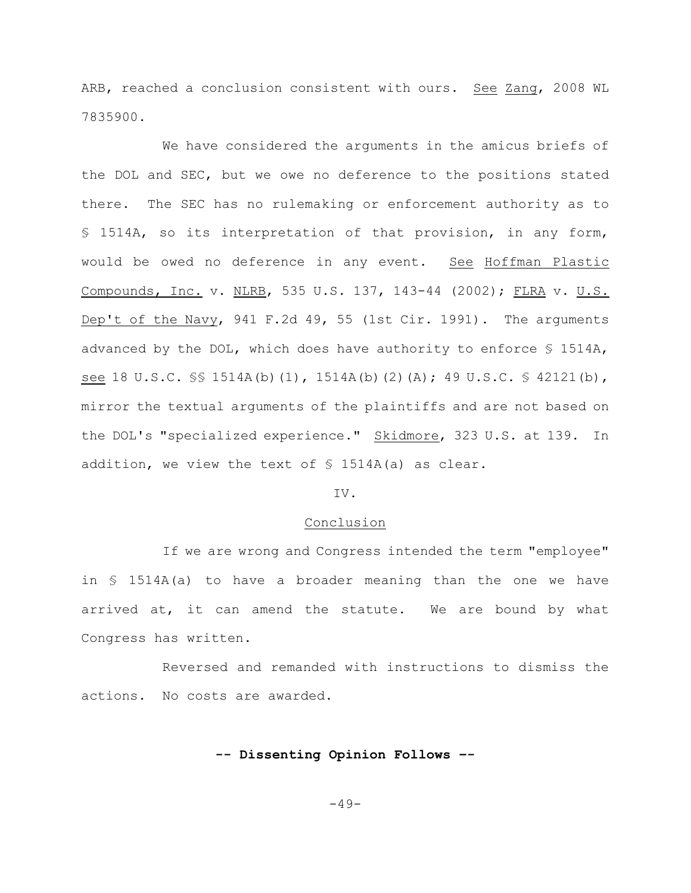ARB, reached a conclusion consistent with ours. See Zang, 2008 WL 7835900.

We have considered the arguments in the amicus briefs of the DOL and SEC, but we owe no deference to the positions stated there. The SEC has no rulemaking or enforcement authority as to § 1514A, so its interpretation of that provision, in any form, would be owed no deference in any event. See Hoffman Plastic Compounds, Inc. v. NLRB, 535 U.S. 137, 143-44 (2002); FLRA v. U.S. Dep't of the Navy, 941 F.2d 49, 55 (1st Cir. 1991). The arguments advanced by the DOL, which does have authority to enforce § 1514A, see 18 U.S.C. §§ 1514A(b)(1), 1514A(b)(2)(A); 49 U.S.C. § 42121(b), mirror the textual arguments of the plaintiffs and are not based on the DOL's "specialized experience." Skidmore, 323 U.S. at 139. In addition, we view the text of § 1514A(a) as clear.

### IV.

### Conclusion

If we are wrong and Congress intended the term "employee" in § 1514A(a) to have a broader meaning than the one we have arrived at, it can amend the statute. We are bound by what Congress has written.

Reversed and remanded with instructions to dismiss the actions. No costs are awarded.

# **-- Dissenting Opinion Follows –-**

-49-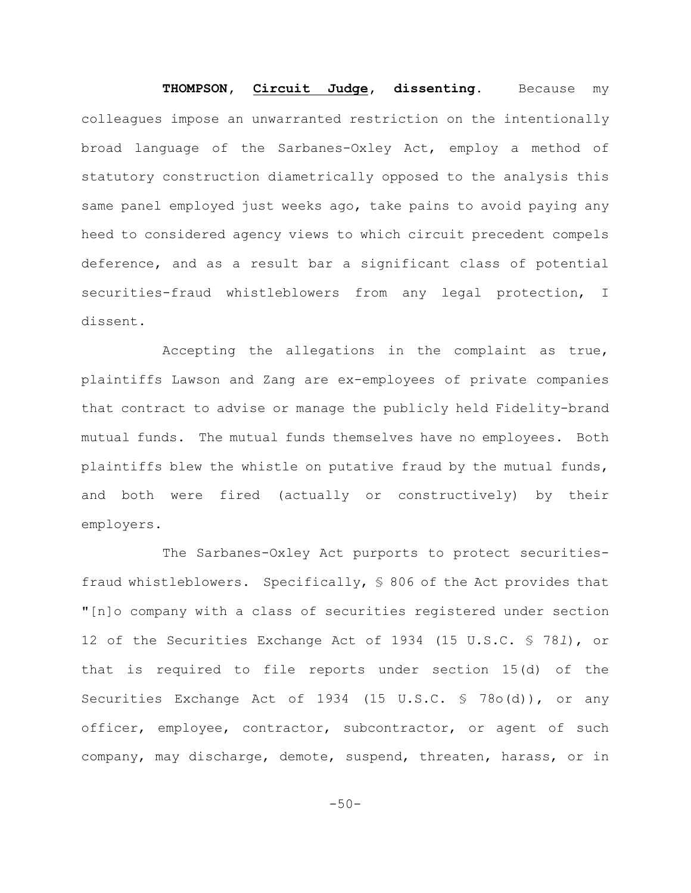**THOMPSON, Circuit Judge, dissenting.** Because my colleagues impose an unwarranted restriction on the intentionally broad language of the Sarbanes-Oxley Act, employ a method of statutory construction diametrically opposed to the analysis this same panel employed just weeks ago, take pains to avoid paying any heed to considered agency views to which circuit precedent compels deference, and as a result bar a significant class of potential securities-fraud whistleblowers from any legal protection, I dissent.

Accepting the allegations in the complaint as true, plaintiffs Lawson and Zang are ex-employees of private companies that contract to advise or manage the publicly held Fidelity-brand mutual funds. The mutual funds themselves have no employees. Both plaintiffs blew the whistle on putative fraud by the mutual funds, and both were fired (actually or constructively) by their employers.

The Sarbanes-Oxley Act purports to protect securitiesfraud whistleblowers. Specifically, § 806 of the Act provides that "[n]o company with a class of securities registered under section 12 of the Securities Exchange Act of 1934 (15 U.S.C. § 78*l*), or that is required to file reports under section 15(d) of the Securities Exchange Act of 1934 (15 U.S.C. § 78o(d)), or any officer, employee, contractor, subcontractor, or agent of such company, may discharge, demote, suspend, threaten, harass, or in

 $-50-$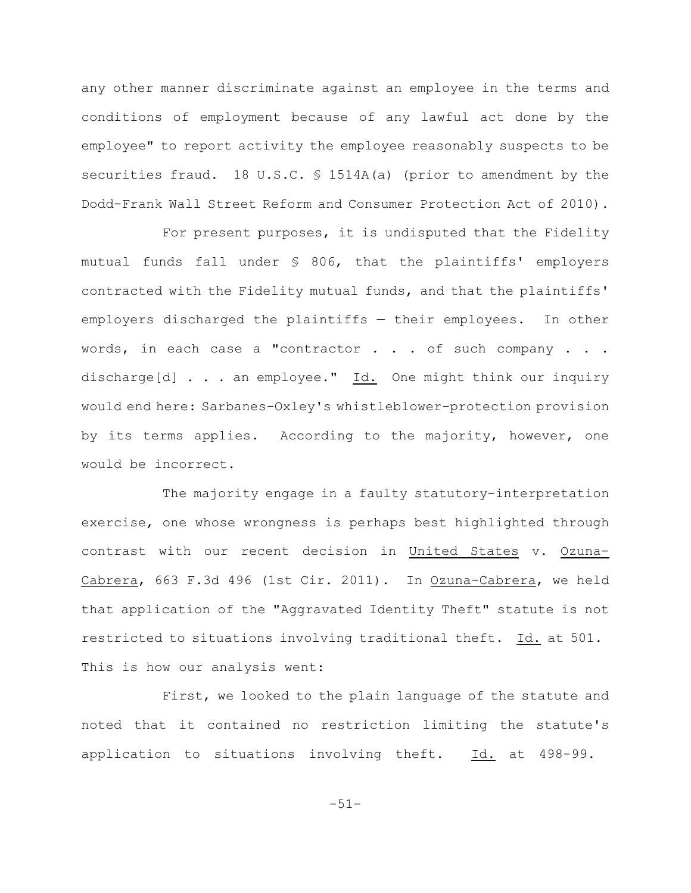any other manner discriminate against an employee in the terms and conditions of employment because of any lawful act done by the employee" to report activity the employee reasonably suspects to be securities fraud. 18 U.S.C. § 1514A(a) (prior to amendment by the Dodd-Frank Wall Street Reform and Consumer Protection Act of 2010).

For present purposes, it is undisputed that the Fidelity mutual funds fall under § 806, that the plaintiffs' employers contracted with the Fidelity mutual funds, and that the plaintiffs' employers discharged the plaintiffs — their employees. In other words, in each case a "contractor  $\ldots$  . of such company  $\ldots$ . discharge[d] . . . an employee." Id. One might think our inquiry would end here: Sarbanes-Oxley's whistleblower-protection provision by its terms applies. According to the majority, however, one would be incorrect.

The majority engage in a faulty statutory-interpretation exercise, one whose wrongness is perhaps best highlighted through contrast with our recent decision in United States v. Ozuna-Cabrera, 663 F.3d 496 (1st Cir. 2011). In Ozuna-Cabrera, we held that application of the "Aggravated Identity Theft" statute is not restricted to situations involving traditional theft. Id. at 501. This is how our analysis went:

First, we looked to the plain language of the statute and noted that it contained no restriction limiting the statute's application to situations involving theft. Id. at 498-99.

-51-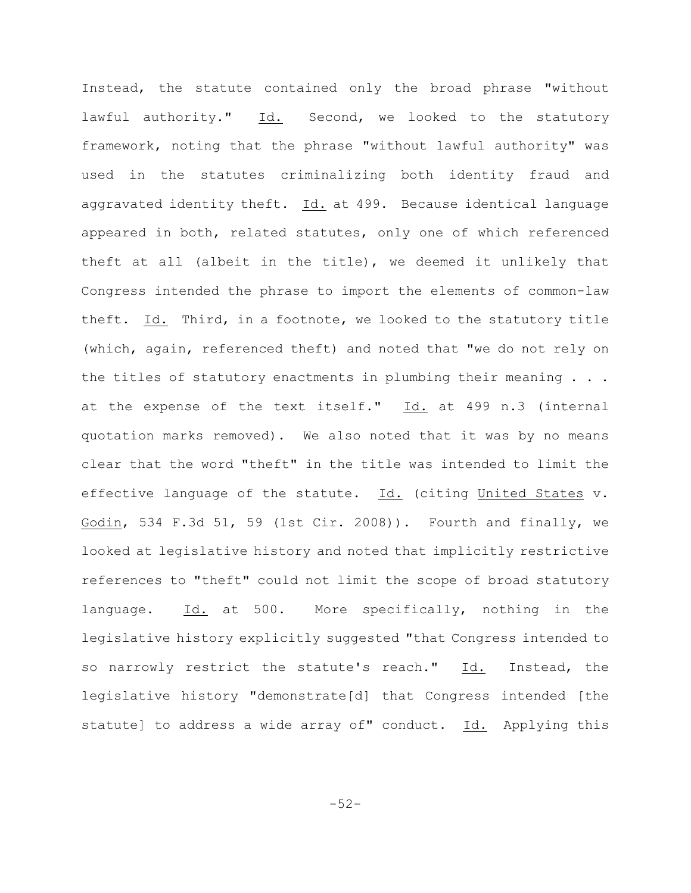Instead, the statute contained only the broad phrase "without lawful authority." Id. Second, we looked to the statutory framework, noting that the phrase "without lawful authority" was used in the statutes criminalizing both identity fraud and aggravated identity theft. Id. at 499. Because identical language appeared in both, related statutes, only one of which referenced theft at all (albeit in the title), we deemed it unlikely that Congress intended the phrase to import the elements of common-law theft. Id. Third, in a footnote, we looked to the statutory title (which, again, referenced theft) and noted that "we do not rely on the titles of statutory enactments in plumbing their meaning . . . at the expense of the text itself." Id. at 499 n.3 (internal quotation marks removed). We also noted that it was by no means clear that the word "theft" in the title was intended to limit the effective language of the statute. Id. (citing United States v. Godin, 534 F.3d 51, 59 (1st Cir. 2008)). Fourth and finally, we looked at legislative history and noted that implicitly restrictive references to "theft" could not limit the scope of broad statutory language. Id. at 500. More specifically, nothing in the legislative history explicitly suggested "that Congress intended to so narrowly restrict the statute's reach." Id. Instead, the legislative history "demonstrate[d] that Congress intended [the statute] to address a wide array of" conduct. Id. Applying this

-52-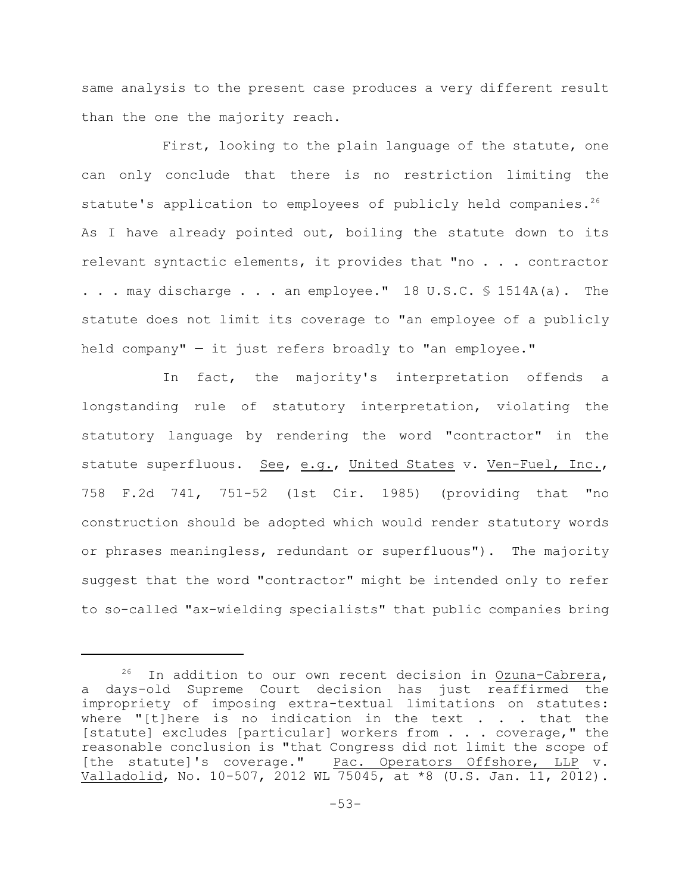same analysis to the present case produces a very different result than the one the majority reach.

First, looking to the plain language of the statute, one can only conclude that there is no restriction limiting the statute's application to employees of publicly held companies.<sup>26</sup> As I have already pointed out, boiling the statute down to its relevant syntactic elements, it provides that "no . . . contractor . . . may discharge . . . an employee." 18 U.S.C. § 1514A(a). The statute does not limit its coverage to "an employee of a publicly held company" - it just refers broadly to "an employee."

In fact, the majority's interpretation offends a longstanding rule of statutory interpretation, violating the statutory language by rendering the word "contractor" in the statute superfluous. See, e.g., United States v. Ven-Fuel, Inc., 758 F.2d 741, 751-52 (1st Cir. 1985) (providing that "no construction should be adopted which would render statutory words or phrases meaningless, redundant or superfluous"). The majority suggest that the word "contractor" might be intended only to refer to so-called "ax-wielding specialists" that public companies bring

 $26$  In addition to our own recent decision in Ozuna-Cabrera, a days-old Supreme Court decision has just reaffirmed the impropriety of imposing extra-textual limitations on statutes: where "[t]here is no indication in the text  $\cdot$   $\cdot$   $\cdot$  that the [statute] excludes [particular] workers from . . . coverage," the reasonable conclusion is "that Congress did not limit the scope of [the statute]'s coverage." Pac. Operators Offshore, LLP v. Valladolid, No. 10-507, 2012 WL 75045, at \*8 (U.S. Jan. 11, 2012).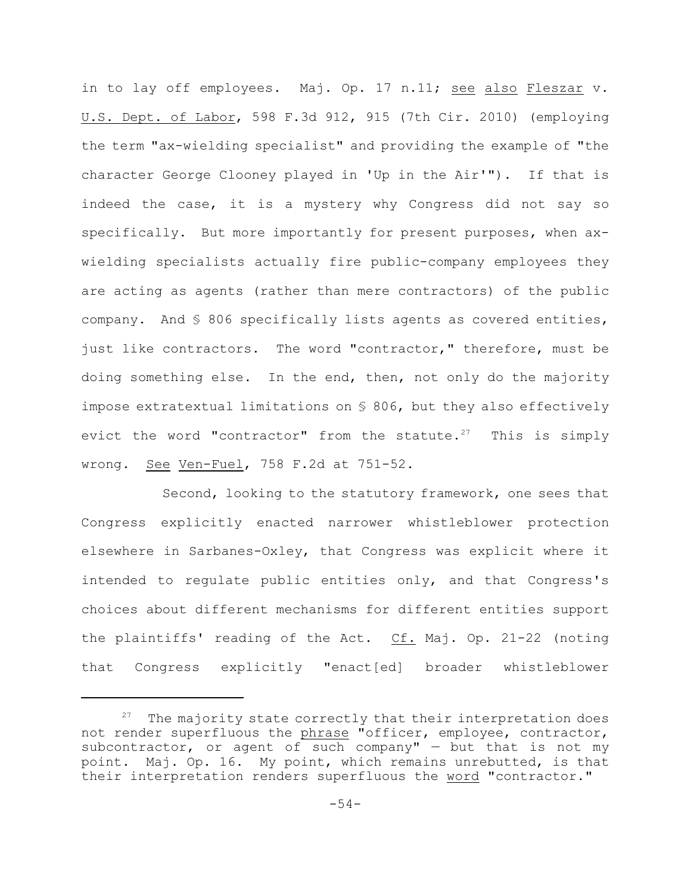in to lay off employees. Maj. Op. 17 n.11; see also Fleszar v. U.S. Dept. of Labor, 598 F.3d 912, 915 (7th Cir. 2010) (employing the term "ax-wielding specialist" and providing the example of "the character George Clooney played in 'Up in the Air'"). If that is indeed the case, it is a mystery why Congress did not say so specifically. But more importantly for present purposes, when axwielding specialists actually fire public-company employees they are acting as agents (rather than mere contractors) of the public company. And § 806 specifically lists agents as covered entities, just like contractors. The word "contractor," therefore, must be doing something else. In the end, then, not only do the majority impose extratextual limitations on § 806, but they also effectively evict the word "contractor" from the statute.<sup>27</sup> This is simply wrong. See Ven-Fuel, 758 F.2d at 751-52.

Second, looking to the statutory framework, one sees that Congress explicitly enacted narrower whistleblower protection elsewhere in Sarbanes-Oxley, that Congress was explicit where it intended to regulate public entities only, and that Congress's choices about different mechanisms for different entities support the plaintiffs' reading of the Act. Cf. Maj. Op. 21-22 (noting that Congress explicitly "enact[ed] broader whistleblower

 $27$  The majority state correctly that their interpretation does not render superfluous the phrase "officer, employee, contractor, subcontractor, or agent of such company"  $-$  but that is not my point. Maj. Op. 16. My point, which remains unrebutted, is that their interpretation renders superfluous the word "contractor."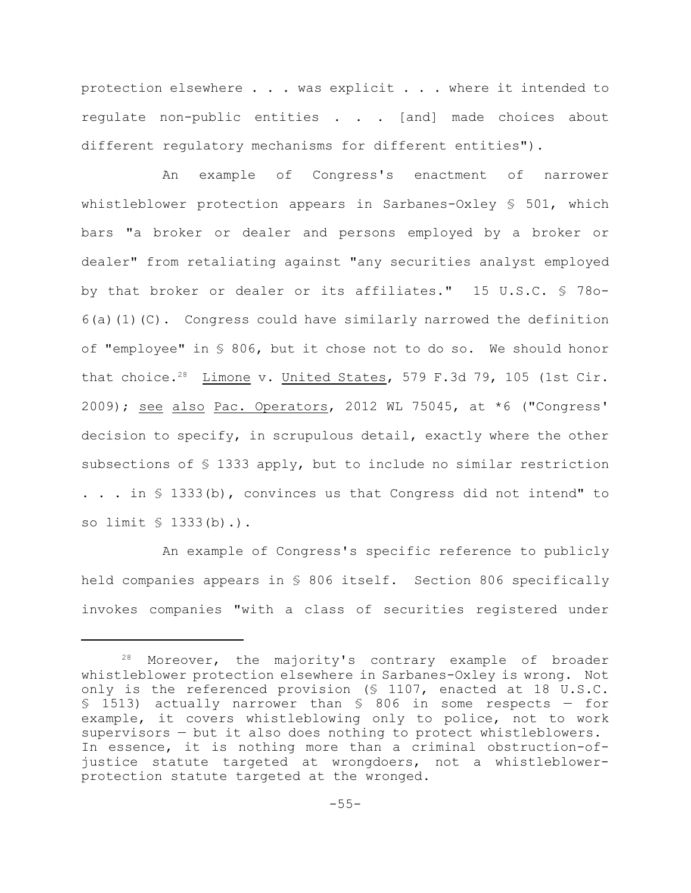protection elsewhere . . . was explicit . . . where it intended to regulate non-public entities . . . [and] made choices about different regulatory mechanisms for different entities").

An example of Congress's enactment of narrower whistleblower protection appears in Sarbanes-Oxley § 501, which bars "a broker or dealer and persons employed by a broker or dealer" from retaliating against "any securities analyst employed by that broker or dealer or its affiliates." 15 U.S.C. § 78o- $6(a)$  (1)(C). Congress could have similarly narrowed the definition of "employee" in § 806, but it chose not to do so. We should honor that choice.<sup>28</sup> Limone v. United States, 579 F.3d 79, 105 (1st Cir.  $2009$ ); see also Pac. Operators, 2012 WL 75045, at  $*6$  ("Congress' decision to specify, in scrupulous detail, exactly where the other subsections of § 1333 apply, but to include no similar restriction . . . in § 1333(b), convinces us that Congress did not intend" to so limit § 1333(b).).

An example of Congress's specific reference to publicly held companies appears in § 806 itself. Section 806 specifically invokes companies "with a class of securities registered under

Moreover, the majority's contrary example of broader whistleblower protection elsewhere in Sarbanes-Oxley is wrong. Not only is the referenced provision (§ 1107, enacted at 18 U.S.C. § 1513) actually narrower than § 806 in some respects — for example, it covers whistleblowing only to police, not to work supervisors — but it also does nothing to protect whistleblowers. In essence, it is nothing more than a criminal obstruction-ofjustice statute targeted at wrongdoers, not a whistleblowerprotection statute targeted at the wronged.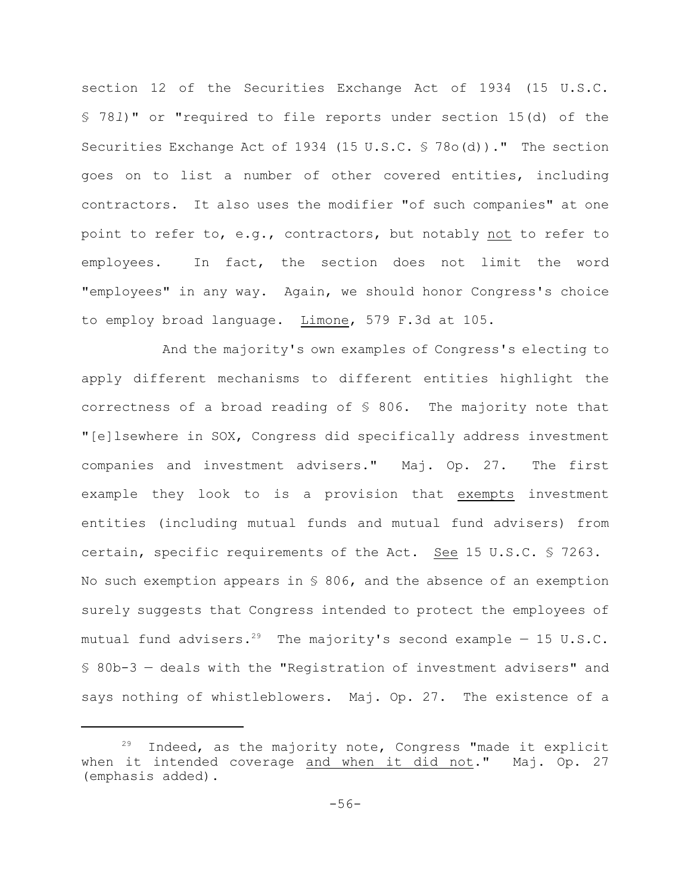section 12 of the Securities Exchange Act of 1934 (15 U.S.C. § 78*l*)" or "required to file reports under section 15(d) of the Securities Exchange Act of 1934 (15 U.S.C. § 78o(d))." The section goes on to list a number of other covered entities, including contractors. It also uses the modifier "of such companies" at one point to refer to, e.g., contractors, but notably not to refer to employees. In fact, the section does not limit the word "employees" in any way. Again, we should honor Congress's choice to employ broad language. Limone, 579 F.3d at 105.

And the majority's own examples of Congress's electing to apply different mechanisms to different entities highlight the correctness of a broad reading of § 806. The majority note that "[e]lsewhere in SOX, Congress did specifically address investment companies and investment advisers." Maj. Op. 27. The first example they look to is a provision that exempts investment entities (including mutual funds and mutual fund advisers) from certain, specific requirements of the Act. See 15 U.S.C. § 7263. No such exemption appears in  $S$  806, and the absence of an exemption surely suggests that Congress intended to protect the employees of mutual fund advisers.<sup>29</sup> The majority's second example - 15 U.S.C. § 80b-3 — deals with the "Registration of investment advisers" and says nothing of whistleblowers. Maj. Op. 27. The existence of a

 $29$  Indeed, as the majority note, Congress "made it explicit when it intended coverage and when it did not." Maj. Op. 27 (emphasis added).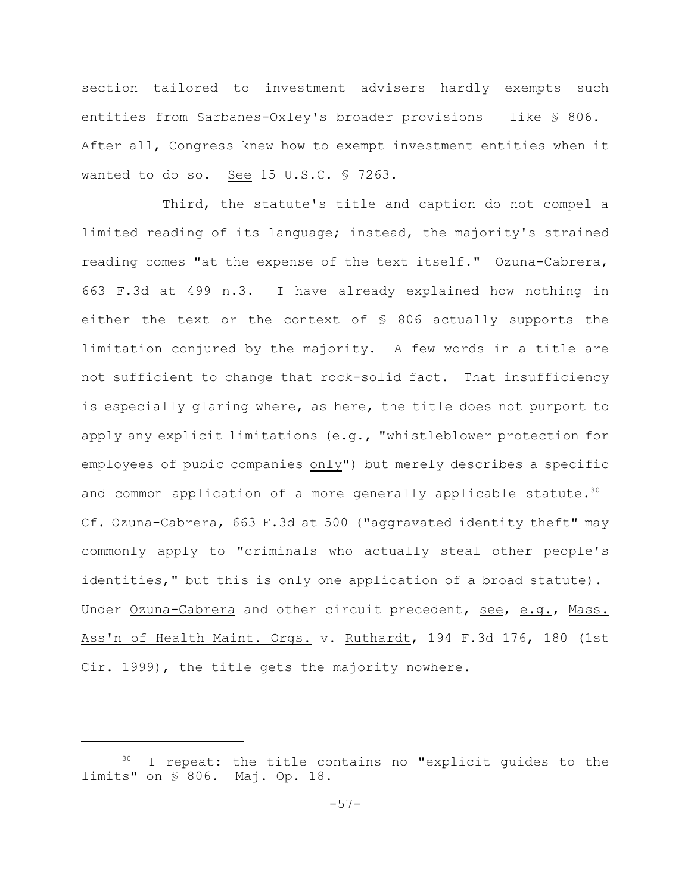section tailored to investment advisers hardly exempts such entities from Sarbanes-Oxley's broader provisions — like § 806. After all, Congress knew how to exempt investment entities when it wanted to do so. See 15 U.S.C. § 7263.

Third, the statute's title and caption do not compel a limited reading of its language; instead, the majority's strained reading comes "at the expense of the text itself." Ozuna-Cabrera, 663 F.3d at 499 n.3. I have already explained how nothing in either the text or the context of § 806 actually supports the limitation conjured by the majority. A few words in a title are not sufficient to change that rock-solid fact. That insufficiency is especially glaring where, as here, the title does not purport to apply any explicit limitations (e.g., "whistleblower protection for employees of pubic companies only") but merely describes a specific and common application of a more generally applicable statute. $30$ Cf. Ozuna-Cabrera, 663 F.3d at 500 ("aggravated identity theft" may commonly apply to "criminals who actually steal other people's identities," but this is only one application of a broad statute). Under Ozuna-Cabrera and other circuit precedent, see, e.g., Mass. Ass'n of Health Maint. Orgs. v. Ruthardt, 194 F.3d 176, 180 (1st Cir. 1999), the title gets the majority nowhere.

I repeat: the title contains no "explicit guides to the limits" on § 806. Maj. Op. 18.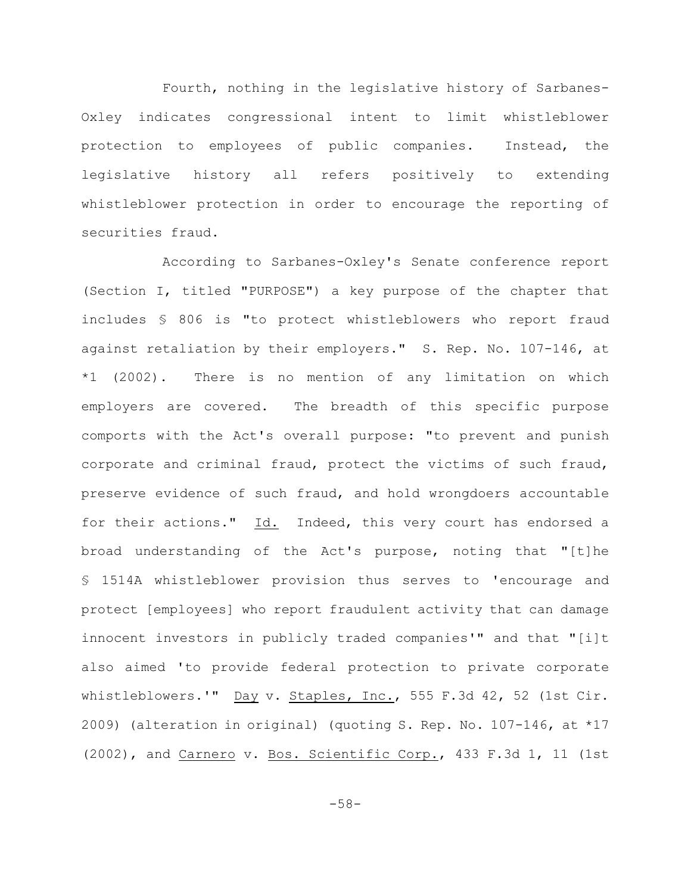Fourth, nothing in the legislative history of Sarbanes-Oxley indicates congressional intent to limit whistleblower protection to employees of public companies. Instead, the legislative history all refers positively to extending whistleblower protection in order to encourage the reporting of securities fraud.

According to Sarbanes-Oxley's Senate conference report (Section I, titled "PURPOSE") a key purpose of the chapter that includes § 806 is "to protect whistleblowers who report fraud against retaliation by their employers." S. Rep. No. 107-146, at \*1 (2002). There is no mention of any limitation on which employers are covered. The breadth of this specific purpose comports with the Act's overall purpose: "to prevent and punish corporate and criminal fraud, protect the victims of such fraud, preserve evidence of such fraud, and hold wrongdoers accountable for their actions." Id. Indeed, this very court has endorsed a broad understanding of the Act's purpose, noting that "[t]he § 1514A whistleblower provision thus serves to 'encourage and protect [employees] who report fraudulent activity that can damage innocent investors in publicly traded companies'" and that "[i]t also aimed 'to provide federal protection to private corporate whistleblowers.'" Day v. Staples, Inc., 555 F.3d 42, 52 (1st Cir. 2009) (alteration in original) (quoting S. Rep. No. 107-146, at \*17 (2002), and Carnero v. Bos. Scientific Corp., 433 F.3d 1, 11 (1st

-58-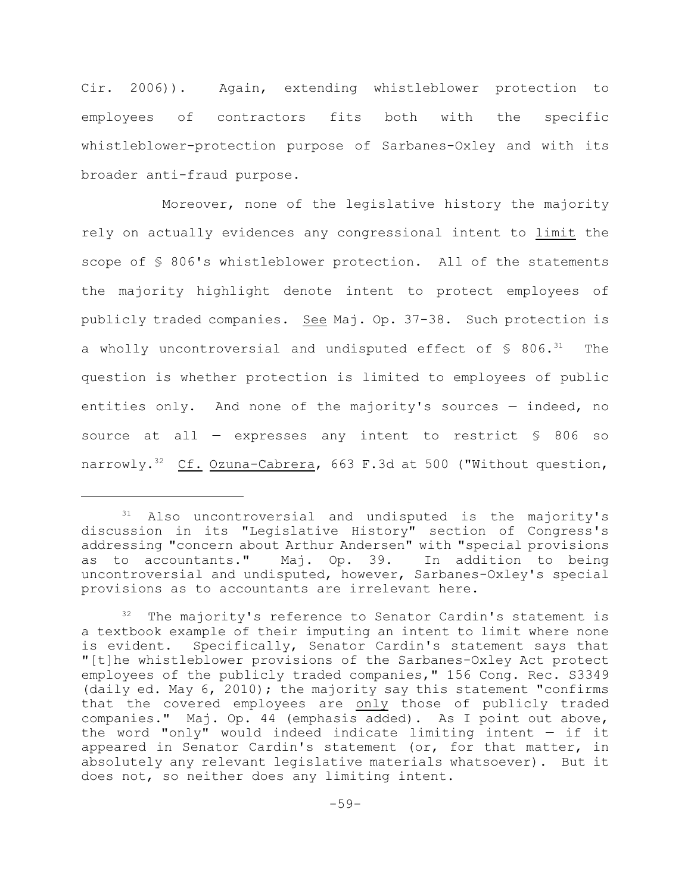Cir. 2006)). Again, extending whistleblower protection to employees of contractors fits both with the specific whistleblower-protection purpose of Sarbanes-Oxley and with its broader anti-fraud purpose.

Moreover, none of the legislative history the majority rely on actually evidences any congressional intent to limit the scope of § 806's whistleblower protection. All of the statements the majority highlight denote intent to protect employees of publicly traded companies. See Maj. Op. 37-38. Such protection is a wholly uncontroversial and undisputed effect of  $\mathbb S$  806.<sup>31</sup> The question is whether protection is limited to employees of public entities only. And none of the majority's sources — indeed, no source at all  $-$  expresses any intent to restrict  $\frac{1}{5}$  806 so narrowly.<sup>32</sup> Cf. Ozuna-Cabrera, 663 F.3d at 500 ("Without question,

 $31$  Also uncontroversial and undisputed is the majority's discussion in its "Legislative History" section of Congress's addressing "concern about Arthur Andersen" with "special provisions as to accountants." Maj. Op. 39. In addition to being uncontroversial and undisputed, however, Sarbanes-Oxley's special provisions as to accountants are irrelevant here.

 $32$  The majority's reference to Senator Cardin's statement is a textbook example of their imputing an intent to limit where none is evident. Specifically, Senator Cardin's statement says that "[t]he whistleblower provisions of the Sarbanes-Oxley Act protect employees of the publicly traded companies," 156 Cong. Rec. S3349 (daily ed. May 6, 2010); the majority say this statement "confirms that the covered employees are only those of publicly traded companies." Maj. Op. 44 (emphasis added). As I point out above, the word "only" would indeed indicate limiting intent  $-$  if it appeared in Senator Cardin's statement (or, for that matter, in absolutely any relevant legislative materials whatsoever). But it does not, so neither does any limiting intent.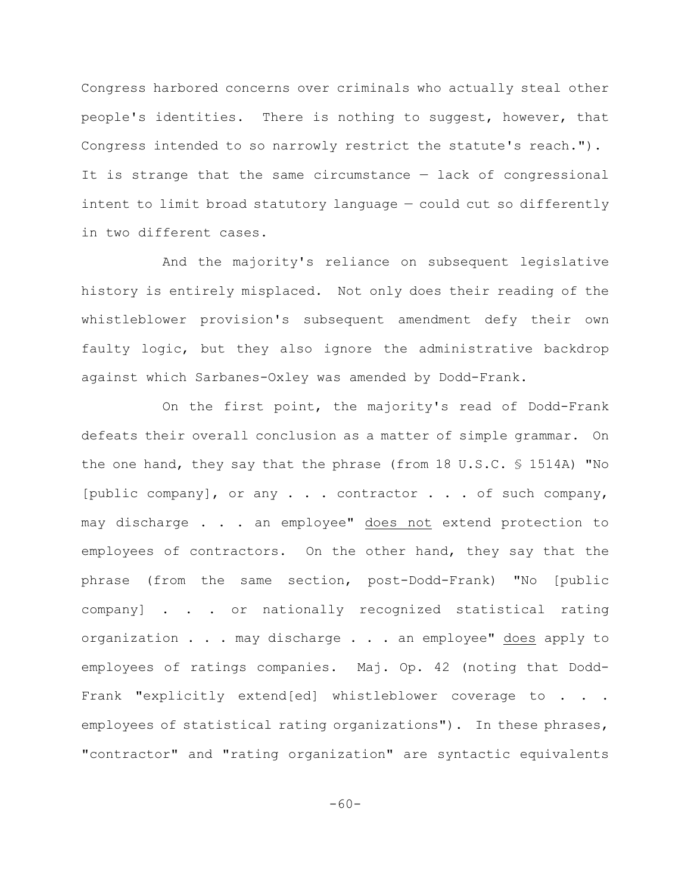Congress harbored concerns over criminals who actually steal other people's identities. There is nothing to suggest, however, that Congress intended to so narrowly restrict the statute's reach."). It is strange that the same circumstance — lack of congressional intent to limit broad statutory language — could cut so differently in two different cases.

And the majority's reliance on subsequent legislative history is entirely misplaced. Not only does their reading of the whistleblower provision's subsequent amendment defy their own faulty logic, but they also ignore the administrative backdrop against which Sarbanes-Oxley was amended by Dodd-Frank.

On the first point, the majority's read of Dodd-Frank defeats their overall conclusion as a matter of simple grammar. On the one hand, they say that the phrase (from 18 U.S.C. § 1514A) "No [public company], or any  $\ldots$  contractor  $\ldots$  of such company, may discharge . . . an employee" does not extend protection to employees of contractors. On the other hand, they say that the phrase (from the same section, post-Dodd-Frank) "No [public company] . . . or nationally recognized statistical rating organization . . . may discharge . . . an employee" does apply to employees of ratings companies. Maj. Op. 42 (noting that Dodd-Frank "explicitly extend[ed] whistleblower coverage to . . . employees of statistical rating organizations"). In these phrases, "contractor" and "rating organization" are syntactic equivalents

-60-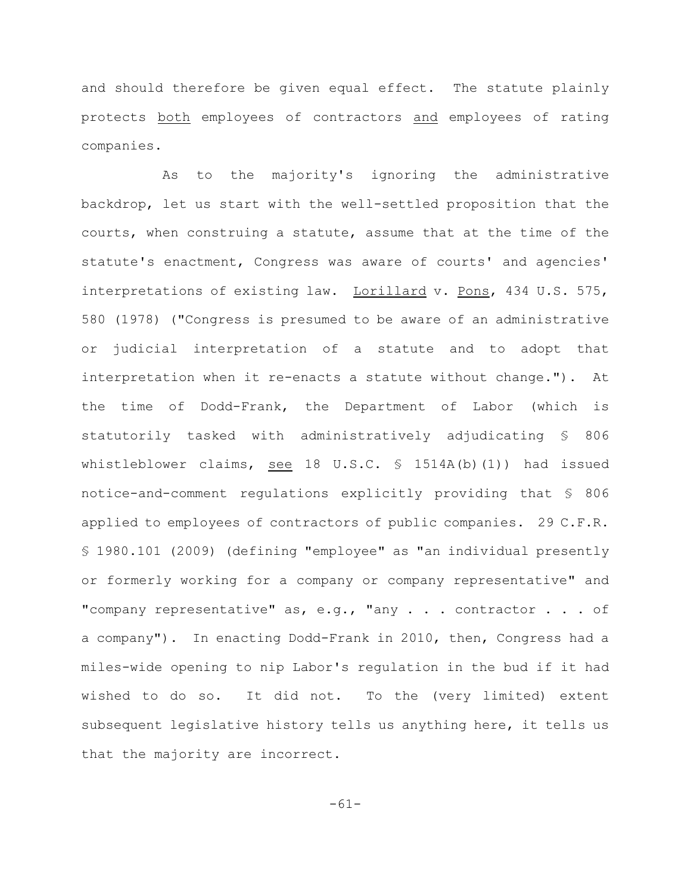and should therefore be given equal effect. The statute plainly protects both employees of contractors and employees of rating companies.

As to the majority's ignoring the administrative backdrop, let us start with the well-settled proposition that the courts, when construing a statute, assume that at the time of the statute's enactment, Congress was aware of courts' and agencies' interpretations of existing law. Lorillard v. Pons, 434 U.S. 575, 580 (1978) ("Congress is presumed to be aware of an administrative or judicial interpretation of a statute and to adopt that interpretation when it re-enacts a statute without change."). At the time of Dodd-Frank, the Department of Labor (which is statutorily tasked with administratively adjudicating § 806 whistleblower claims, see 18 U.S.C. § 1514A(b)(1)) had issued notice-and-comment regulations explicitly providing that § 806 applied to employees of contractors of public companies. 29 C.F.R. § 1980.101 (2009) (defining "employee" as "an individual presently or formerly working for a company or company representative" and "company representative" as, e.g., "any . . . contractor . . . of a company"). In enacting Dodd-Frank in 2010, then, Congress had a miles-wide opening to nip Labor's regulation in the bud if it had wished to do so. It did not. To the (very limited) extent subsequent legislative history tells us anything here, it tells us that the majority are incorrect.

-61-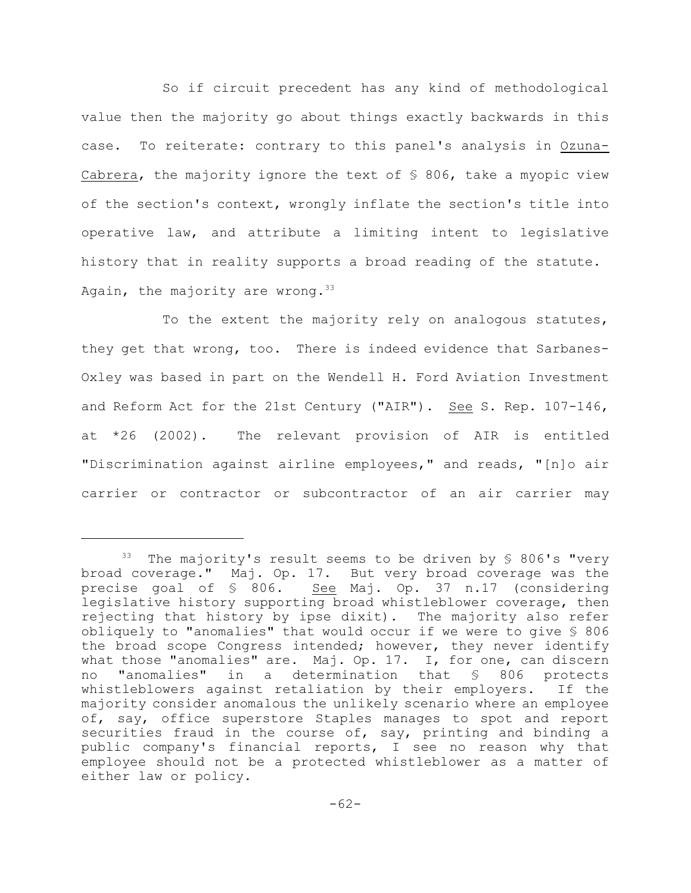So if circuit precedent has any kind of methodological value then the majority go about things exactly backwards in this case. To reiterate: contrary to this panel's analysis in Ozuna-Cabrera, the majority ignore the text of  $\frac{1}{5}$  806, take a myopic view of the section's context, wrongly inflate the section's title into operative law, and attribute a limiting intent to legislative history that in reality supports a broad reading of the statute. Again, the majority are wrong.  $33$ 

To the extent the majority rely on analogous statutes, they get that wrong, too. There is indeed evidence that Sarbanes-Oxley was based in part on the Wendell H. Ford Aviation Investment and Reform Act for the 21st Century ("AIR"). See S. Rep. 107-146, at \*26 (2002). The relevant provision of AIR is entitled "Discrimination against airline employees," and reads, "[n]o air carrier or contractor or subcontractor of an air carrier may

<sup>&</sup>lt;sup>33</sup> The majority's result seems to be driven by  $\frac{1}{5}$  806's "very broad coverage." Maj. Op. 17. But very broad coverage was the precise goal of § 806. See Maj. Op. 37 n.17 (considering legislative history supporting broad whistleblower coverage, then rejecting that history by ipse dixit). The majority also refer obliquely to "anomalies" that would occur if we were to give § 806 the broad scope Congress intended; however, they never identify what those "anomalies" are. Maj. Op. 17. I, for one, can discern no "anomalies" in a determination that § 806 protects whistleblowers against retaliation by their employers. If the majority consider anomalous the unlikely scenario where an employee of, say, office superstore Staples manages to spot and report securities fraud in the course of, say, printing and binding a public company's financial reports, I see no reason why that employee should not be a protected whistleblower as a matter of either law or policy.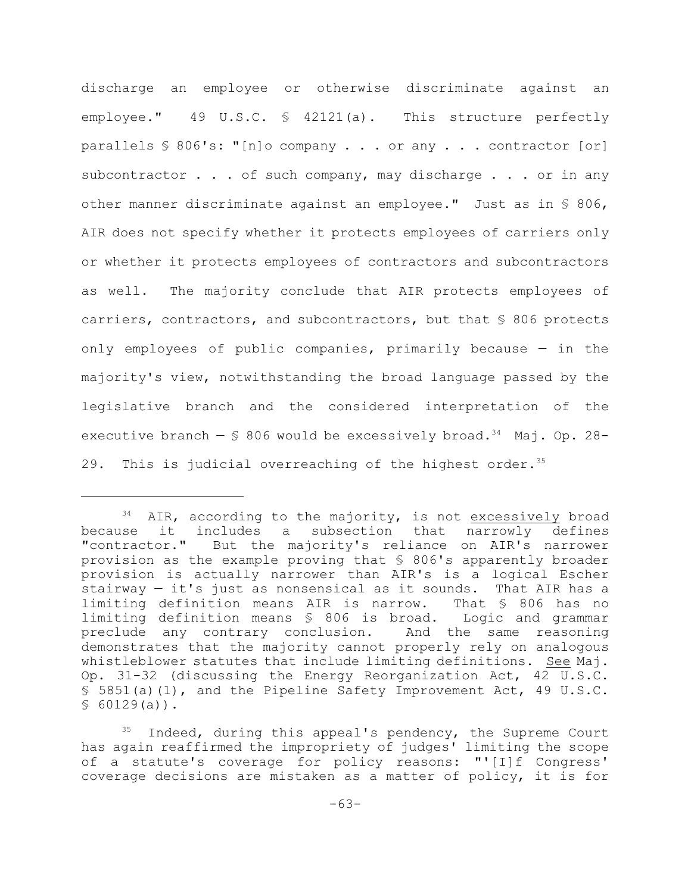discharge an employee or otherwise discriminate against an employee." 49 U.S.C. § 42121(a). This structure perfectly parallels § 806's: "[n]o company . . . or any . . . contractor [or] subcontractor . . . of such company, may discharge . . . or in any other manner discriminate against an employee." Just as in § 806, AIR does not specify whether it protects employees of carriers only or whether it protects employees of contractors and subcontractors as well. The majority conclude that AIR protects employees of carriers, contractors, and subcontractors, but that § 806 protects only employees of public companies, primarily because — in the majority's view, notwithstanding the broad language passed by the legislative branch and the considered interpretation of the executive branch  $-$  \$ 806 would be excessively broad.<sup>34</sup> Maj. Op. 28-29. This is judicial overreaching of the highest order.<sup>35</sup>

 $34$  AIR, according to the majority, is not excessively broad because it includes a subsection that narrowly defines "contractor." But the majority's reliance on AIR's narrower provision as the example proving that § 806's apparently broader provision is actually narrower than AIR's is a logical Escher stairway — it's just as nonsensical as it sounds. That AIR has a limiting definition means AIR is narrow. That § 806 has no limiting definition means § 806 is broad. Logic and grammar<br>preclude any contrary conclusion. And the same reasoning preclude any contrary conclusion. demonstrates that the majority cannot properly rely on analogous whistleblower statutes that include limiting definitions. See Maj. Op. 31-32 (discussing the Energy Reorganization Act, 42 U.S.C. § 5851(a)(1), and the Pipeline Safety Improvement Act, 49 U.S.C.  $$60129(a)$ .

 $35$  Indeed, during this appeal's pendency, the Supreme Court has again reaffirmed the impropriety of judges' limiting the scope of a statute's coverage for policy reasons: "'[I]f Congress' coverage decisions are mistaken as a matter of policy, it is for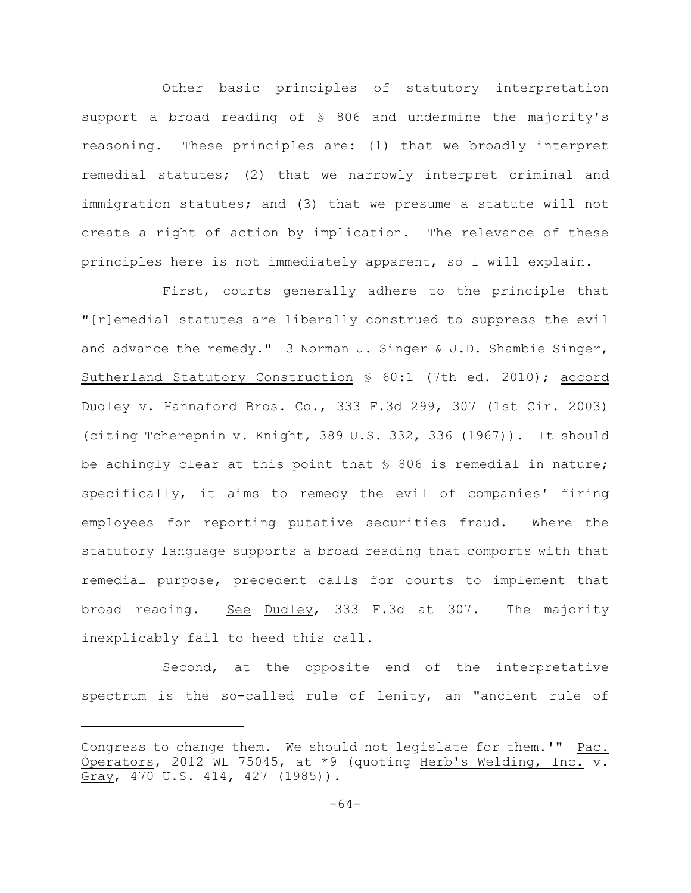Other basic principles of statutory interpretation support a broad reading of § 806 and undermine the majority's reasoning. These principles are: (1) that we broadly interpret remedial statutes; (2) that we narrowly interpret criminal and immigration statutes; and (3) that we presume a statute will not create a right of action by implication. The relevance of these principles here is not immediately apparent, so I will explain.

First, courts generally adhere to the principle that "[r]emedial statutes are liberally construed to suppress the evil and advance the remedy." 3 Norman J. Singer & J.D. Shambie Singer, Sutherland Statutory Construction § 60:1 (7th ed. 2010); accord Dudley v. Hannaford Bros. Co., 333 F.3d 299, 307 (1st Cir. 2003) (citing Tcherepnin v. Knight, 389 U.S. 332, 336 (1967)). It should be achingly clear at this point that § 806 is remedial in nature; specifically, it aims to remedy the evil of companies' firing employees for reporting putative securities fraud. Where the statutory language supports a broad reading that comports with that remedial purpose, precedent calls for courts to implement that broad reading. See Dudley, 333 F.3d at 307. The majority inexplicably fail to heed this call.

Second, at the opposite end of the interpretative spectrum is the so-called rule of lenity, an "ancient rule of

Congress to change them. We should not legislate for them.'" Pac. Operators, 2012 WL 75045, at \*9 (quoting Herb's Welding, Inc. v. Gray, 470 U.S. 414, 427 (1985)).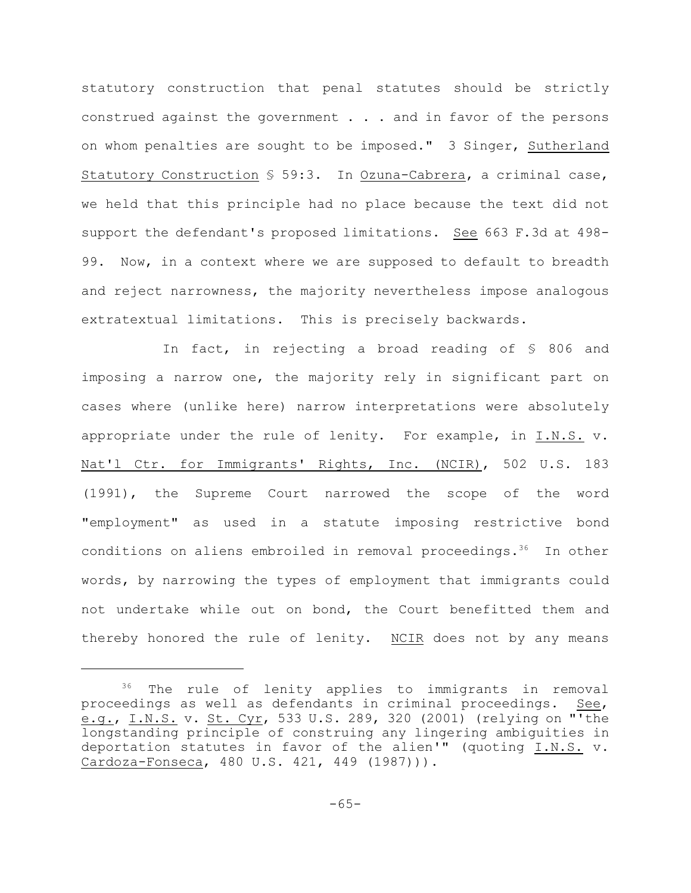statutory construction that penal statutes should be strictly construed against the government . . . and in favor of the persons on whom penalties are sought to be imposed." 3 Singer, Sutherland Statutory Construction § 59:3. In Ozuna-Cabrera, a criminal case, we held that this principle had no place because the text did not support the defendant's proposed limitations. See 663 F.3d at 498- 99. Now, in a context where we are supposed to default to breadth and reject narrowness, the majority nevertheless impose analogous extratextual limitations. This is precisely backwards.

In fact, in rejecting a broad reading of § 806 and imposing a narrow one, the majority rely in significant part on cases where (unlike here) narrow interpretations were absolutely appropriate under the rule of lenity. For example, in I.N.S. v. Nat'l Ctr. for Immigrants' Rights, Inc. (NCIR), 502 U.S. 183 (1991), the Supreme Court narrowed the scope of the word "employment" as used in a statute imposing restrictive bond conditions on aliens embroiled in removal proceedings.  $36$  In other words, by narrowing the types of employment that immigrants could not undertake while out on bond, the Court benefitted them and thereby honored the rule of lenity. NCIR does not by any means

<sup>&</sup>lt;sup>36</sup> The rule of lenity applies to immigrants in removal proceedings as well as defendants in criminal proceedings. See, e.g., I.N.S. v. St. Cyr, 533 U.S. 289, 320 (2001) (relying on "'the longstanding principle of construing any lingering ambiguities in deportation statutes in favor of the alien'" (quoting I.N.S. v. Cardoza-Fonseca, 480 U.S. 421, 449 (1987))).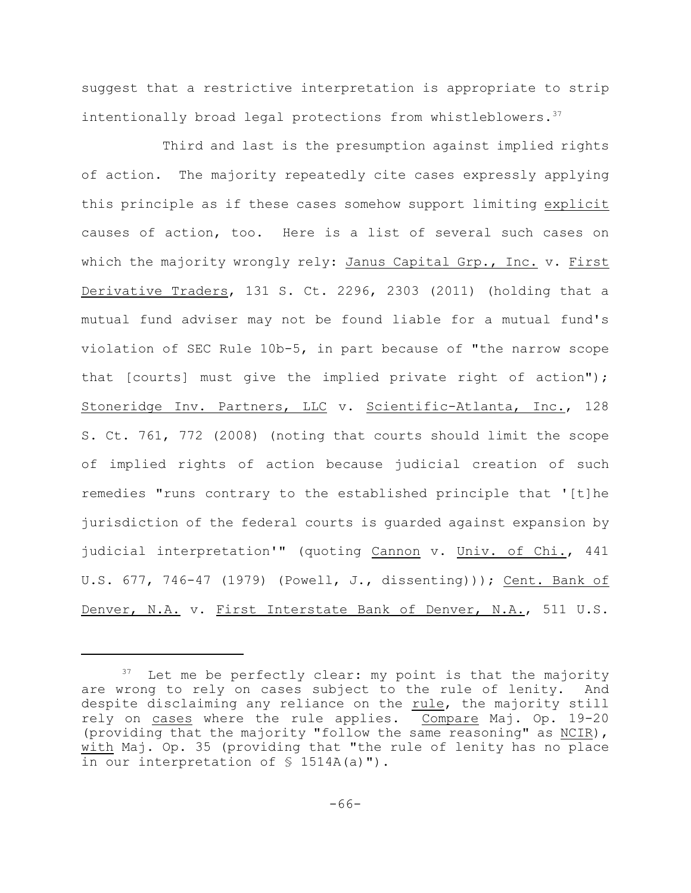suggest that a restrictive interpretation is appropriate to strip intentionally broad legal protections from whistleblowers. 37

Third and last is the presumption against implied rights of action. The majority repeatedly cite cases expressly applying this principle as if these cases somehow support limiting explicit causes of action, too. Here is a list of several such cases on which the majority wrongly rely: Janus Capital Grp., Inc. v. First Derivative Traders, 131 S. Ct. 2296, 2303 (2011) (holding that a mutual fund adviser may not be found liable for a mutual fund's violation of SEC Rule 10b-5, in part because of "the narrow scope that [courts] must give the implied private right of action"); Stoneridge Inv. Partners, LLC v. Scientific-Atlanta, Inc., 128 S. Ct. 761, 772 (2008) (noting that courts should limit the scope of implied rights of action because judicial creation of such remedies "runs contrary to the established principle that '[t]he jurisdiction of the federal courts is guarded against expansion by judicial interpretation'" (quoting Cannon v. Univ. of Chi., 441 U.S. 677, 746-47 (1979) (Powell, J., dissenting))); Cent. Bank of Denver, N.A. v. First Interstate Bank of Denver, N.A., 511 U.S.

 $37$  Let me be perfectly clear: my point is that the majority are wrong to rely on cases subject to the rule of lenity. And despite disclaiming any reliance on the rule, the majority still rely on cases where the rule applies. Compare Maj. Op. 19-20 (providing that the majority "follow the same reasoning" as NCIR), with Maj. Op. 35 (providing that "the rule of lenity has no place in our interpretation of  $\frac{1}{2}$  1514A(a)").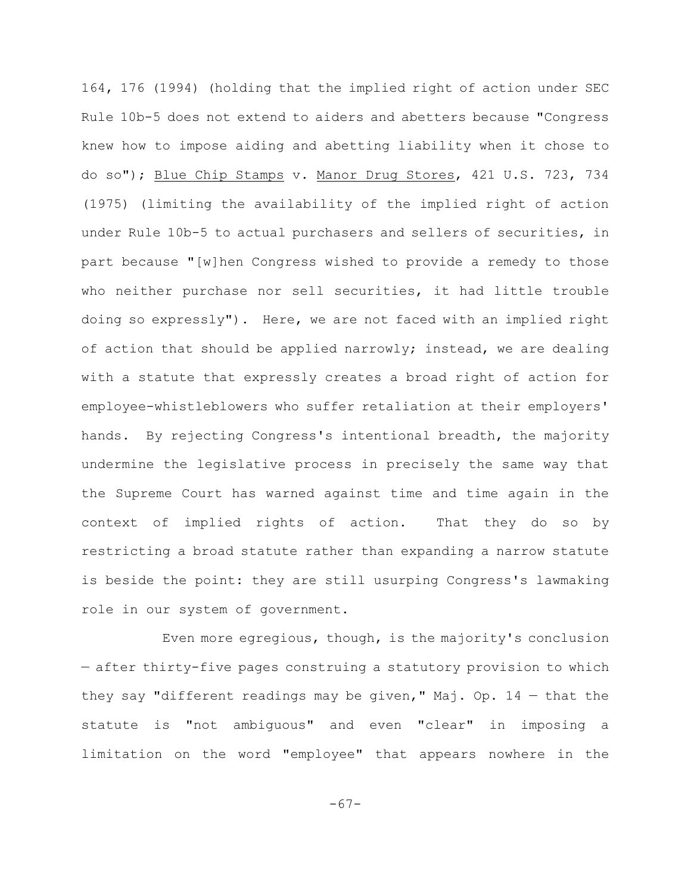164, 176 (1994) (holding that the implied right of action under SEC Rule 10b-5 does not extend to aiders and abetters because "Congress knew how to impose aiding and abetting liability when it chose to do so"); Blue Chip Stamps v. Manor Drug Stores, 421 U.S. 723, 734 (1975) (limiting the availability of the implied right of action under Rule 10b-5 to actual purchasers and sellers of securities, in part because "[w]hen Congress wished to provide a remedy to those who neither purchase nor sell securities, it had little trouble doing so expressly"). Here, we are not faced with an implied right of action that should be applied narrowly; instead, we are dealing with a statute that expressly creates a broad right of action for employee-whistleblowers who suffer retaliation at their employers' hands. By rejecting Congress's intentional breadth, the majority undermine the legislative process in precisely the same way that the Supreme Court has warned against time and time again in the context of implied rights of action. That they do so by restricting a broad statute rather than expanding a narrow statute is beside the point: they are still usurping Congress's lawmaking role in our system of government.

Even more egregious, though, is the majority's conclusion — after thirty-five pages construing a statutory provision to which they say "different readings may be given," Maj. Op.  $14$  - that the statute is "not ambiguous" and even "clear" in imposing a limitation on the word "employee" that appears nowhere in the

-67-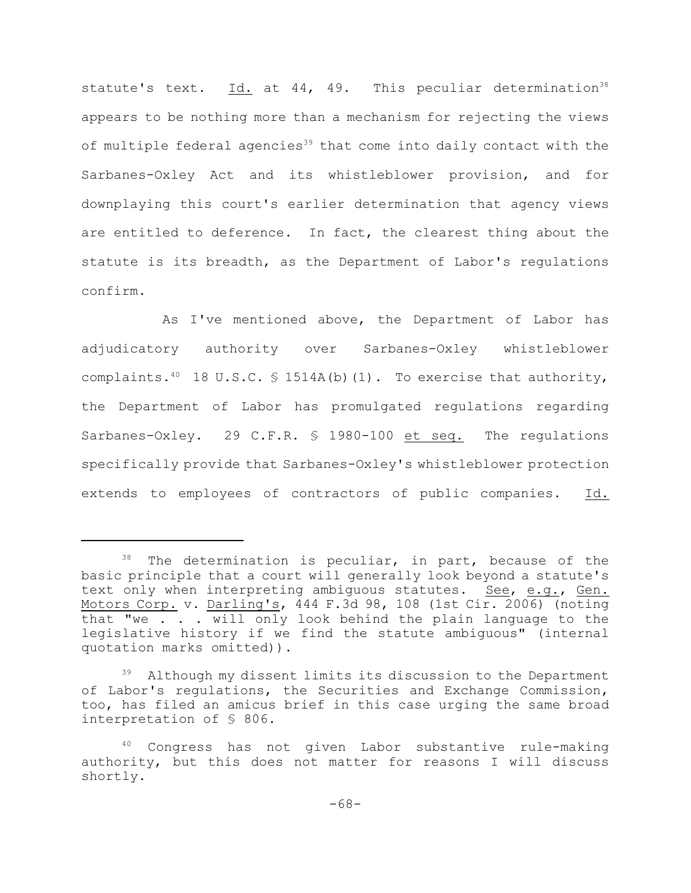statute's text.  $\underline{Id.}$  at 44, 49. This peculiar determination<sup>38</sup> appears to be nothing more than a mechanism for rejecting the views of multiple federal agencies<sup>39</sup> that come into daily contact with the Sarbanes-Oxley Act and its whistleblower provision, and for downplaying this court's earlier determination that agency views are entitled to deference. In fact, the clearest thing about the statute is its breadth, as the Department of Labor's regulations confirm.

As I've mentioned above, the Department of Labor has adjudicatory authority over Sarbanes-Oxley whistleblower complaints. <sup>40</sup> 18 U.S.C.  $\frac{1}{2}$  1514A(b)(1). To exercise that authority, the Department of Labor has promulgated regulations regarding Sarbanes-Oxley. 29 C.F.R. § 1980-100 et seq. The regulations specifically provide that Sarbanes-Oxley's whistleblower protection extends to employees of contractors of public companies. Id.

The determination is peculiar, in part, because of the basic principle that a court will generally look beyond a statute's text only when interpreting ambiguous statutes. See, e.g., Gen. Motors Corp. v. Darling's, 444 F.3d 98, 108 (1st Cir. 2006) (noting that "we . . . will only look behind the plain language to the legislative history if we find the statute ambiguous" (internal quotation marks omitted)).

 $39$  Although my dissent limits its discussion to the Department of Labor's regulations, the Securities and Exchange Commission, too, has filed an amicus brief in this case urging the same broad interpretation of § 806.

<sup>40</sup> Congress has not given Labor substantive rule-making authority, but this does not matter for reasons I will discuss shortly.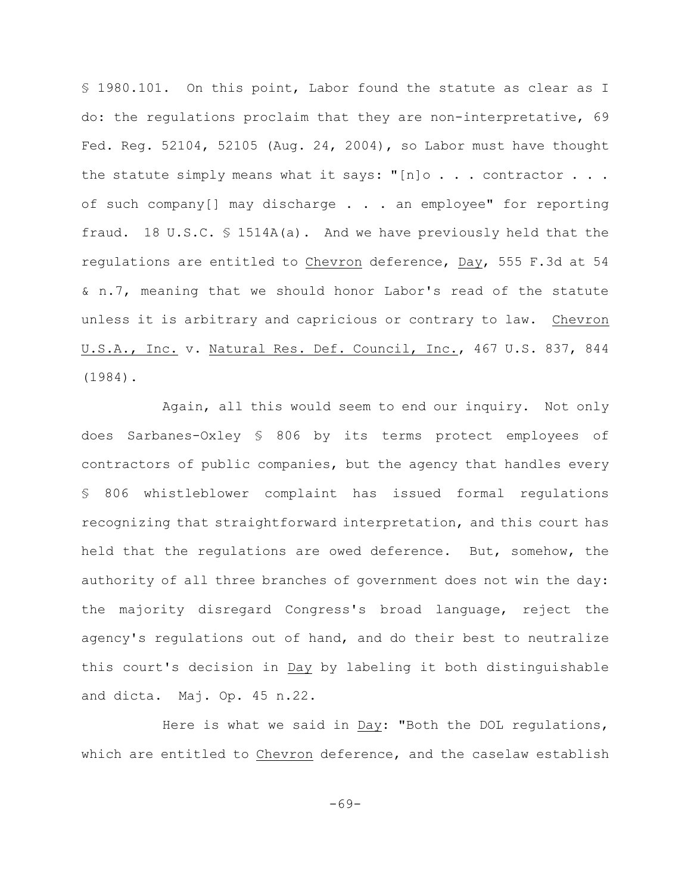§ 1980.101. On this point, Labor found the statute as clear as I do: the regulations proclaim that they are non-interpretative, 69 Fed. Reg.  $52104$ ,  $52105$  (Aug. 24, 2004), so Labor must have thought the statute simply means what it says:  $"[n] \circ . . .$  contractor  $. . .$ of such company[] may discharge . . . an employee" for reporting fraud. 18 U.S.C. § 1514A(a). And we have previously held that the regulations are entitled to Chevron deference, Day, 555 F.3d at 54 & n.7, meaning that we should honor Labor's read of the statute unless it is arbitrary and capricious or contrary to law. Chevron U.S.A., Inc. v. Natural Res. Def. Council, Inc., 467 U.S. 837, 844 (1984).

Again, all this would seem to end our inquiry. Not only does Sarbanes-Oxley § 806 by its terms protect employees of contractors of public companies, but the agency that handles every § 806 whistleblower complaint has issued formal regulations recognizing that straightforward interpretation, and this court has held that the regulations are owed deference. But, somehow, the authority of all three branches of government does not win the day: the majority disregard Congress's broad language, reject the agency's regulations out of hand, and do their best to neutralize this court's decision in Day by labeling it both distinguishable and dicta. Maj. Op. 45 n.22.

Here is what we said in Day: "Both the DOL regulations, which are entitled to Chevron deference, and the caselaw establish

-69-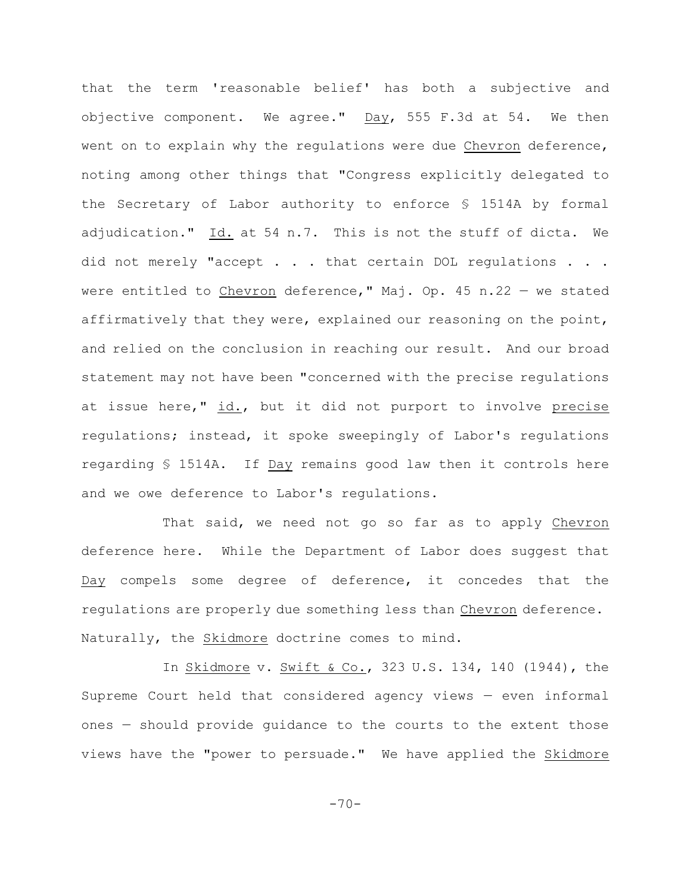that the term 'reasonable belief' has both a subjective and objective component. We agree." Day, 555 F.3d at 54. We then went on to explain why the regulations were due Chevron deference, noting among other things that "Congress explicitly delegated to the Secretary of Labor authority to enforce § 1514A by formal adjudication." Id. at 54 n.7. This is not the stuff of dicta. We did not merely "accept . . . that certain DOL regulations . . . were entitled to Chevron deference," Maj. Op. 45 n.22 - we stated affirmatively that they were, explained our reasoning on the point, and relied on the conclusion in reaching our result. And our broad statement may not have been "concerned with the precise regulations at issue here," id., but it did not purport to involve precise regulations; instead, it spoke sweepingly of Labor's regulations regarding § 1514A. If Day remains good law then it controls here and we owe deference to Labor's regulations.

That said, we need not go so far as to apply Chevron deference here. While the Department of Labor does suggest that Day compels some degree of deference, it concedes that the regulations are properly due something less than Chevron deference. Naturally, the *Skidmore* doctrine comes to mind.

In Skidmore v. Swift & Co., 323 U.S. 134, 140 (1944), the Supreme Court held that considered agency views — even informal ones — should provide guidance to the courts to the extent those views have the "power to persuade." We have applied the *Skidmore* 

 $-70-$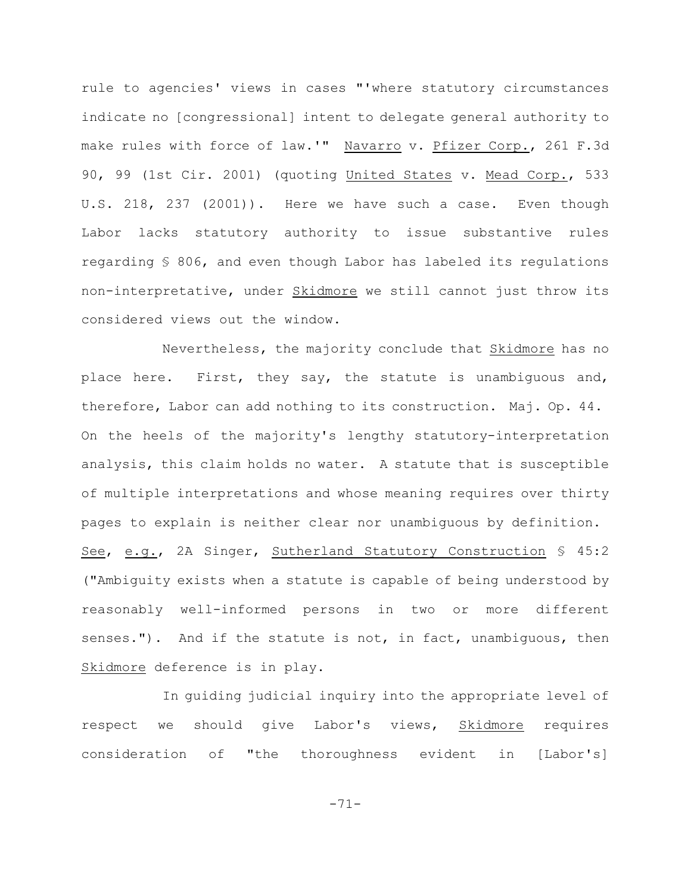rule to agencies' views in cases "'where statutory circumstances indicate no [congressional] intent to delegate general authority to make rules with force of law.'" Navarro v. Pfizer Corp., 261 F.3d 90, 99 (1st Cir. 2001) (quoting United States v. Mead Corp., 533 U.S. 218, 237 (2001)). Here we have such a case. Even though Labor lacks statutory authority to issue substantive rules regarding § 806, and even though Labor has labeled its regulations non-interpretative, under Skidmore we still cannot just throw its considered views out the window.

Nevertheless, the majority conclude that Skidmore has no place here. First, they say, the statute is unambiguous and, therefore, Labor can add nothing to its construction. Maj. Op. 44. On the heels of the majority's lengthy statutory-interpretation analysis, this claim holds no water. A statute that is susceptible of multiple interpretations and whose meaning requires over thirty pages to explain is neither clear nor unambiguous by definition. See, e.g., 2A Singer, Sutherland Statutory Construction § 45:2 ("Ambiguity exists when a statute is capable of being understood by reasonably well-informed persons in two or more different senses."). And if the statute is not, in fact, unambiguous, then Skidmore deference is in play.

In guiding judicial inquiry into the appropriate level of respect we should give Labor's views, Skidmore requires consideration of "the thoroughness evident in [Labor's]

-71-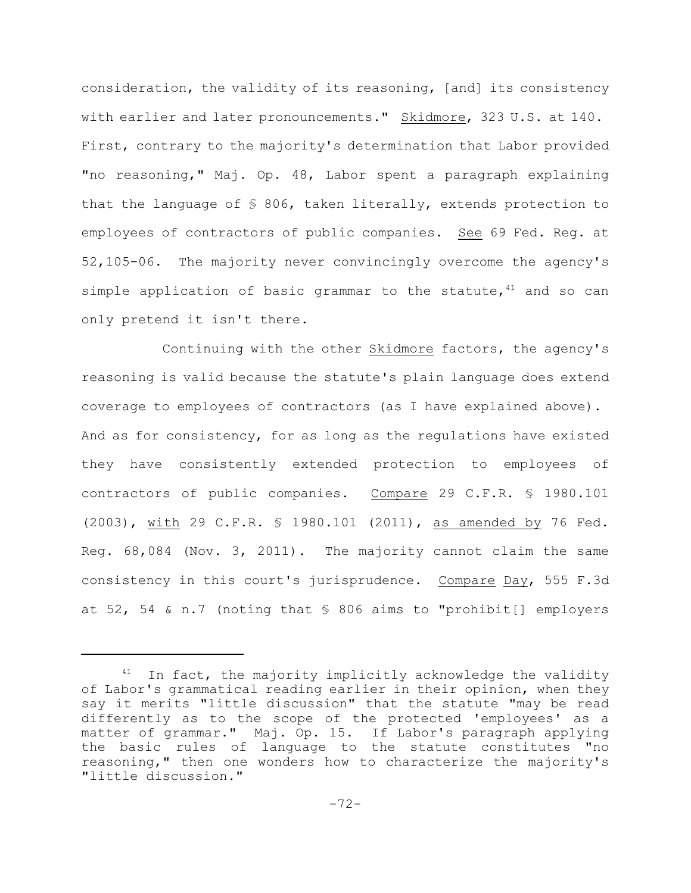consideration, the validity of its reasoning, [and] its consistency with earlier and later pronouncements." Skidmore, 323 U.S. at 140. First, contrary to the majority's determination that Labor provided "no reasoning," Maj. Op. 48, Labor spent a paragraph explaining that the language of § 806, taken literally, extends protection to employees of contractors of public companies. See 69 Fed. Reg. at 52,105-06. The majority never convincingly overcome the agency's simple application of basic grammar to the statute,  $41$  and so can only pretend it isn't there.

Continuing with the other Skidmore factors, the agency's reasoning is valid because the statute's plain language does extend coverage to employees of contractors (as I have explained above). And as for consistency, for as long as the regulations have existed they have consistently extended protection to employees of contractors of public companies. Compare 29 C.F.R. § 1980.101 (2003), with 29 C.F.R. § 1980.101 (2011), as amended by 76 Fed. Reg. 68,084 (Nov. 3, 2011). The majority cannot claim the same consistency in this court's jurisprudence. Compare Day, 555 F.3d at 52, 54  $\&$  n.7 (noting that  $\&$  806 aims to "prohibit[] employers

In fact, the majority implicitly acknowledge the validity of Labor's grammatical reading earlier in their opinion, when they say it merits "little discussion" that the statute "may be read differently as to the scope of the protected 'employees' as a matter of grammar." Maj. Op. 15. If Labor's paragraph applying the basic rules of language to the statute constitutes "no reasoning," then one wonders how to characterize the majority's "little discussion."